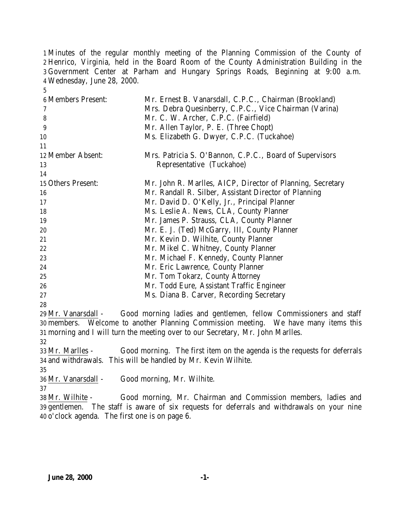Minutes of the regular monthly meeting of the Planning Commission of the County of Henrico, Virginia, held in the Board Room of the County Administration Building in the Government Center at Parham and Hungary Springs Roads, Beginning at 9:00 a.m. Wednesday, June 28, 2000.

| <b>6 Members Present:</b> | Mr. Ernest B. Vanarsdall, C.P.C., Chairman (Brookland)     |
|---------------------------|------------------------------------------------------------|
| 7                         | Mrs. Debra Quesinberry, C.P.C., Vice Chairman (Varina)     |
| 8                         | Mr. C. W. Archer, C.P.C. (Fairfield)                       |
| 9                         | Mr. Allen Taylor, P. E. (Three Chopt)                      |
| 10                        | Ms. Elizabeth G. Dwyer, C.P.C. (Tuckahoe)                  |
| 11                        |                                                            |
| 12 Member Absent:         | Mrs. Patricia S. O'Bannon, C.P.C., Board of Supervisors    |
| 13                        | Representative (Tuckahoe)                                  |
| 14                        |                                                            |
| 15 Others Present:        | Mr. John R. Marlles, AICP, Director of Planning, Secretary |
| 16                        | Mr. Randall R. Silber, Assistant Director of Planning      |
| 17                        | Mr. David D. O'Kelly, Jr., Principal Planner               |
| 18                        | Ms. Leslie A. News, CLA, County Planner                    |
| 19                        | Mr. James P. Strauss, CLA, County Planner                  |
| 20                        | Mr. E. J. (Ted) McGarry, III, County Planner               |
| 21                        | Mr. Kevin D. Wilhite, County Planner                       |
| 22                        | Mr. Mikel C. Whitney, County Planner                       |
| 23                        | Mr. Michael F. Kennedy, County Planner                     |
| 24                        | Mr. Eric Lawrence, County Planner                          |
| 25                        | Mr. Tom Tokarz, County Attorney                            |
| 26                        | Mr. Todd Eure, Assistant Traffic Engineer                  |
| 27                        | Ms. Diana B. Carver, Recording Secretary                   |
| 28                        |                                                            |

 Mr. Vanarsdall - Good morning ladies and gentlemen, fellow Commissioners and staff members. Welcome to another Planning Commission meeting. We have many items this morning and I will turn the meeting over to our Secretary, Mr. John Marlles. 

 Mr. Marlles - Good morning. The first item on the agenda is the requests for deferrals and withdrawals. This will be handled by Mr. Kevin Wilhite.

Mr. Vanarsdall - Good morning, Mr. Wilhite.

 Mr. Wilhite - Good morning, Mr. Chairman and Commission members, ladies and gentlemen. The staff is aware of six requests for deferrals and withdrawals on your nine o'clock agenda. The first one is on page 6.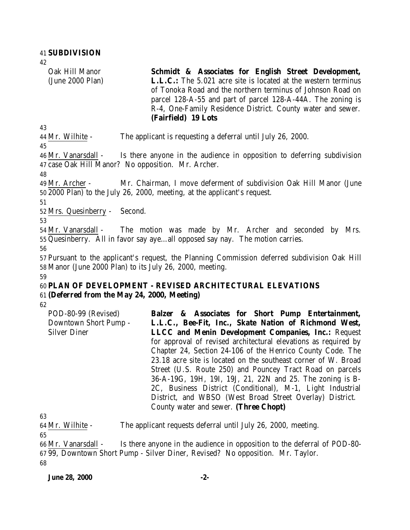42

Oak Hill Manor (June 2000 Plan) **Schmidt & Associates for English Street Development, L.L.C.:** The 5.021 acre site is located at the western terminus of Tonoka Road and the northern terminus of Johnson Road on parcel 128-A-55 and part of parcel 128-A-44A. The zoning is R-4, One-Family Residence District. County water and sewer. **(Fairfield) 19 Lots** 

43

44 Mr. Wilhite - The applicant is requesting a deferral until July 26, 2000.

45

46 Mr. Vanarsdall - Is there anyone in the audience in opposition to deferring subdivision 47 case Oak Hill Manor? No opposition. Mr. Archer.

48

49 Mr. Archer - Mr. Chairman, I move deferment of subdivision Oak Hill Manor (June 50 2000 Plan) to the July 26, 2000, meeting, at the applicant's request.

51

52 Mrs. Quesinberry - Second.

53

54 Mr. Vanarsdall - The motion was made by Mr. Archer and seconded by Mrs. 55 Quesinberry. All in favor say aye…all opposed say nay. The motion carries.

56

57 Pursuant to the applicant's request, the Planning Commission deferred subdivision Oak Hill 58 Manor (June 2000 Plan) to its July 26, 2000, meeting. 59

#### 60 **PLAN OF DEVELOPMENT - REVISED ARCHITECTURAL ELEVATIONS** 61 **(Deferred from the May 24, 2000, Meeting)**

62

| POD-80-99 (Revised)   | Balzer & Associates for Short Pump Entertainment,               |
|-----------------------|-----------------------------------------------------------------|
| Downtown Short Pump - | L.L.C., Bee-Fit, Inc., Skate Nation of Richmond West,           |
| <b>Silver Diner</b>   | <b>LLCC</b> and Menin Development Companies, Inc.: Request      |
|                       | for approval of revised architectural elevations as required by |
|                       | Chapter 24, Section 24-106 of the Henrico County Code. The      |
|                       | 23.18 acre site is located on the southeast corner of W. Broad  |
|                       | Street (U.S. Route 250) and Pouncey Tract Road on parcels       |
|                       | 36-A-19G, 19H, 19I, 19J, 21, 22N and 25. The zoning is B-       |
|                       | 2C, Business District (Conditional), M-1, Light Industrial      |
|                       | District, and WBSO (West Broad Street Overlay) District.        |
|                       | County water and sewer. (Three Chopt)                           |

63

64 Mr. Wilhite - The applicant requests deferral until July 26, 2000, meeting.

65

66 Mr. Vanarsdall - Is there anyone in the audience in opposition to the deferral of POD-80- 67 99, Downtown Short Pump - Silver Diner, Revised? No opposition. Mr. Taylor. 68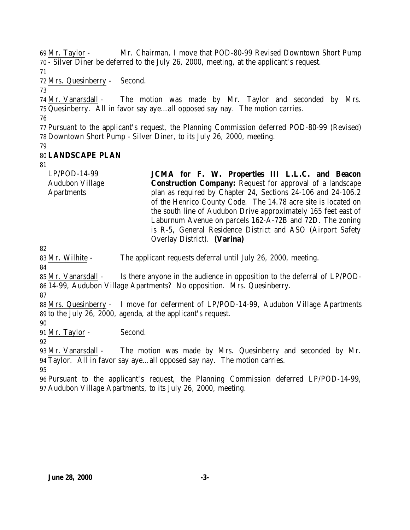Mr. Taylor - Mr. Chairman, I move that POD-80-99 Revised Downtown Short Pump - Silver Diner be deferred to the July 26, 2000, meeting, at the applicant's request.

Mrs. Quesinberry - Second.

 Mr. Vanarsdall - The motion was made by Mr. Taylor and seconded by Mrs. Quesinberry. All in favor say aye…all opposed say nay. The motion carries.

 Pursuant to the applicant's request, the Planning Commission deferred POD-80-99 (Revised) Downtown Short Pump - Silver Diner, to its July 26, 2000, meeting.

## **LANDSCAPE PLAN**

LP/POD-14-99 Audubon Village Apartments **JCMA for F. W. Properties III L.L.C. and Beacon Construction Company:** Request for approval of a landscape plan as required by Chapter 24, Sections 24-106 and 24-106.2 of the Henrico County Code. The 14.78 acre site is located on the south line of Audubon Drive approximately 165 feet east of Laburnum Avenue on parcels 162-A-72B and 72D. The zoning is R-5, General Residence District and ASO (Airport Safety Overlay District). **(Varina)** 

Mr. Wilhite - The applicant requests deferral until July 26, 2000, meeting.

 Mr. Vanarsdall - Is there anyone in the audience in opposition to the deferral of LP/POD-14-99, Audubon Village Apartments? No opposition. Mrs. Quesinberry.

 Mrs. Quesinberry - I move for deferment of LP/POD-14-99, Audubon Village Apartments to the July 26, 2000, agenda, at the applicant's request.

Mr. Taylor - Second.

 Mr. Vanarsdall - The motion was made by Mrs. Quesinberry and seconded by Mr. Taylor. All in favor say aye…all opposed say nay. The motion carries.

 Pursuant to the applicant's request, the Planning Commission deferred LP/POD-14-99, Audubon Village Apartments, to its July 26, 2000, meeting.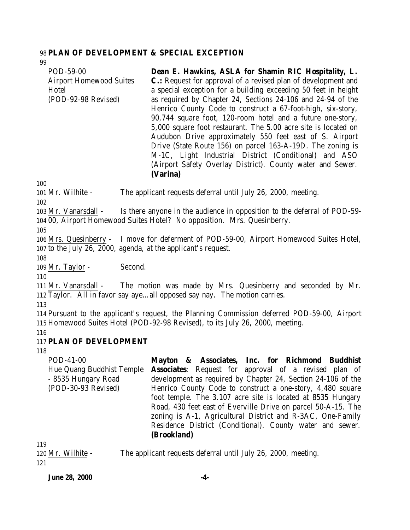#### 98 **PLAN OF DEVELOPMENT & SPECIAL EXCEPTION**

99 POD-59-00 Airport Homewood Suites Hotel (POD-92-98 Revised) **Dean E. Hawkins, ASLA for Shamin RIC Hospitality, L. C.:** Request for approval of a revised plan of development and a special exception for a building exceeding 50 feet in height as required by Chapter 24, Sections 24-106 and 24-94 of the Henrico County Code to construct a 67-foot-high, six-story, 90,744 square foot, 120-room hotel and a future one-story, 5,000 square foot restaurant. The 5.00 acre site is located on Audubon Drive approximately 550 feet east of S. Airport Drive (State Route 156) on parcel 163-A-19D. The zoning is M-1C, Light Industrial District (Conditional) and ASO (Airport Safety Overlay District). County water and Sewer. **(Varina)**

100

101 Mr. Wilhite - The applicant requests deferral until July 26, 2000, meeting.

102

103 Mr. Vanarsdall - Is there anyone in the audience in opposition to the deferral of POD-59- 104 00, Airport Homewood Suites Hotel? No opposition. Mrs. Quesinberry.

105

106 Mrs. Quesinberry - I move for deferment of POD-59-00, Airport Homewood Suites Hotel, 107 to the July 26, 2000, agenda, at the applicant's request.

108

109 Mr. Taylor - Second.

110

111 Mr. Vanarsdall - The motion was made by Mrs. Quesinberry and seconded by Mr. 112 Taylor. All in favor say aye…all opposed say nay. The motion carries.

113

114 Pursuant to the applicant's request, the Planning Commission deferred POD-59-00, Airport 115 Homewood Suites Hotel (POD-92-98 Revised), to its July 26, 2000, meeting.

116

## 117 **PLAN OF DEVELOPMENT**

118

| POD-41-00                 | Mayton & Associates, Inc. for Richmond Buddhist               |
|---------------------------|---------------------------------------------------------------|
| Hue Quang Buddhist Temple | <b>Associates:</b> Request for approval of a revised plan of  |
| - 8535 Hungary Road       | development as required by Chapter 24, Section 24-106 of the  |
| (POD-30-93 Revised)       | Henrico County Code to construct a one-story, 4,480 square    |
|                           | foot temple. The 3.107 acre site is located at 8535 Hungary   |
|                           | Road, 430 feet east of Everville Drive on parcel 50-A-15. The |
|                           | zoning is A-1, Agricultural District and R-3AC, One-Family    |
|                           | Residence District (Conditional). County water and sewer.     |
|                           | (Brookland)                                                   |
|                           |                                                               |

119

120 Mr. Wilhite - The applicant requests deferral until July 26, 2000, meeting. 121

**June 28, 2000 -4-**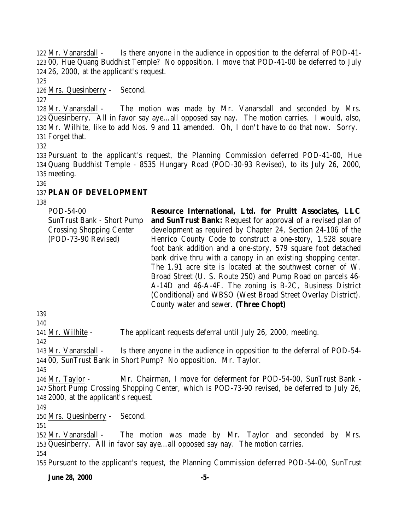Mr. Vanarsdall - Is there anyone in the audience in opposition to the deferral of POD-41- 00, Hue Quang Buddhist Temple? No opposition. I move that POD-41-00 be deferred to July 26, 2000, at the applicant's request.

Mrs. Quesinberry - Second.

 Mr. Vanarsdall - The motion was made by Mr. Vanarsdall and seconded by Mrs. Quesinberry. All in favor say aye…all opposed say nay. The motion carries. I would, also, Mr. Wilhite, like to add Nos. 9 and 11 amended. Oh, I don't have to do that now. Sorry. Forget that.

 Pursuant to the applicant's request, the Planning Commission deferred POD-41-00, Hue Quang Buddhist Temple - 8535 Hungary Road (POD-30-93 Revised), to its July 26, 2000, meeting.

## **PLAN OF DEVELOPMENT**

| POD-54-00                         | Resource International, Ltd. for Pruitt Associates, LLC             |
|-----------------------------------|---------------------------------------------------------------------|
| <b>SunTrust Bank - Short Pump</b> | <b>and SunTrust Bank:</b> Request for approval of a revised plan of |
| <b>Crossing Shopping Center</b>   | development as required by Chapter 24, Section 24-106 of the        |
| (POD-73-90 Revised)               | Henrico County Code to construct a one-story, 1,528 square          |
|                                   | foot bank addition and a one-story, 579 square foot detached        |
|                                   | bank drive thru with a canopy in an existing shopping center.       |
|                                   | The 1.91 acre site is located at the southwest corner of W.         |
|                                   | Broad Street (U. S. Route 250) and Pump Road on parcels 46-         |
|                                   | A-14D and 46-A-4F. The zoning is B-2C, Business District            |
|                                   | (Conditional) and WBSO (West Broad Street Overlay District).        |
|                                   | County water and sewer. (Three Chopt)                               |

Mr. Wilhite - The applicant requests deferral until July 26, 2000, meeting.

 Mr. Vanarsdall - Is there anyone in the audience in opposition to the deferral of POD-54- 00, SunTrust Bank in Short Pump? No opposition. Mr. Taylor.

 Mr. Taylor - Mr. Chairman, I move for deferment for POD-54-00, SunTrust Bank - Short Pump Crossing Shopping Center, which is POD-73-90 revised, be deferred to July 26, 2000, at the applicant's request.

Mrs. Quesinberry - Second.

 Mr. Vanarsdall - The motion was made by Mr. Taylor and seconded by Mrs. Quesinberry. All in favor say aye…all opposed say nay. The motion carries. 

Pursuant to the applicant's request, the Planning Commission deferred POD-54-00, SunTrust

**June 28, 2000 -5-**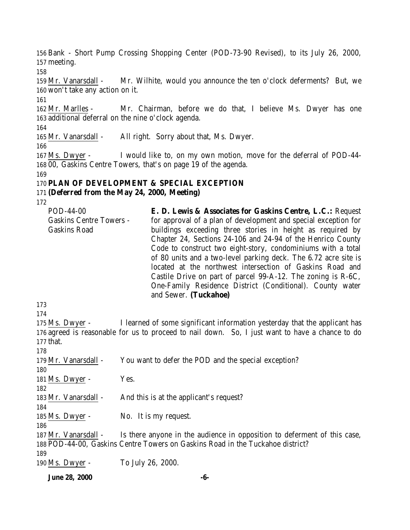Bank - Short Pump Crossing Shopping Center (POD-73-90 Revised), to its July 26, 2000, meeting.

 Mr. Vanarsdall - Mr. Wilhite, would you announce the ten o'clock deferments? But, we won't take any action on it.

 Mr. Marlles - Mr. Chairman, before we do that, I believe Ms. Dwyer has one additional deferral on the nine o'clock agenda.

Mr. Vanarsdall - All right. Sorry about that, Ms. Dwyer.

 Ms. Dwyer - I would like to, on my own motion, move for the deferral of POD-44- 00, Gaskins Centre Towers, that's on page 19 of the agenda.

#### **PLAN OF DEVELOPMENT & SPECIAL EXCEPTION**

#### **(Deferred from the May 24, 2000, Meeting)**

| POD-44-00                      | E. D. Lewis & Associates for Gaskins Centre, L.C.: Request      |
|--------------------------------|-----------------------------------------------------------------|
| <b>Gaskins Centre Towers -</b> | for approval of a plan of development and special exception for |
| <b>Gaskins Road</b>            | buildings exceeding three stories in height as required by      |
|                                | Chapter 24, Sections 24-106 and 24-94 of the Henrico County     |
|                                | Code to construct two eight-story, condominiums with a total    |
|                                | of 80 units and a two-level parking deck. The 6.72 acre site is |
|                                | located at the northwest intersection of Gaskins Road and       |
|                                | Castile Drive on part of parcel $99-A-12$ . The zoning is R-6C, |
|                                | One-Family Residence District (Conditional). County water       |
|                                | and Sewer. (Tuckahoe)                                           |

175 Ms. Dwyer - I learned of some significant information yesterday that the applicant has agreed is reasonable for us to proceed to nail down. So, I just want to have a chance to do that.

 Mr. Vanarsdall - You want to defer the POD and the special exception? 181 Ms. Dwyer - Yes. 183 Mr. Vanarsdall - And this is at the applicant's request? 185 Ms. Dwyer - No. It is my request. Mr. Vanarsdall - Is there anyone in the audience in opposition to deferment of this case, POD-44-00, Gaskins Centre Towers on Gaskins Road in the Tuckahoe district? Ms. Dwyer - To July 26, 2000.

**June 28, 2000 -6-**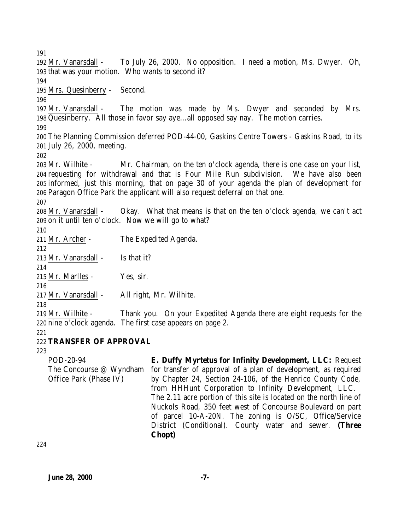Mr. Vanarsdall - To July 26, 2000. No opposition. I need a motion, Ms. Dwyer. Oh, that was your motion. Who wants to second it? Mrs. Quesinberry - Second. Mr. Vanarsdall - The motion was made by Ms. Dwyer and seconded by Mrs. Quesinberry. All those in favor say aye…all opposed say nay. The motion carries. The Planning Commission deferred POD-44-00, Gaskins Centre Towers - Gaskins Road, to its July 26, 2000, meeting. Mr. Wilhite - Mr. Chairman, on the ten o'clock agenda, there is one case on your list, requesting for withdrawal and that is Four Mile Run subdivision. We have also been informed, just this morning, that on page 30 of your agenda the plan of development for Paragon Office Park the applicant will also request deferral on that one. Mr. Vanarsdall - Okay. What that means is that on the ten o'clock agenda, we can't act on it until ten o'clock. Now we will go to what? Mr. Archer - The Expedited Agenda. Mr. Vanarsdall - Is that it? Mr. Marlles - Yes, sir. Mr. Vanarsdall - All right, Mr. Wilhite. Mr. Wilhite - Thank you. On your Expedited Agenda there are eight requests for the nine o'clock agenda. The first case appears on page 2. **TRANSFER OF APPROVAL** POD-20-94 The Concourse @ Wyndham Office Park (Phase IV) **E. Duffy Myrtetus for Infinity Development, LLC:** Request for transfer of approval of a plan of development, as required by Chapter 24, Section 24-106, of the Henrico County Code, from HHHunt Corporation to Infinity Development, LLC. The 2.11 acre portion of this site is located on the north line of Nuckols Road, 350 feet west of Concourse Boulevard on part of parcel 10-A-20N. The zoning is O/SC, Office/Service District (Conditional). County water and sewer. **(Three Chopt)**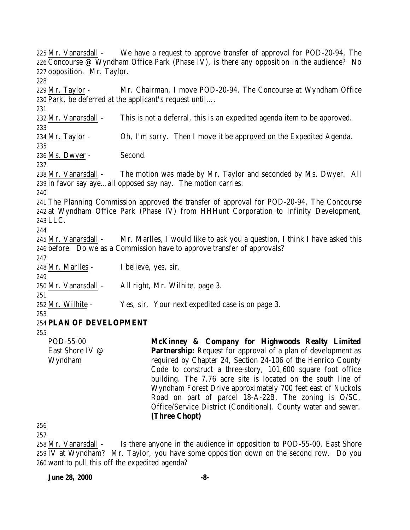Mr. Vanarsdall - We have a request to approve transfer of approval for POD-20-94, The Concourse @ Wyndham Office Park (Phase IV), is there any opposition in the audience? No opposition. Mr. Taylor. Mr. Taylor - Mr. Chairman, I move POD-20-94, The Concourse at Wyndham Office Park, be deferred at the applicant's request until…. Mr. Vanarsdall - This is not a deferral, this is an expedited agenda item to be approved. Mr. Taylor - Oh, I'm sorry. Then I move it be approved on the Expedited Agenda. Ms. Dwyer - Second. Mr. Vanarsdall - The motion was made by Mr. Taylor and seconded by Ms. Dwyer. All in favor say aye…all opposed say nay. The motion carries. The Planning Commission approved the transfer of approval for POD-20-94, The Concourse at Wyndham Office Park (Phase IV) from HHHunt Corporation to Infinity Development, LLC. Mr. Vanarsdall - Mr. Marlles, I would like to ask you a question, I think I have asked this before. Do we as a Commission have to approve transfer of approvals? Mr. Marlles - I believe, yes, sir. Mr. Vanarsdall - All right, Mr. Wilhite, page 3. Mr. Wilhite - Yes, sir. Your next expedited case is on page 3. **PLAN OF DEVELOPMENT** POD-55-00 East Shore IV @ Wyndham **McKinney & Company for Highwoods Realty Limited Partnership:** Request for approval of a plan of development as required by Chapter 24, Section 24-106 of the Henrico County Code to construct a three-story, 101,600 square foot office building. The 7.76 acre site is located on the south line of Wyndham Forest Drive approximately 700 feet east of Nuckols Road on part of parcel 18-A-22B. The zoning is O/SC, Office/Service District (Conditional). County water and sewer. **(Three Chopt)**

 

 Mr. Vanarsdall - Is there anyone in the audience in opposition to POD-55-00, East Shore IV at Wyndham? Mr. Taylor, you have some opposition down on the second row. Do you 260 want to pull this off the expedited agenda?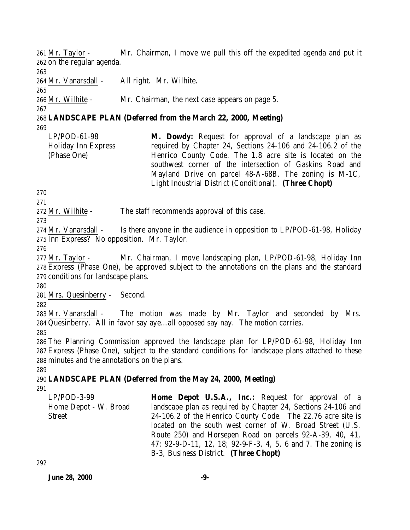261 Mr. Taylor - Mr. Chairman, I move we pull this off the expedited agenda and put it 262 on the regular agenda.

263

264 Mr. Vanarsdall - All right. Mr. Wilhite.

265

267

266 Mr. Wilhite - Mr. Chairman, the next case appears on page 5.

#### 268 **LANDSCAPE PLAN (Deferred from the March 22, 2000, Meeting)** 269

LP/POD-61-98 Holiday Inn Express (Phase One) **M. Dowdy:** Request for approval of a landscape plan as required by Chapter 24, Sections 24-106 and 24-106.2 of the Henrico County Code. The 1.8 acre site is located on the southwest corner of the intersection of Gaskins Road and Mayland Drive on parcel 48-A-68B. The zoning is M-1C, Light Industrial District (Conditional). **(Three Chopt)** 

270

271

272 Mr. Wilhite - The staff recommends approval of this case.

273

274 Mr. Vanarsdall - Is there anyone in the audience in opposition to LP/POD-61-98, Holiday 275 Inn Express? No opposition. Mr. Taylor.

276

277 Mr. Taylor - Mr. Chairman, I move landscaping plan, LP/POD-61-98, Holiday Inn 278 Express (Phase One), be approved subject to the annotations on the plans and the standard 279 conditions for landscape plans.

280

281 Mrs. Quesinberry - Second.

282

283 Mr. Vanarsdall - The motion was made by Mr. Taylor and seconded by Mrs. 284 Quesinberry. All in favor say aye…all opposed say nay. The motion carries.

285

286 The Planning Commission approved the landscape plan for LP/POD-61-98, Holiday Inn 287 Express (Phase One), subject to the standard conditions for landscape plans attached to these 288 minutes and the annotations on the plans.

289

## 290 **LANDSCAPE PLAN (Deferred from the May 24, 2000, Meeting)**

291

| LP/POD-3-99           | <b>Home Depot U.S.A., Inc.:</b> Request for approval of a     |
|-----------------------|---------------------------------------------------------------|
| Home Depot - W. Broad | landscape plan as required by Chapter 24, Sections 24-106 and |
| Street                | 24-106.2 of the Henrico County Code. The 22.76 acre site is   |
|                       | located on the south west corner of W. Broad Street (U.S.     |
|                       | Route 250) and Horsepen Road on parcels 92-A-39, 40, 41,      |
|                       | 47; 92-9-D-11, 12, 18; 92-9-F-3, 4, 5, 6 and 7. The zoning is |
|                       | B-3, Business District. (Three Chopt)                         |

292

**June 28, 2000 -9-**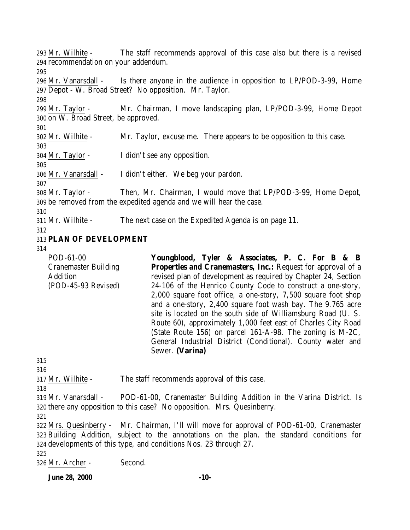Mr. Wilhite - The staff recommends approval of this case also but there is a revised recommendation on your addendum. Mr. Vanarsdall - Is there anyone in the audience in opposition to LP/POD-3-99, Home Depot - W. Broad Street? No opposition. Mr. Taylor. Mr. Taylor - Mr. Chairman, I move landscaping plan, LP/POD-3-99, Home Depot on W. Broad Street, be approved. Mr. Wilhite - Mr. Taylor, excuse me. There appears to be opposition to this case. Mr. Taylor - I didn't see any opposition. Mr. Vanarsdall - I didn't either. We beg your pardon. Mr. Taylor - Then, Mr. Chairman, I would move that LP/POD-3-99, Home Depot, be removed from the expedited agenda and we will hear the case. Mr. Wilhite - The next case on the Expedited Agenda is on page 11. **PLAN OF DEVELOPMENT** POD-61-00 Cranemaster Building Addition (POD-45-93 Revised) **Youngblood, Tyler & Associates, P. C. For B & B Properties and Cranemasters, Inc.:** Request for approval of a revised plan of development as required by Chapter 24, Section 24-106 of the Henrico County Code to construct a one-story, 2,000 square foot office, a one-story, 7,500 square foot shop and a one-story, 2,400 square foot wash bay. The 9.765 acre site is located on the south side of Williamsburg Road (U. S. Route 60), approximately 1,000 feet east of Charles City Road (State Route 156) on parcel 161-A-98. The zoning is M-2C, General Industrial District (Conditional). County water and Sewer. **(Varina)** Mr. Wilhite - The staff recommends approval of this case. Mr. Vanarsdall - POD-61-00, Cranemaster Building Addition in the Varina District. Is there any opposition to this case? No opposition. Mrs. Quesinberry. Mrs. Quesinberry - Mr. Chairman, I'll will move for approval of POD-61-00, Cranemaster Building Addition, subject to the annotations on the plan, the standard conditions for developments of this type, and conditions Nos. 23 through 27. Mr. Archer - Second.

**June 28, 2000 -10-**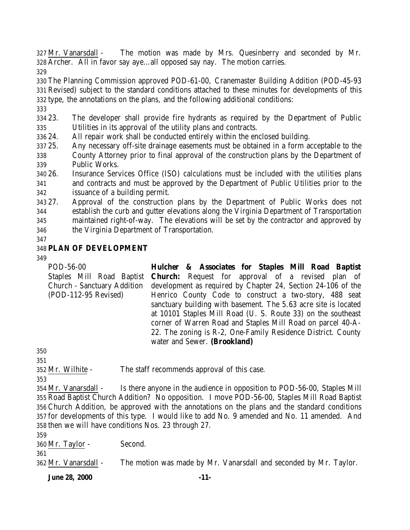Mr. Vanarsdall - The motion was made by Mrs. Quesinberry and seconded by Mr. Archer. All in favor say aye…all opposed say nay. The motion carries.

 The Planning Commission approved POD-61-00, Cranemaster Building Addition (POD-45-93 Revised) subject to the standard conditions attached to these minutes for developments of this type, the annotations on the plans, and the following additional conditions:

 23. The developer shall provide fire hydrants as required by the Department of Public Utilities in its approval of the utility plans and contracts.

24. All repair work shall be conducted entirely within the enclosed building.

25. Any necessary off-site drainage easements must be obtained in a form acceptable to the

 County Attorney prior to final approval of the construction plans by the Department of Public Works.

 26. Insurance Services Office (ISO) calculations must be included with the utilities plans and contracts and must be approved by the Department of Public Utilities prior to the issuance of a building permit.

 27. Approval of the construction plans by the Department of Public Works does not establish the curb and gutter elevations along the Virginia Department of Transportation maintained right-of-way. The elevations will be set by the contractor and approved by the Virginia Department of Transportation.

## **PLAN OF DEVELOPMENT**

POD-56-00 Staples Mill Road Baptist Church - Sanctuary Addition (POD-112-95 Revised) **Hulcher & Associates for Staples Mill Road Baptist Church:** Request for approval of a revised plan of development as required by Chapter 24, Section 24-106 of the Henrico County Code to construct a two-story, 488 seat sanctuary building with basement. The 5.63 acre site is located at 10101 Staples Mill Road (U. S. Route 33) on the southeast corner of Warren Road and Staples Mill Road on parcel 40-A-22. The zoning is R-2, One-Family Residence District. County water and Sewer. **(Brookland)**

 Mr. Wilhite - The staff recommends approval of this case.

 Mr. Vanarsdall - Is there anyone in the audience in opposition to POD-56-00, Staples Mill Road Baptist Church Addition? No opposition. I move POD-56-00, Staples Mill Road Baptist Church Addition, be approved with the annotations on the plans and the standard conditions for developments of this type. I would like to add No. 9 amended and No. 11 amended. And then we will have conditions Nos. 23 through 27.

Mr. Taylor - Second.

Mr. Vanarsdall - The motion was made by Mr. Vanarsdall and seconded by Mr. Taylor.

**June 28, 2000 -11-**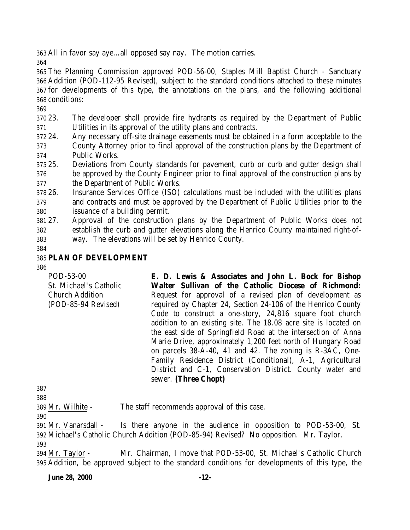All in favor say aye…all opposed say nay. The motion carries.

 The Planning Commission approved POD-56-00, Staples Mill Baptist Church - Sanctuary Addition (POD-112-95 Revised), subject to the standard conditions attached to these minutes for developments of this type, the annotations on the plans, and the following additional conditions:

 23. The developer shall provide fire hydrants as required by the Department of Public Utilities in its approval of the utility plans and contracts.

- 24. Any necessary off-site drainage easements must be obtained in a form acceptable to the County Attorney prior to final approval of the construction plans by the Department of Public Works.
- 25. Deviations from County standards for pavement, curb or curb and gutter design shall be approved by the County Engineer prior to final approval of the construction plans by

the Department of Public Works.

 26. Insurance Services Office (ISO) calculations must be included with the utilities plans and contracts and must be approved by the Department of Public Utilities prior to the issuance of a building permit.

 27. Approval of the construction plans by the Department of Public Works does not establish the curb and gutter elevations along the Henrico County maintained right-of-way. The elevations will be set by Henrico County.

#### **PLAN OF DEVELOPMENT**

| POD-53-00                                     | E. D. Lewis & Associates and John L. Bock for Bishop                                                                                                                                                                                                                                                                                                                                                                                                                                                                                                                                                   |
|-----------------------------------------------|--------------------------------------------------------------------------------------------------------------------------------------------------------------------------------------------------------------------------------------------------------------------------------------------------------------------------------------------------------------------------------------------------------------------------------------------------------------------------------------------------------------------------------------------------------------------------------------------------------|
| St. Michael's Catholic                        | Walter Sullivan of the Catholic Diocese of Richmond:                                                                                                                                                                                                                                                                                                                                                                                                                                                                                                                                                   |
| <b>Church Addition</b><br>(POD-85-94 Revised) | Request for approval of a revised plan of development as<br>required by Chapter 24, Section 24-106 of the Henrico County<br>Code to construct a one-story, 24,816 square foot church<br>addition to an existing site. The 18.08 acre site is located on<br>the east side of Springfield Road at the intersection of Anna<br>Marie Drive, approximately 1,200 feet north of Hungary Road<br>on parcels 38-A-40, 41 and 42. The zoning is R-3AC, One-<br>Family Residence District (Conditional), A-1, Agricultural<br>District and C-1, Conservation District. County water and<br>sewer. (Three Chopt) |

Mr. Wilhite - The staff recommends approval of this case.

 Mr. Vanarsdall - Is there anyone in the audience in opposition to POD-53-00, St. Michael's Catholic Church Addition (POD-85-94) Revised? No opposition. Mr. Taylor. 

 Mr. Taylor - Mr. Chairman, I move that POD-53-00, St. Michael's Catholic Church Addition, be approved subject to the standard conditions for developments of this type, the

**June 28, 2000 -12-**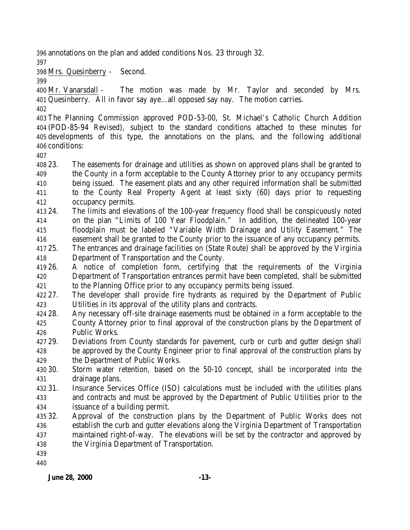annotations on the plan and added conditions Nos. 23 through 32.

Mrs. Quesinberry - Second.

 Mr. Vanarsdall - The motion was made by Mr. Taylor and seconded by Mrs. Quesinberry. All in favor say aye…all opposed say nay. The motion carries.

 The Planning Commission approved POD-53-00, St. Michael's Catholic Church Addition (POD-85-94 Revised), subject to the standard conditions attached to these minutes for developments of this type, the annotations on the plans, and the following additional conditions:

 23. The easements for drainage and utilities as shown on approved plans shall be granted to the County in a form acceptable to the County Attorney prior to any occupancy permits being issued. The easement plats and any other required information shall be submitted to the County Real Property Agent at least sixty (60) days prior to requesting occupancy permits.

- 24. The limits and elevations of the 100-year frequency flood shall be conspicuously noted on the plan "Limits of 100 Year Floodplain." In addition, the delineated 100-year floodplain must be labeled "Variable Width Drainage and Utility Easement." The easement shall be granted to the County prior to the issuance of any occupancy permits.
- 25. The entrances and drainage facilities on (State Route) shall be approved by the Virginia Department of Transportation and the County.
- 26. A notice of completion form, certifying that the requirements of the Virginia Department of Transportation entrances permit have been completed, shall be submitted to the Planning Office prior to any occupancy permits being issued.
- 27. The developer shall provide fire hydrants as required by the Department of Public Utilities in its approval of the utility plans and contracts.
- 28. Any necessary off-site drainage easements must be obtained in a form acceptable to the County Attorney prior to final approval of the construction plans by the Department of Public Works.
- 29. Deviations from County standards for pavement, curb or curb and gutter design shall be approved by the County Engineer prior to final approval of the construction plans by
- the Department of Public Works.
- 30. Storm water retention, based on the 50-10 concept, shall be incorporated into the drainage plans.
- 31. Insurance Services Office (ISO) calculations must be included with the utilities plans and contracts and must be approved by the Department of Public Utilities prior to the issuance of a building permit.
- 32. Approval of the construction plans by the Department of Public Works does not establish the curb and gutter elevations along the Virginia Department of Transportation maintained right-of-way. The elevations will be set by the contractor and approved by the Virginia Department of Transportation.
- 
-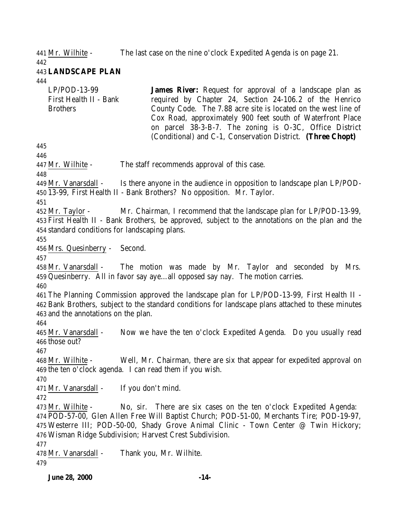Mr. Wilhite - The last case on the nine o'clock Expedited Agenda is on page 21.

 **LANDSCAPE PLAN**

LP/POD-13-99 First Health II - Bank Brothers **James River:** Request for approval of a landscape plan as required by Chapter 24, Section 24-106.2 of the Henrico County Code. The 7.88 acre site is located on the west line of Cox Road, approximately 900 feet south of Waterfront Place on parcel 38-3-B-7. The zoning is O-3C, Office District (Conditional) and C-1, Conservation District. **(Three Chopt)**  Mr. Wilhite - The staff recommends approval of this case. Mr. Vanarsdall - Is there anyone in the audience in opposition to landscape plan LP/POD- 13-99, First Health II - Bank Brothers? No opposition. Mr. Taylor. Mr. Taylor - Mr. Chairman, I recommend that the landscape plan for LP/POD-13-99, First Health II - Bank Brothers, be approved, subject to the annotations on the plan and the standard conditions for landscaping plans. Mrs. Quesinberry - Second. Mr. Vanarsdall - The motion was made by Mr. Taylor and seconded by Mrs. Quesinberry. All in favor say aye…all opposed say nay. The motion carries. The Planning Commission approved the landscape plan for LP/POD-13-99, First Health II - Bank Brothers, subject to the standard conditions for landscape plans attached to these minutes and the annotations on the plan. Mr. Vanarsdall - Now we have the ten o'clock Expedited Agenda. Do you usually read those out? Mr. Wilhite - Well, Mr. Chairman, there are six that appear for expedited approval on the ten o'clock agenda. I can read them if you wish. 471 Mr. Vanarsdall - If you don't mind. Mr. Wilhite - No, sir. There are six cases on the ten o'clock Expedited Agenda: POD-57-00, Glen Allen Free Will Baptist Church; POD-51-00, Merchants Tire; POD-19-97, Westerre III; POD-50-00, Shady Grove Animal Clinic - Town Center @ Twin Hickory; Wisman Ridge Subdivision; Harvest Crest Subdivision. Mr. Vanarsdall - Thank you, Mr. Wilhite. 

**June 28, 2000 -14-**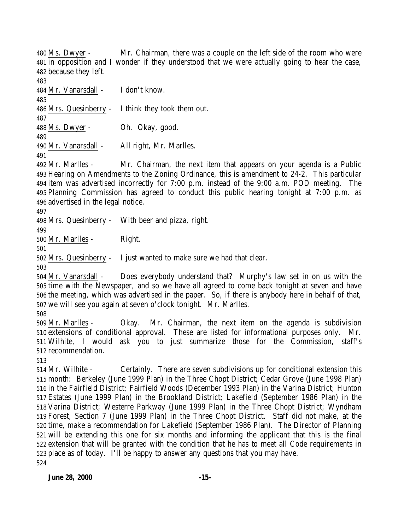Ms. Dwyer - Mr. Chairman, there was a couple on the left side of the room who were in opposition and I wonder if they understood that we were actually going to hear the case, because they left.

 Mr. Vanarsdall - I don't know. Mrs. Quesinberry - I think they took them out. Ms. Dwyer - Oh. Okay, good. Mr. Vanarsdall - All right, Mr. Marlles. 

 Mr. Marlles - Mr. Chairman, the next item that appears on your agenda is a Public Hearing on Amendments to the Zoning Ordinance, this is amendment to 24-2. This particular item was advertised incorrectly for 7:00 p.m. instead of the 9:00 a.m. POD meeting. The Planning Commission has agreed to conduct this public hearing tonight at 7:00 p.m. as advertised in the legal notice.

Mrs. Quesinberry - With beer and pizza, right.

Mr. Marlles - Right.

Mrs. Quesinberry - I just wanted to make sure we had that clear.

 Mr. Vanarsdall - Does everybody understand that? Murphy's law set in on us with the time with the Newspaper, and so we have all agreed to come back tonight at seven and have the meeting, which was advertised in the paper. So, if there is anybody here in behalf of that, we will see you again at seven o'clock tonight. Mr. Marlles.

 Mr. Marlles - Okay. Mr. Chairman, the next item on the agenda is subdivision extensions of conditional approval. These are listed for informational purposes only. Mr. Wilhite, I would ask you to just summarize those for the Commission, staff's recommendation.

 Mr. Wilhite - Certainly. There are seven subdivisions up for conditional extension this month: Berkeley (June 1999 Plan) in the Three Chopt District; Cedar Grove (June 1998 Plan) in the Fairfield District; Fairfield Woods (December 1993 Plan) in the Varina District; Hunton Estates (June 1999 Plan) in the Brookland District; Lakefield (September 1986 Plan) in the Varina District; Westerre Parkway (June 1999 Plan) in the Three Chopt District; Wyndham Forest, Section 7 (June 1999 Plan) in the Three Chopt District. Staff did not make, at the time, make a recommendation for Lakefield (September 1986 Plan). The Director of Planning will be extending this one for six months and informing the applicant that this is the final extension that will be granted with the condition that he has to meet all Code requirements in place as of today. I'll be happy to answer any questions that you may have.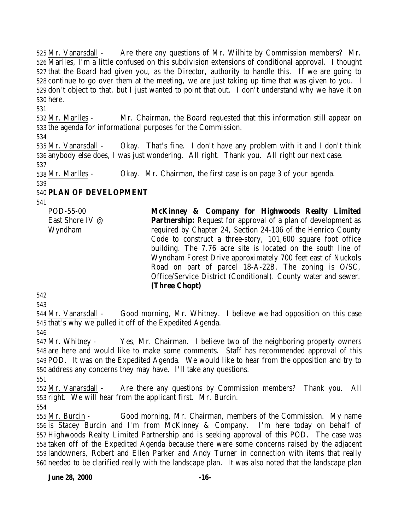Mr. Vanarsdall - Are there any questions of Mr. Wilhite by Commission members? Mr. Marlles, I'm a little confused on this subdivision extensions of conditional approval. I thought that the Board had given you, as the Director, authority to handle this. If we are going to continue to go over them at the meeting, we are just taking up time that was given to you. I don't object to that, but I just wanted to point that out. I don't understand why we have it on here.

 Mr. Marlles - Mr. Chairman, the Board requested that this information still appear on the agenda for informational purposes for the Commission.

 Mr. Vanarsdall - Okay. That's fine. I don't have any problem with it and I don't think anybody else does, I was just wondering. All right. Thank you. All right our next case. 

Mr. Marlles - Okay. Mr. Chairman, the first case is on page 3 of your agenda.

## **PLAN OF DEVELOPMENT**

POD-55-00 East Shore IV @ Wyndham **McKinney & Company for Highwoods Realty Limited Partnership:** Request for approval of a plan of development as required by Chapter 24, Section 24-106 of the Henrico County Code to construct a three-story, 101,600 square foot office building. The 7.76 acre site is located on the south line of Wyndham Forest Drive approximately 700 feet east of Nuckols Road on part of parcel 18-A-22B. The zoning is O/SC, Office/Service District (Conditional). County water and sewer. **(Three Chopt)**

 

 Mr. Vanarsdall - Good morning, Mr. Whitney. I believe we had opposition on this case that's why we pulled it off of the Expedited Agenda.

 Mr. Whitney - Yes, Mr. Chairman. I believe two of the neighboring property owners are here and would like to make some comments. Staff has recommended approval of this POD. It was on the Expedited Agenda. We would like to hear from the opposition and try to address any concerns they may have. I'll take any questions.

 Mr. Vanarsdall - Are there any questions by Commission members? Thank you. All right. We will hear from the applicant first. Mr. Burcin.

 Mr. Burcin - Good morning, Mr. Chairman, members of the Commission. My name is Stacey Burcin and I'm from McKinney & Company. I'm here today on behalf of Highwoods Realty Limited Partnership and is seeking approval of this POD. The case was taken off of the Expedited Agenda because there were some concerns raised by the adjacent landowners, Robert and Ellen Parker and Andy Turner in connection with items that really needed to be clarified really with the landscape plan. It was also noted that the landscape plan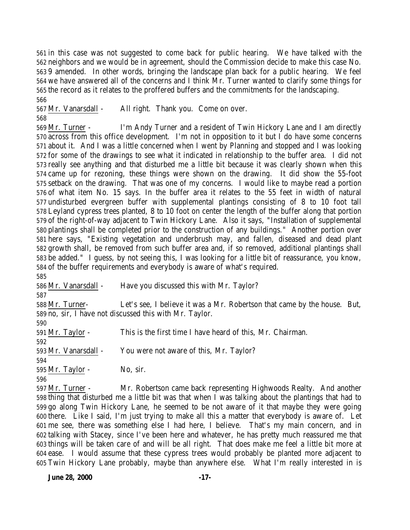in this case was not suggested to come back for public hearing. We have talked with the neighbors and we would be in agreement, should the Commission decide to make this case No. 9 amended. In other words, bringing the landscape plan back for a public hearing. We feel we have answered all of the concerns and I think Mr. Turner wanted to clarify some things for the record as it relates to the proffered buffers and the commitments for the landscaping. 

 Mr. Vanarsdall - All right. Thank you. Come on over. 

 Mr. Turner - I'm Andy Turner and a resident of Twin Hickory Lane and I am directly across from this office development. I'm not in opposition to it but I do have some concerns about it. And I was a little concerned when I went by Planning and stopped and I was looking for some of the drawings to see what it indicated in relationship to the buffer area. I did not really see anything and that disturbed me a little bit because it was clearly shown when this came up for rezoning, these things were shown on the drawing. It did show the 55-foot setback on the drawing. That was one of my concerns. I would like to maybe read a portion of what item No. 15 says. In the buffer area it relates to the 55 feet in width of natural undisturbed evergreen buffer with supplemental plantings consisting of 8 to 10 foot tall Leyland cypress trees planted, 8 to 10 foot on center the length of the buffer along that portion of the right-of-way adjacent to Twin Hickory Lane. Also it says, "Installation of supplemental plantings shall be completed prior to the construction of any buildings." Another portion over here says, "Existing vegetation and underbrush may, and fallen, diseased and dead plant growth shall, be removed from such buffer area and, if so removed, additional plantings shall be added." I guess, by not seeing this, I was looking for a little bit of reassurance, you know, of the buffer requirements and everybody is aware of what's required.

Mr. Vanarsdall - Have you discussed this with Mr. Taylor?

 Mr. Turner- Let's see, I believe it was a Mr. Robertson that came by the house. But, no, sir, I have not discussed this with Mr. Taylor.

 Mr. Taylor - This is the first time I have heard of this, Mr. Chairman. 593 Mr. Vanarsdall - You were not aware of this, Mr. Taylor? Mr. Taylor - No, sir. 

 Mr. Turner - Mr. Robertson came back representing Highwoods Realty. And another thing that disturbed me a little bit was that when I was talking about the plantings that had to go along Twin Hickory Lane, he seemed to be not aware of it that maybe they were going there. Like I said, I'm just trying to make all this a matter that everybody is aware of. Let me see, there was something else I had here, I believe. That's my main concern, and in talking with Stacey, since I've been here and whatever, he has pretty much reassured me that things will be taken care of and will be all right. That does make me feel a little bit more at ease. I would assume that these cypress trees would probably be planted more adjacent to Twin Hickory Lane probably, maybe than anywhere else. What I'm really interested in is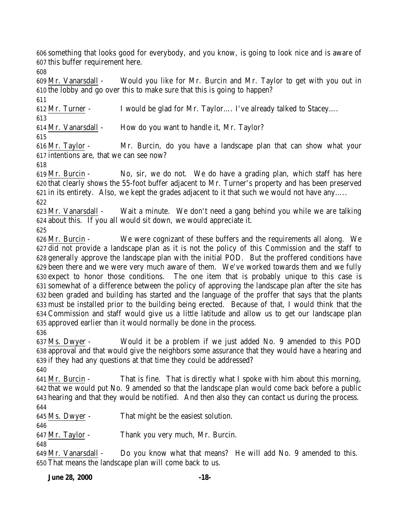something that looks good for everybody, and you know, is going to look nice and is aware of this buffer requirement here.

 Mr. Vanarsdall - Would you like for Mr. Burcin and Mr. Taylor to get with you out in the lobby and go over this to make sure that this is going to happen?

Mr. Turner - I would be glad for Mr. Taylor…. I've already talked to Stacey….

Mr. Vanarsdall - How do you want to handle it, Mr. Taylor?

 Mr. Taylor - Mr. Burcin, do you have a landscape plan that can show what your intentions are, that we can see now?

 Mr. Burcin - No, sir, we do not. We do have a grading plan, which staff has here that clearly shows the 55-foot buffer adjacent to Mr. Turner's property and has been preserved in its entirety. Also, we kept the grades adjacent to it that such we would not have any…..

 Mr. Vanarsdall - Wait a minute. We don't need a gang behind you while we are talking about this. If you all would sit down, we would appreciate it.

 Mr. Burcin - We were cognizant of these buffers and the requirements all along. We did not provide a landscape plan as it is not the policy of this Commission and the staff to generally approve the landscape plan with the initial POD. But the proffered conditions have been there and we were very much aware of them. We've worked towards them and we fully expect to honor those conditions. The one item that is probably unique to this case is somewhat of a difference between the policy of approving the landscape plan after the site has been graded and building has started and the language of the proffer that says that the plants must be installed prior to the building being erected. Because of that, I would think that the Commission and staff would give us a little latitude and allow us to get our landscape plan approved earlier than it would normally be done in the process. 

 Ms. Dwyer - Would it be a problem if we just added No. 9 amended to this POD approval and that would give the neighbors some assurance that they would have a hearing and if they had any questions at that time they could be addressed?

 Mr. Burcin - That is fine. That is directly what I spoke with him about this morning, that we would put No. 9 amended so that the landscape plan would come back before a public hearing and that they would be notified. And then also they can contact us during the process. 

Ms. Dwyer - That might be the easiest solution.

Mr. Taylor - Thank you very much, Mr. Burcin.

 Mr. Vanarsdall - Do you know what that means? He will add No. 9 amended to this. That means the landscape plan will come back to us.

**June 28, 2000 -18-**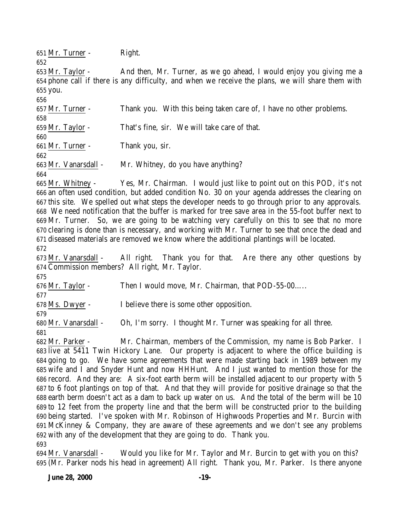Mr. Turner - Right.

 Mr. Taylor - And then, Mr. Turner, as we go ahead, I would enjoy you giving me a phone call if there is any difficulty, and when we receive the plans, we will share them with you.

 Mr. Turner - Thank you. With this being taken care of, I have no other problems. Mr. Taylor - That's fine, sir. We will take care of that. Mr. Turner - Thank you, sir. Mr. Vanarsdall - Mr. Whitney, do you have anything?

 Mr. Whitney - Yes, Mr. Chairman. I would just like to point out on this POD, it's not an often used condition, but added condition No. 30 on your agenda addresses the clearing on this site. We spelled out what steps the developer needs to go through prior to any approvals. We need notification that the buffer is marked for tree save area in the 55-foot buffer next to Mr. Turner. So, we are going to be watching very carefully on this to see that no more clearing is done than is necessary, and working with Mr. Turner to see that once the dead and diseased materials are removed we know where the additional plantings will be located.

 Mr. Vanarsdall - All right. Thank you for that. Are there any other questions by Commission members? All right, Mr. Taylor.

 Mr. Taylor - Then I would move, Mr. Chairman, that POD-55-00….. 

Ms. Dwyer - I believe there is some other opposition.

 Mr. Vanarsdall - Oh, I'm sorry. I thought Mr. Turner was speaking for all three. 

 Mr. Parker - Mr. Chairman, members of the Commission, my name is Bob Parker. I live at 5411 Twin Hickory Lane. Our property is adjacent to where the office building is going to go. We have some agreements that were made starting back in 1989 between my wife and I and Snyder Hunt and now HHHunt. And I just wanted to mention those for the record. And they are: A six-foot earth berm will be installed adjacent to our property with 5 to 6 foot plantings on top of that. And that they will provide for positive drainage so that the earth berm doesn't act as a dam to back up water on us. And the total of the berm will be 10 to 12 feet from the property line and that the berm will be constructed prior to the building being started. I've spoken with Mr. Robinson of Highwoods Properties and Mr. Burcin with McKinney & Company, they are aware of these agreements and we don't see any problems with any of the development that they are going to do. Thank you. 

 Mr. Vanarsdall - Would you like for Mr. Taylor and Mr. Burcin to get with you on this? (Mr. Parker nods his head in agreement) All right. Thank you, Mr. Parker. Is there anyone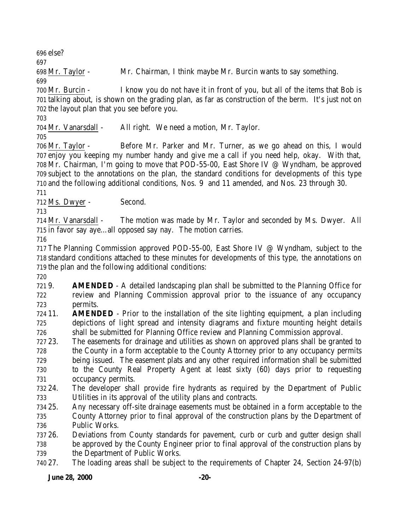else?

Mr. Taylor - Mr. Chairman, I think maybe Mr. Burcin wants to say something.

 Mr. Burcin - I know you do not have it in front of you, but all of the items that Bob is talking about, is shown on the grading plan, as far as construction of the berm. It's just not on the layout plan that you see before you.

Mr. Vanarsdall - All right. We need a motion, Mr. Taylor.

 Mr. Taylor - Before Mr. Parker and Mr. Turner, as we go ahead on this, I would enjoy you keeping my number handy and give me a call if you need help, okay. With that, Mr. Chairman, I'm going to move that POD-55-00, East Shore IV @ Wyndham, be approved subject to the annotations on the plan, the standard conditions for developments of this type and the following additional conditions, Nos. 9 and 11 amended, and Nos. 23 through 30.

Ms. Dwyer - Second.

 Mr. Vanarsdall - The motion was made by Mr. Taylor and seconded by Ms. Dwyer. All in favor say aye…all opposed say nay. The motion carries.

 The Planning Commission approved POD-55-00, East Shore IV @ Wyndham, subject to the standard conditions attached to these minutes for developments of this type, the annotations on the plan and the following additional conditions:

 9. **AMENDED** - A detailed landscaping plan shall be submitted to the Planning Office for review and Planning Commission approval prior to the issuance of any occupancy permits.

- 11. **AMENDED** Prior to the installation of the site lighting equipment, a plan including depictions of light spread and intensity diagrams and fixture mounting height details shall be submitted for Planning Office review and Planning Commission approval.
- 23. The easements for drainage and utilities as shown on approved plans shall be granted to the County in a form acceptable to the County Attorney prior to any occupancy permits being issued. The easement plats and any other required information shall be submitted to the County Real Property Agent at least sixty (60) days prior to requesting occupancy permits.
- 24. The developer shall provide fire hydrants as required by the Department of Public Utilities in its approval of the utility plans and contracts.
- 25. Any necessary off-site drainage easements must be obtained in a form acceptable to the
- County Attorney prior to final approval of the construction plans by the Department of Public Works.
- 26. Deviations from County standards for pavement, curb or curb and gutter design shall be approved by the County Engineer prior to final approval of the construction plans by the Department of Public Works.
- 27. The loading areas shall be subject to the requirements of Chapter 24, Section 24-97(b)

**June 28, 2000 -20-**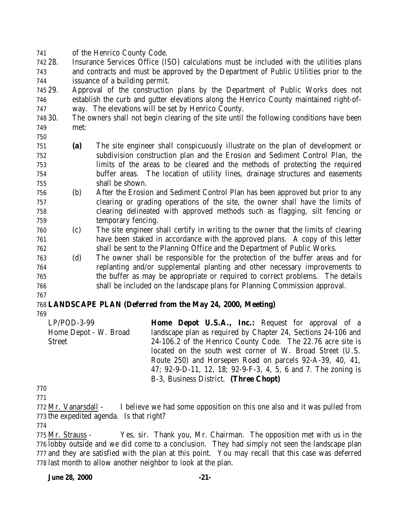of the Henrico County Code.

 28. Insurance Services Office (ISO) calculations must be included with the utilities plans and contracts and must be approved by the Department of Public Utilities prior to the issuance of a building permit.

 29. Approval of the construction plans by the Department of Public Works does not establish the curb and gutter elevations along the Henrico County maintained right-of-way. The elevations will be set by Henrico County.

- 30. The owners shall not begin clearing of the site until the following conditions have been met:
- 
- **(a)** The site engineer shall conspicuously illustrate on the plan of development or subdivision construction plan and the Erosion and Sediment Control Plan, the limits of the areas to be cleared and the methods of protecting the required buffer areas. The location of utility lines, drainage structures and easements shall be shown.
- (b) After the Erosion and Sediment Control Plan has been approved but prior to any clearing or grading operations of the site, the owner shall have the limits of clearing delineated with approved methods such as flagging, silt fencing or temporary fencing.
- (c) The site engineer shall certify in writing to the owner that the limits of clearing have been staked in accordance with the approved plans. A copy of this letter shall be sent to the Planning Office and the Department of Public Works.
- (d) The owner shall be responsible for the protection of the buffer areas and for replanting and/or supplemental planting and other necessary improvements to the buffer as may be appropriate or required to correct problems. The details shall be included on the landscape plans for Planning Commission approval.
- 

## **LANDSCAPE PLAN (Deferred from the May 24, 2000, Meeting)**

LP/POD-3-99 Home Depot - W. Broad Street **Home Depot U.S.A., Inc.:** Request for approval of a landscape plan as required by Chapter 24, Sections 24-106 and 24-106.2 of the Henrico County Code. The 22.76 acre site is located on the south west corner of W. Broad Street (U.S. Route 250) and Horsepen Road on parcels 92-A-39, 40, 41, 47; 92-9-D-11, 12, 18; 92-9-F-3, 4, 5, 6 and 7. The zoning is B-3, Business District. **(Three Chopt)** 

 Mr. Vanarsdall - I believe we had some opposition on this one also and it was pulled from the expedited agenda. Is that right?

 Mr. Strauss - Yes, sir. Thank you, Mr. Chairman. The opposition met with us in the lobby outside and we did come to a conclusion. They had simply not seen the landscape plan and they are satisfied with the plan at this point. You may recall that this case was deferred last month to allow another neighbor to look at the plan.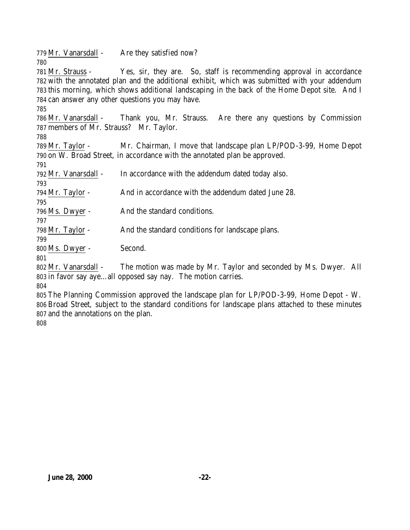779 Mr. Vanarsdall - Are they satisfied now? Mr. Strauss - Yes, sir, they are. So, staff is recommending approval in accordance with the annotated plan and the additional exhibit, which was submitted with your addendum this morning, which shows additional landscaping in the back of the Home Depot site. And I can answer any other questions you may have. Mr. Vanarsdall - Thank you, Mr. Strauss. Are there any questions by Commission members of Mr. Strauss? Mr. Taylor. Mr. Taylor - Mr. Chairman, I move that landscape plan LP/POD-3-99, Home Depot on W. Broad Street, in accordance with the annotated plan be approved. Mr. Vanarsdall - In accordance with the addendum dated today also. Mr. Taylor - And in accordance with the addendum dated June 28. Ms. Dwyer - And the standard conditions. Mr. Taylor - And the standard conditions for landscape plans. Ms. Dwyer - Second. Mr. Vanarsdall - The motion was made by Mr. Taylor and seconded by Ms. Dwyer. All in favor say aye…all opposed say nay. The motion carries.

 The Planning Commission approved the landscape plan for LP/POD-3-99, Home Depot - W. Broad Street, subject to the standard conditions for landscape plans attached to these minutes and the annotations on the plan.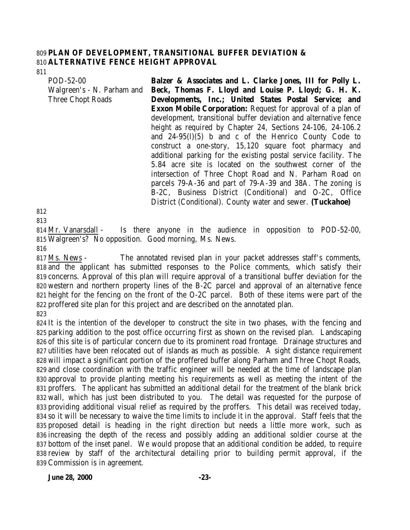#### **PLAN OF DEVELOPMENT, TRANSITIONAL BUFFER DEVIATION & ALTERNATIVE FENCE HEIGHT APPROVAL**

POD-52-00 Walgreen's - N. Parham and Three Chopt Roads **Balzer & Associates and L. Clarke Jones, III for Polly L. Beck, Thomas F. Lloyd and Louise P. Lloyd; G. H. K. Developments, Inc.; United States Postal Service; and Exxon Mobile Corporation:** Request for approval of a plan of development, transitional buffer deviation and alternative fence height as required by Chapter 24, Sections 24-106, 24-106.2 and 24-95(l)(5) b and c of the Henrico County Code to construct a one-story, 15,120 square foot pharmacy and additional parking for the existing postal service facility. The 5.84 acre site is located on the southwest corner of the intersection of Three Chopt Road and N. Parham Road on parcels 79-A-36 and part of 79-A-39 and 38A. The zoning is B-2C, Business District (Conditional) and O-2C, Office District (Conditional). County water and sewer. **(Tuckahoe)**

 Mr. Vanarsdall - Is there anyone in the audience in opposition to POD-52-00, Walgreen's? No opposition. Good morning, Ms. News.

 Ms. News - The annotated revised plan in your packet addresses staff's comments, and the applicant has submitted responses to the Police comments, which satisfy their concerns. Approval of this plan will require approval of a transitional buffer deviation for the western and northern property lines of the B-2C parcel and approval of an alternative fence height for the fencing on the front of the O-2C parcel. Both of these items were part of the proffered site plan for this project and are described on the annotated plan. 

 It is the intention of the developer to construct the site in two phases, with the fencing and parking addition to the post office occurring first as shown on the revised plan. Landscaping of this site is of particular concern due to its prominent road frontage. Drainage structures and utilities have been relocated out of islands as much as possible. A sight distance requirement will impact a significant portion of the proffered buffer along Parham and Three Chopt Roads, and close coordination with the traffic engineer will be needed at the time of landscape plan approval to provide planting meeting his requirements as well as meeting the intent of the proffers. The applicant has submitted an additional detail for the treatment of the blank brick wall, which has just been distributed to you. The detail was requested for the purpose of providing additional visual relief as required by the proffers. This detail was received today, so it will be necessary to waive the time limits to include it in the approval. Staff feels that the proposed detail is heading in the right direction but needs a little more work, such as increasing the depth of the recess and possibly adding an additional soldier course at the bottom of the inset panel. We would propose that an additional condition be added, to require review by staff of the architectural detailing prior to building permit approval, if the Commission is in agreement.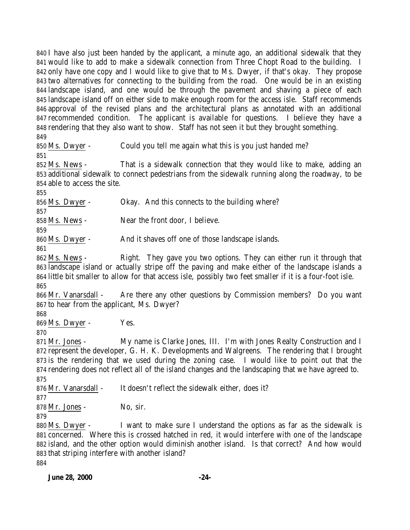I have also just been handed by the applicant, a minute ago, an additional sidewalk that they would like to add to make a sidewalk connection from Three Chopt Road to the building. I only have one copy and I would like to give that to Ms. Dwyer, if that's okay. They propose two alternatives for connecting to the building from the road. One would be in an existing landscape island, and one would be through the pavement and shaving a piece of each landscape island off on either side to make enough room for the access isle. Staff recommends approval of the revised plans and the architectural plans as annotated with an additional recommended condition. The applicant is available for questions. I believe they have a rendering that they also want to show. Staff has not seen it but they brought something.

Ms. Dwyer - Could you tell me again what this is you just handed me?

 Ms. News - That is a sidewalk connection that they would like to make, adding an additional sidewalk to connect pedestrians from the sidewalk running along the roadway, to be able to access the site.

856 Ms. Dwyer - Okay. And this connects to the building where?

858 Ms. News - Near the front door, I believe.

 Ms. Dwyer - And it shaves off one of those landscape islands.

 Ms. News - Right. They gave you two options. They can either run it through that landscape island or actually stripe off the paving and make either of the landscape islands a little bit smaller to allow for that access isle, possibly two feet smaller if it is a four-foot isle. 

 Mr. Vanarsdall - Are there any other questions by Commission members? Do you want to hear from the applicant, Ms. Dwyer?

Ms. Dwyer - Yes.

 Mr. Jones - My name is Clarke Jones, III. I'm with Jones Realty Construction and I represent the developer, G. H. K. Developments and Walgreens. The rendering that I brought is the rendering that we used during the zoning case. I would like to point out that the rendering does not reflect all of the island changes and the landscaping that we have agreed to. 

876 Mr. Vanarsdall - It doesn't reflect the sidewalk either, does it?

Mr. Jones - No, sir.

880 Ms. Dwyer - I want to make sure I understand the options as far as the sidewalk is concerned. Where this is crossed hatched in red, it would interfere with one of the landscape island, and the other option would diminish another island. Is that correct? And how would that striping interfere with another island?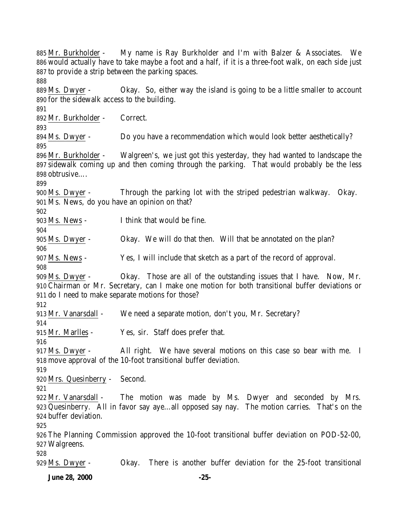Mr. Burkholder - My name is Ray Burkholder and I'm with Balzer & Associates. We would actually have to take maybe a foot and a half, if it is a three-foot walk, on each side just to provide a strip between the parking spaces. Ms. Dwyer - Okay. So, either way the island is going to be a little smaller to account for the sidewalk access to the building. Mr. Burkholder - Correct. Ms. Dwyer - Do you have a recommendation which would look better aesthetically? Mr. Burkholder - Walgreen's, we just got this yesterday, they had wanted to landscape the sidewalk coming up and then coming through the parking. That would probably be the less obtrusive…. Ms. Dwyer - Through the parking lot with the striped pedestrian walkway. Okay. Ms. News, do you have an opinion on that? Ms. News - I think that would be fine. Ms. Dwyer - Okay. We will do that then. Will that be annotated on the plan? Ms. News - Yes, I will include that sketch as a part of the record of approval. Ms. Dwyer - Okay. Those are all of the outstanding issues that I have. Now, Mr. Chairman or Mr. Secretary, can I make one motion for both transitional buffer deviations or do I need to make separate motions for those? Mr. Vanarsdall - We need a separate motion, don't you, Mr. Secretary? Mr. Marlles - Yes, sir. Staff does prefer that. Ms. Dwyer - All right. We have several motions on this case so bear with me. I move approval of the 10-foot transitional buffer deviation. Mrs. Quesinberry - Second. Mr. Vanarsdall - The motion was made by Ms. Dwyer and seconded by Mrs. Quesinberry. All in favor say aye…all opposed say nay. The motion carries. That's on the buffer deviation. The Planning Commission approved the 10-foot transitional buffer deviation on POD-52-00, Walgreens. Ms. Dwyer - Okay. There is another buffer deviation for the 25-foot transitional

**June 28, 2000 -25-**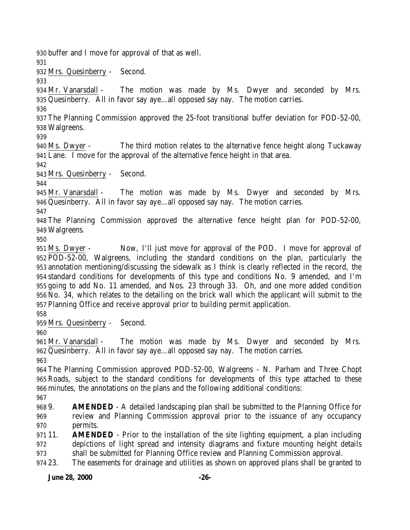**June 28, 2000 -26-** buffer and I move for approval of that as well. Mrs. Quesinberry - Second. Mr. Vanarsdall - The motion was made by Ms. Dwyer and seconded by Mrs. Quesinberry. All in favor say aye…all opposed say nay. The motion carries. The Planning Commission approved the 25-foot transitional buffer deviation for POD-52-00, Walgreens. Ms. Dwyer - The third motion relates to the alternative fence height along Tuckaway Lane. I move for the approval of the alternative fence height in that area. Mrs. Quesinberry - Second. Mr. Vanarsdall - The motion was made by Ms. Dwyer and seconded by Mrs. Quesinberry. All in favor say aye…all opposed say nay. The motion carries. The Planning Commission approved the alternative fence height plan for POD-52-00, Walgreens. Ms. Dwyer - Now, I'll just move for approval of the POD. I move for approval of POD-52-00, Walgreens, including the standard conditions on the plan, particularly the annotation mentioning/discussing the sidewalk as I think is clearly reflected in the record, the standard conditions for developments of this type and conditions No. 9 amended, and I'm going to add No. 11 amended, and Nos. 23 through 33. Oh, and one more added condition No. 34, which relates to the detailing on the brick wall which the applicant will submit to the Planning Office and receive approval prior to building permit application. Mrs. Quesinberry - Second. Mr. Vanarsdall - The motion was made by Ms. Dwyer and seconded by Mrs. Quesinberry. All in favor say aye…all opposed say nay. The motion carries. The Planning Commission approved POD-52-00, Walgreens - N. Parham and Three Chopt Roads, subject to the standard conditions for developments of this type attached to these minutes, the annotations on the plans and the following additional conditions: 9. **AMENDED** - A detailed landscaping plan shall be submitted to the Planning Office for review and Planning Commission approval prior to the issuance of any occupancy permits. 11. **AMENDED** - Prior to the installation of the site lighting equipment, a plan including depictions of light spread and intensity diagrams and fixture mounting height details shall be submitted for Planning Office review and Planning Commission approval. 23. The easements for drainage and utilities as shown on approved plans shall be granted to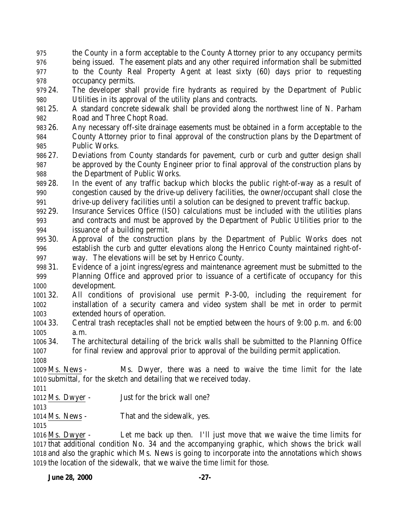- the County in a form acceptable to the County Attorney prior to any occupancy permits being issued. The easement plats and any other required information shall be submitted to the County Real Property Agent at least sixty (60) days prior to requesting occupancy permits.
- 24. The developer shall provide fire hydrants as required by the Department of Public Utilities in its approval of the utility plans and contracts.
- 25. A standard concrete sidewalk shall be provided along the northwest line of N. Parham Road and Three Chopt Road.
- 26. Any necessary off-site drainage easements must be obtained in a form acceptable to the County Attorney prior to final approval of the construction plans by the Department of Public Works.
- 27. Deviations from County standards for pavement, curb or curb and gutter design shall be approved by the County Engineer prior to final approval of the construction plans by the Department of Public Works.
- 28. In the event of any traffic backup which blocks the public right-of-way as a result of congestion caused by the drive-up delivery facilities, the owner/occupant shall close the drive-up delivery facilities until a solution can be designed to prevent traffic backup.
- 29. Insurance Services Office (ISO) calculations must be included with the utilities plans and contracts and must be approved by the Department of Public Utilities prior to the issuance of a building permit.
- 30. Approval of the construction plans by the Department of Public Works does not establish the curb and gutter elevations along the Henrico County maintained right-of-way. The elevations will be set by Henrico County.
- 31. Evidence of a joint ingress/egress and maintenance agreement must be submitted to the Planning Office and approved prior to issuance of a certificate of occupancy for this development.

 32. All conditions of provisional use permit P-3-00, including the requirement for installation of a security camera and video system shall be met in order to permit extended hours of operation.

- 33. Central trash receptacles shall not be emptied between the hours of 9:00 p.m. and 6:00 a.m.
- 34. The architectural detailing of the brick walls shall be submitted to the Planning Office for final review and approval prior to approval of the building permit application.
- 

 Ms. News - Ms. Dwyer, there was a need to waive the time limit for the late submittal, for the sketch and detailing that we received today.

- 
- Ms. Dwyer Just for the brick wall one?
- 

Ms. News - That and the sidewalk, yes.

 Ms. Dwyer - Let me back up then. I'll just move that we waive the time limits for that additional condition No. 34 and the accompanying graphic, which shows the brick wall and also the graphic which Ms. News is going to incorporate into the annotations which shows the location of the sidewalk, that we waive the time limit for those.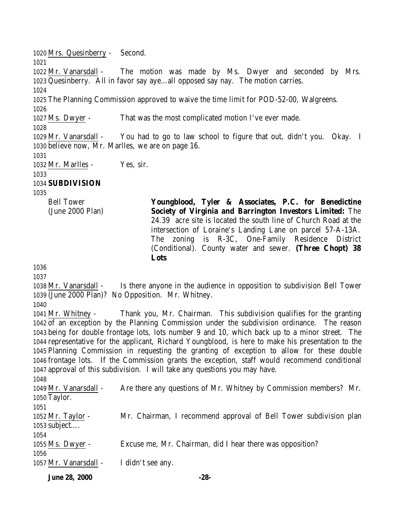Mrs. Quesinberry - Second. Mr. Vanarsdall - The motion was made by Ms. Dwyer and seconded by Mrs. Quesinberry. All in favor say aye…all opposed say nay. The motion carries. The Planning Commission approved to waive the time limit for POD-52-00, Walgreens. Ms. Dwyer - That was the most complicated motion I've ever made. Mr. Vanarsdall - You had to go to law school to figure that out, didn't you. Okay. I believe now, Mr. Marlles, we are on page 16. Mr. Marlles - Yes, sir. **SUBDIVISION** Bell Tower (June 2000 Plan) **Youngblood, Tyler & Associates, P.C. for Benedictine Society of Virginia and Barrington Investors Limited:** The 24.39 acre site is located the south line of Church Road at the intersection of Loraine's Landing Lane on parcel 57-A-13A. The zoning is R-3C, One-Family Residence District (Conditional). County water and sewer. **(Three Chopt) 38 Lots**  Mr. Vanarsdall - Is there anyone in the audience in opposition to subdivision Bell Tower (June 2000 Plan)? No Opposition. Mr. Whitney. Mr. Whitney - Thank you, Mr. Chairman. This subdivision qualifies for the granting of an exception by the Planning Commission under the subdivision ordinance. The reason

 being for double frontage lots, lots number 9 and 10, which back up to a minor street. The representative for the applicant, Richard Youngblood, is here to make his presentation to the Planning Commission in requesting the granting of exception to allow for these double frontage lots. If the Commission grants the exception, staff would recommend conditional approval of this subdivision. I will take any questions you may have.

 Mr. Vanarsdall - Are there any questions of Mr. Whitney by Commission members? Mr. Taylor. Mr. Taylor - Mr. Chairman, I recommend approval of Bell Tower subdivision plan subject…. Ms. Dwyer - Excuse me, Mr. Chairman, did I hear there was opposition? Mr. Vanarsdall - I didn't see any.

**June 28, 2000 -28-**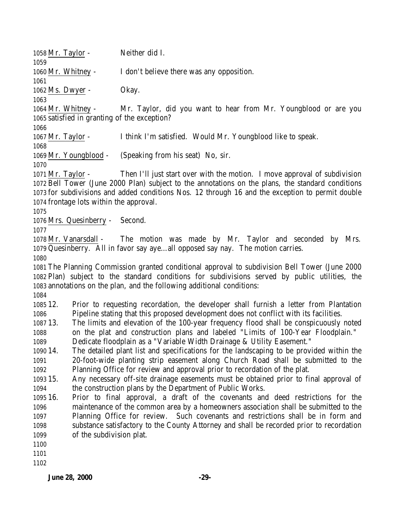**June 28, 2000 -29-** Mr. Taylor - Neither did I. Mr. Whitney - I don't believe there was any opposition. Ms. Dwyer - Okay. Mr. Whitney - Mr. Taylor, did you want to hear from Mr. Youngblood or are you satisfied in granting of the exception? Mr. Taylor - I think I'm satisfied. Would Mr. Youngblood like to speak. Mr. Youngblood - (Speaking from his seat) No, sir. Mr. Taylor - Then I'll just start over with the motion. I move approval of subdivision Bell Tower (June 2000 Plan) subject to the annotations on the plans, the standard conditions for subdivisions and added conditions Nos. 12 through 16 and the exception to permit double frontage lots within the approval. Mrs. Quesinberry - Second. Mr. Vanarsdall - The motion was made by Mr. Taylor and seconded by Mrs. Quesinberry. All in favor say aye…all opposed say nay. The motion carries. The Planning Commission granted conditional approval to subdivision Bell Tower (June 2000 Plan) subject to the standard conditions for subdivisions served by public utilities, the annotations on the plan, and the following additional conditions: 12. Prior to requesting recordation, the developer shall furnish a letter from Plantation Pipeline stating that this proposed development does not conflict with its facilities. 13. The limits and elevation of the 100-year frequency flood shall be conspicuously noted on the plat and construction plans and labeled "Limits of 100-Year Floodplain." Dedicate floodplain as a "Variable Width Drainage & Utility Easement." 14. The detailed plant list and specifications for the landscaping to be provided within the 20-foot-wide planting strip easement along Church Road shall be submitted to the Planning Office for review and approval prior to recordation of the plat. 15. Any necessary off-site drainage easements must be obtained prior to final approval of the construction plans by the Department of Public Works. 16. Prior to final approval, a draft of the covenants and deed restrictions for the maintenance of the common area by a homeowners association shall be submitted to the Planning Office for review. Such covenants and restrictions shall be in form and substance satisfactory to the County Attorney and shall be recorded prior to recordation of the subdivision plat.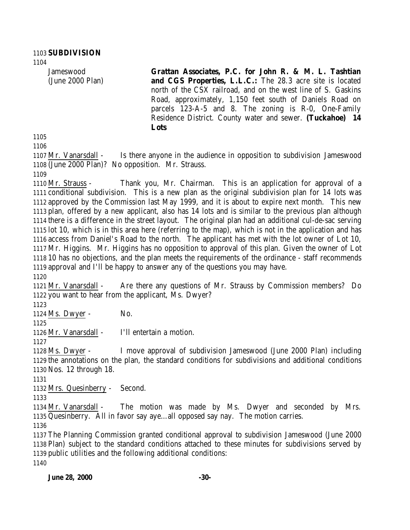Jameswood (June 2000 Plan)

**Grattan Associates, P.C. for John R. & M. L. Tashtian and CGS Properties, L.L.C.:** The 28.3 acre site is located north of the CSX railroad, and on the west line of S. Gaskins Road, approximately, 1,150 feet south of Daniels Road on parcels 123-A-5 and 8. The zoning is R-0, One-Family Residence District. County water and sewer. **(Tuckahoe) 14 Lots** 

 Mr. Vanarsdall - Is there anyone in the audience in opposition to subdivision Jameswood (June 2000 Plan)? No opposition. Mr. Strauss.

 Mr. Strauss - Thank you, Mr. Chairman. This is an application for approval of a conditional subdivision. This is a new plan as the original subdivision plan for 14 lots was approved by the Commission last May 1999, and it is about to expire next month. This new plan, offered by a new applicant, also has 14 lots and is similar to the previous plan although there is a difference in the street layout. The original plan had an additional cul-de-sac serving lot 10, which is in this area here (referring to the map), which is not in the application and has access from Daniel's Road to the north. The applicant has met with the lot owner of Lot 10, Mr. Higgins. Mr. Higgins has no opposition to approval of this plan. Given the owner of Lot 10 has no objections, and the plan meets the requirements of the ordinance - staff recommends approval and I'll be happy to answer any of the questions you may have.

 Mr. Vanarsdall - Are there any questions of Mr. Strauss by Commission members? Do you want to hear from the applicant, Ms. Dwyer?

1124 Ms. Dwyer - No.

Mr. Vanarsdall - I'll entertain a motion.

 Ms. Dwyer - I move approval of subdivision Jameswood (June 2000 Plan) including the annotations on the plan, the standard conditions for subdivisions and additional conditions Nos. 12 through 18.

Mrs. Quesinberry - Second.

 Mr. Vanarsdall - The motion was made by Ms. Dwyer and seconded by Mrs. Quesinberry. All in favor say aye…all opposed say nay. The motion carries.

 The Planning Commission granted conditional approval to subdivision Jameswood (June 2000 Plan) subject to the standard conditions attached to these minutes for subdivisions served by public utilities and the following additional conditions: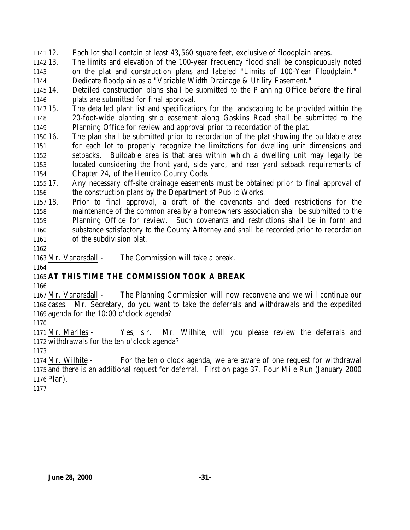12. Each lot shall contain at least 43,560 square feet, exclusive of floodplain areas.

 13. The limits and elevation of the 100-year frequency flood shall be conspicuously noted on the plat and construction plans and labeled "Limits of 100-Year Floodplain."

Dedicate floodplain as a "Variable Width Drainage & Utility Easement."

 14. Detailed construction plans shall be submitted to the Planning Office before the final plats are submitted for final approval.

 15. The detailed plant list and specifications for the landscaping to be provided within the 20-foot-wide planting strip easement along Gaskins Road shall be submitted to the Planning Office for review and approval prior to recordation of the plat.

 16. The plan shall be submitted prior to recordation of the plat showing the buildable area for each lot to properly recognize the limitations for dwelling unit dimensions and setbacks. Buildable area is that area within which a dwelling unit may legally be located considering the front yard, side yard, and rear yard setback requirements of Chapter 24, of the Henrico County Code.

 17. Any necessary off-site drainage easements must be obtained prior to final approval of the construction plans by the Department of Public Works.

 18. Prior to final approval, a draft of the covenants and deed restrictions for the maintenance of the common area by a homeowners association shall be submitted to the Planning Office for review. Such covenants and restrictions shall be in form and substance satisfactory to the County Attorney and shall be recorded prior to recordation of the subdivision plat.

Mr. Vanarsdall - The Commission will take a break.

## **AT THIS TIME THE COMMISSION TOOK A BREAK**

 Mr. Vanarsdall - The Planning Commission will now reconvene and we will continue our cases. Mr. Secretary, do you want to take the deferrals and withdrawals and the expedited agenda for the 10:00 o'clock agenda?

 Mr. Marlles - Yes, sir. Mr. Wilhite, will you please review the deferrals and withdrawals for the ten o'clock agenda?

 Mr. Wilhite - For the ten o'clock agenda, we are aware of one request for withdrawal and there is an additional request for deferral. First on page 37, Four Mile Run (January 2000 Plan).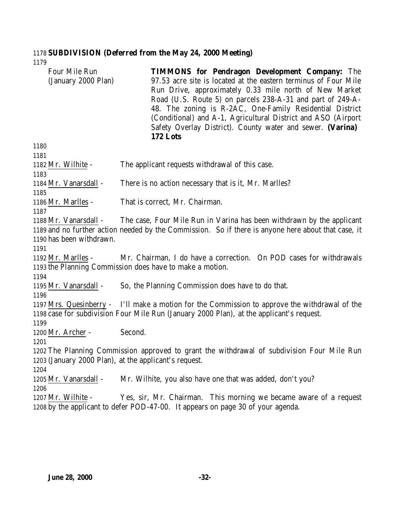# **SUBDIVISION (Deferred from the May 24, 2000 Meeting)**

| Four Mile Run<br>(January 2000 Plan)                  | <b>TIMMONS for Pendragon Development Company:</b> The<br>97.53 acre site is located at the eastern terminus of Four Mile<br>Run Drive, approximately 0.33 mile north of New Market<br>Road (U.S. Route 5) on parcels 238-A-31 and part of 249-A-<br>48. The zoning is R-2AC, One-Family Residential District<br>(Conditional) and A-1, Agricultural District and ASO (Airport<br>Safety Overlay District). County water and sewer. (Varina)<br>172 Lots |
|-------------------------------------------------------|---------------------------------------------------------------------------------------------------------------------------------------------------------------------------------------------------------------------------------------------------------------------------------------------------------------------------------------------------------------------------------------------------------------------------------------------------------|
| 1180                                                  |                                                                                                                                                                                                                                                                                                                                                                                                                                                         |
| 1181                                                  |                                                                                                                                                                                                                                                                                                                                                                                                                                                         |
| 1182 Mr. Wilhite -                                    | The applicant requests withdrawal of this case.                                                                                                                                                                                                                                                                                                                                                                                                         |
| 1183                                                  |                                                                                                                                                                                                                                                                                                                                                                                                                                                         |
| 1184 Mr. Vanarsdall -                                 | There is no action necessary that is it, Mr. Marlles?                                                                                                                                                                                                                                                                                                                                                                                                   |
| 1185                                                  |                                                                                                                                                                                                                                                                                                                                                                                                                                                         |
| 1186 Mr. Marlles -                                    | That is correct, Mr. Chairman.                                                                                                                                                                                                                                                                                                                                                                                                                          |
| 1187                                                  |                                                                                                                                                                                                                                                                                                                                                                                                                                                         |
| 1188 Mr. Vanarsdall -                                 | The case, Four Mile Run in Varina has been withdrawn by the applicant                                                                                                                                                                                                                                                                                                                                                                                   |
|                                                       | 1189 and no further action needed by the Commission. So if there is anyone here about that case, it                                                                                                                                                                                                                                                                                                                                                     |
| 1190 has been withdrawn.                              |                                                                                                                                                                                                                                                                                                                                                                                                                                                         |
| 1191<br>1192 Mr. Marlles -                            | Mr. Chairman, I do have a correction. On POD cases for withdrawals                                                                                                                                                                                                                                                                                                                                                                                      |
|                                                       | 1193 the Planning Commission does have to make a motion.                                                                                                                                                                                                                                                                                                                                                                                                |
| 1194                                                  |                                                                                                                                                                                                                                                                                                                                                                                                                                                         |
| 1195 Mr. Vanarsdall -                                 | So, the Planning Commission does have to do that.                                                                                                                                                                                                                                                                                                                                                                                                       |
| 1196                                                  |                                                                                                                                                                                                                                                                                                                                                                                                                                                         |
|                                                       | 1197 Mrs. Quesinberry - I'll make a motion for the Commission to approve the withdrawal of the                                                                                                                                                                                                                                                                                                                                                          |
|                                                       | 1198 case for subdivision Four Mile Run (January 2000 Plan), at the applicant's request.                                                                                                                                                                                                                                                                                                                                                                |
| 1199                                                  |                                                                                                                                                                                                                                                                                                                                                                                                                                                         |
| 1200 Mr. Archer -                                     | Second.                                                                                                                                                                                                                                                                                                                                                                                                                                                 |
| 1201                                                  |                                                                                                                                                                                                                                                                                                                                                                                                                                                         |
|                                                       | 1202 The Planning Commission approved to grant the withdrawal of subdivision Four Mile Run                                                                                                                                                                                                                                                                                                                                                              |
| 1203 (January 2000 Plan), at the applicant's request. |                                                                                                                                                                                                                                                                                                                                                                                                                                                         |
| 1204                                                  |                                                                                                                                                                                                                                                                                                                                                                                                                                                         |
| 1205 Mr. Vanarsdall -                                 | Mr. Wilhite, you also have one that was added, don't you?                                                                                                                                                                                                                                                                                                                                                                                               |
| 1206                                                  |                                                                                                                                                                                                                                                                                                                                                                                                                                                         |
| 1207 Mr. Wilhite -                                    | Yes, sir, Mr. Chairman. This morning we became aware of a request                                                                                                                                                                                                                                                                                                                                                                                       |
|                                                       | 1208 by the applicant to defer POD-47-00. It appears on page 30 of your agenda.                                                                                                                                                                                                                                                                                                                                                                         |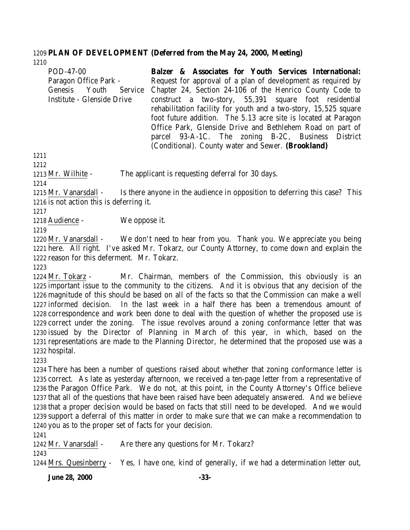#### **PLAN OF DEVELOPMENT (Deferred from the May 24, 2000, Meeting)**

| POD-47-00                  | Balzer & Associates for Youth Services International:            |
|----------------------------|------------------------------------------------------------------|
| Paragon Office Park -      | Request for approval of a plan of development as required by     |
| Genesis Youth<br>Service   | Chapter 24, Section 24-106 of the Henrico County Code to         |
| Institute - Glenside Drive | construct a two-story, 55,391 square foot residential            |
|                            | rehabilitation facility for youth and a two-story, 15,525 square |
|                            | foot future addition. The 5.13 acre site is located at Paragon   |
|                            | Office Park, Glenside Drive and Bethlehem Road on part of        |
|                            | parcel 93-A-1C. The zoning B-2C, Business District               |
|                            | (Conditional). County water and Sewer. (Brookland)               |

Mr. Wilhite - The applicant is requesting deferral for 30 days.

 Mr. Vanarsdall - Is there anyone in the audience in opposition to deferring this case? This is not action this is deferring it.

Audience - We oppose it.

 Mr. Vanarsdall - We don't need to hear from you. Thank you. We appreciate you being here. All right. I've asked Mr. Tokarz, our County Attorney, to come down and explain the reason for this deferment. Mr. Tokarz.

 Mr. Tokarz - Mr. Chairman, members of the Commission, this obviously is an important issue to the community to the citizens. And it is obvious that any decision of the magnitude of this should be based on all of the facts so that the Commission can make a well informed decision. In the last week in a half there has been a tremendous amount of correspondence and work been done to deal with the question of whether the proposed use is correct under the zoning. The issue revolves around a zoning conformance letter that was issued by the Director of Planning in March of this year, in which, based on the representations are made to the Planning Director, he determined that the proposed use was a hospital.

 There has been a number of questions raised about whether that zoning conformance letter is correct. As late as yesterday afternoon, we received a ten-page letter from a representative of the Paragon Office Park. We do not, at this point, in the County Attorney's Office believe that all of the questions that have been raised have been adequately answered. And we believe that a proper decision would be based on facts that still need to be developed. And we would support a deferral of this matter in order to make sure that we can make a recommendation to you as to the proper set of facts for your decision.

1242 Mr. Vanarsdall - Are there any questions for Mr. Tokarz?

Mrs. Quesinberry - Yes, I have one, kind of generally, if we had a determination letter out,

**June 28, 2000 -33-**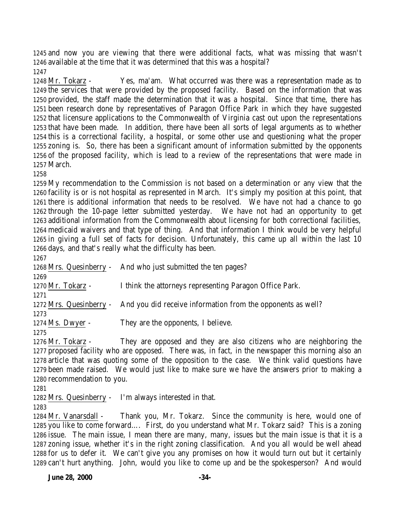and now you are viewing that there were additional facts, what was missing that wasn't available at the time that it was determined that this was a hospital?

 Mr. Tokarz - Yes, ma'am. What occurred was there was a representation made as to the services that were provided by the proposed facility. Based on the information that was provided, the staff made the determination that it was a hospital. Since that time, there has been research done by representatives of Paragon Office Park in which they have suggested that licensure applications to the Commonwealth of Virginia cast out upon the representations that have been made. In addition, there have been all sorts of legal arguments as to whether this is a correctional facility, a hospital, or some other use and questioning what the proper zoning is. So, there has been a significant amount of information submitted by the opponents of the proposed facility, which is lead to a review of the representations that were made in March.

 My recommendation to the Commission is not based on a determination or any view that the facility is or is not hospital as represented in March. It's simply my position at this point, that there is additional information that needs to be resolved. We have not had a chance to go through the 10-page letter submitted yesterday. We have not had an opportunity to get additional information from the Commonwealth about licensing for both correctional facilities, medicaid waivers and that type of thing. And that information I think would be very helpful in giving a full set of facts for decision. Unfortunately, this came up all within the last 10 days, and that's really what the difficulty has been.

 Mrs. Quesinberry - And who just submitted the ten pages? Mr. Tokarz - I think the attorneys representing Paragon Office Park. Mrs. Quesinberry - And you did receive information from the opponents as well? Ms. Dwyer - They are the opponents, I believe. 

 Mr. Tokarz - They are opposed and they are also citizens who are neighboring the proposed facility who are opposed. There was, in fact, in the newspaper this morning also an article that was quoting some of the opposition to the case. We think valid questions have been made raised. We would just like to make sure we have the answers prior to making a recommendation to you.

Mrs. Quesinberry - I'm always interested in that.

 Mr. Vanarsdall - Thank you, Mr. Tokarz. Since the community is here, would one of you like to come forward…. First, do you understand what Mr. Tokarz said? This is a zoning issue. The main issue, I mean there are many, many, issues but the main issue is that it is a zoning issue, whether it's in the right zoning classification. And you all would be well ahead for us to defer it. We can't give you any promises on how it would turn out but it certainly can't hurt anything. John, would you like to come up and be the spokesperson? And would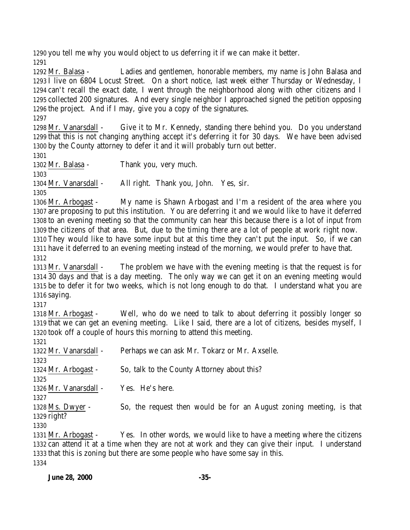you tell me why you would object to us deferring it if we can make it better. 

 Mr. Balasa - Ladies and gentlemen, honorable members, my name is John Balasa and I live on 6804 Locust Street. On a short notice, last week either Thursday or Wednesday, I can't recall the exact date, I went through the neighborhood along with other citizens and I collected 200 signatures. And every single neighbor I approached signed the petition opposing the project. And if I may, give you a copy of the signatures. 

 Mr. Vanarsdall - Give it to Mr. Kennedy, standing there behind you. Do you understand that this is not changing anything accept it's deferring it for 30 days. We have been advised by the County attorney to defer it and it will probably turn out better. 

Mr. Balasa - Thank you, very much.

Mr. Vanarsdall - All right. Thank you, John. Yes, sir.

 Mr. Arbogast - My name is Shawn Arbogast and I'm a resident of the area where you are proposing to put this institution. You are deferring it and we would like to have it deferred to an evening meeting so that the community can hear this because there is a lot of input from the citizens of that area. But, due to the timing there are a lot of people at work right now. They would like to have some input but at this time they can't put the input. So, if we can have it deferred to an evening meeting instead of the morning, we would prefer to have that. 

 Mr. Vanarsdall - The problem we have with the evening meeting is that the request is for 30 days and that is a day meeting. The only way we can get it on an evening meeting would be to defer it for two weeks, which is not long enough to do that. I understand what you are saying.

 Mr. Arbogast - Well, who do we need to talk to about deferring it possibly longer so that we can get an evening meeting. Like I said, there are a lot of citizens, besides myself, I took off a couple of hours this morning to attend this meeting. 

| 1321                  |                                                                     |
|-----------------------|---------------------------------------------------------------------|
| 1322 Mr. Vanarsdall - | Perhaps we can ask Mr. Tokarz or Mr. Axselle.                       |
| 1323                  |                                                                     |
| 1324 Mr. Arbogast -   | So, talk to the County Attorney about this?                         |
| 1325                  |                                                                     |
| 1326 Mr. Vanarsdall - | Yes. He's here.                                                     |
| 1327                  |                                                                     |
| 1328 Ms. Dwyer -      | So, the request then would be for an August zoning meeting, is that |
| 1329 right?           |                                                                     |
| 1330                  |                                                                     |
|                       |                                                                     |

 Mr. Arbogast - Yes. In other words, we would like to have a meeting where the citizens can attend it at a time when they are not at work and they can give their input. I understand that this is zoning but there are some people who have some say in this.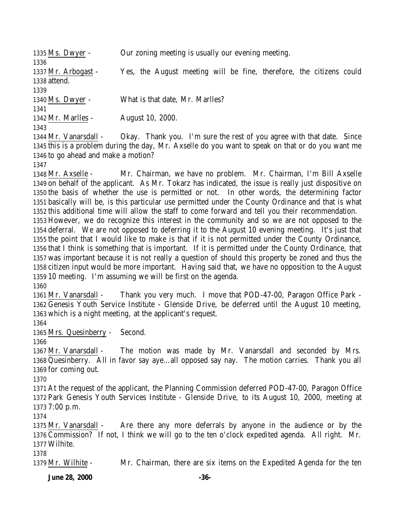| 1335 Ms. Dwyer -      | Our zoning meeting is usually our evening meeting.                                                   |
|-----------------------|------------------------------------------------------------------------------------------------------|
| 1336                  |                                                                                                      |
| 1337 Mr. Arbogast -   | Yes, the August meeting will be fine, therefore, the citizens could                                  |
| 1338 attend.          |                                                                                                      |
| 1339                  |                                                                                                      |
| 1340 Ms. Dwyer -      | What is that date, Mr. Marlles?                                                                      |
| 1341                  |                                                                                                      |
| 1342 Mr. Marlles -    | August 10, 2000.                                                                                     |
| 1343                  |                                                                                                      |
| 1344 Mr. Vanarsdall - | Okay. Thank you. I'm sure the rest of you agree with that date. Since                                |
|                       | 1015 this is a nuable of dening the day. My Arralle do reception to speak on that an de reception to |

 this is a problem during the day, Mr. Axselle do you want to speak on that or do you want me to go ahead and make a motion?

 Mr. Axselle - Mr. Chairman, we have no problem. Mr. Chairman, I'm Bill Axselle on behalf of the applicant. As Mr. Tokarz has indicated, the issue is really just dispositive on the basis of whether the use is permitted or not. In other words, the determining factor basically will be, is this particular use permitted under the County Ordinance and that is what this additional time will allow the staff to come forward and tell you their recommendation. However, we do recognize this interest in the community and so we are not opposed to the deferral. We are not opposed to deferring it to the August 10 evening meeting. It's just that the point that I would like to make is that if it is not permitted under the County Ordinance, that I think is something that is important. If it is permitted under the County Ordinance, that was important because it is not really a question of should this property be zoned and thus the citizen input would be more important. Having said that, we have no opposition to the August 10 meeting. I'm assuming we will be first on the agenda.

 Mr. Vanarsdall - Thank you very much. I move that POD-47-00, Paragon Office Park - Genesis Youth Service Institute - Glenside Drive, be deferred until the August 10 meeting, which is a night meeting, at the applicant's request.

Mrs. Quesinberry - Second.

 Mr. Vanarsdall - The motion was made by Mr. Vanarsdall and seconded by Mrs. Quesinberry. All in favor say aye…all opposed say nay. The motion carries. Thank you all for coming out.

 At the request of the applicant, the Planning Commission deferred POD-47-00, Paragon Office Park Genesis Youth Services Institute - Glenside Drive, to its August 10, 2000, meeting at 7:00 p.m.

 Mr. Vanarsdall - Are there any more deferrals by anyone in the audience or by the Commission? If not, I think we will go to the ten o'clock expedited agenda. All right. Mr. Wilhite.

Mr. Wilhite - Mr. Chairman, there are six items on the Expedited Agenda for the ten

**June 28, 2000 -36-**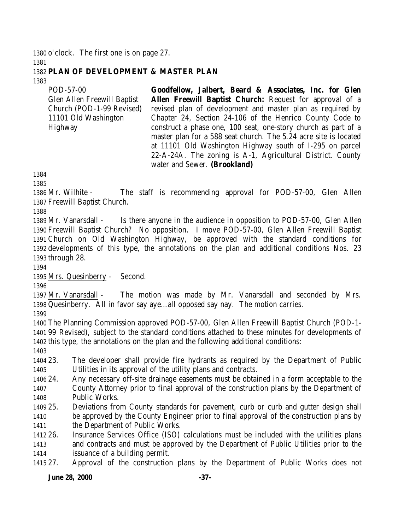o'clock. The first one is on page 27. 

## **PLAN OF DEVELOPMENT & MASTER PLAN**

POD-57-00 Glen Allen Freewill Baptist Church (POD-1-99 Revised) 11101 Old Washington Highway **Goodfellow, Jalbert, Beard & Associates, Inc. for Glen Allen Freewill Baptist Church:** Request for approval of a revised plan of development and master plan as required by Chapter 24, Section 24-106 of the Henrico County Code to construct a phase one, 100 seat, one-story church as part of a master plan for a 588 seat church. The 5.24 acre site is located at 11101 Old Washington Highway south of I-295 on parcel 22-A-24A. The zoning is A-1, Agricultural District. County

 Mr. Wilhite - The staff is recommending approval for POD-57-00, Glen Allen Freewill Baptist Church.

water and Sewer. **(Brookland)**

 Mr. Vanarsdall - Is there anyone in the audience in opposition to POD-57-00, Glen Allen Freewill Baptist Church? No opposition. I move POD-57-00, Glen Allen Freewill Baptist Church on Old Washington Highway, be approved with the standard conditions for developments of this type, the annotations on the plan and additional conditions Nos. 23 through 28.

Mrs. Quesinberry - Second.

 Mr. Vanarsdall - The motion was made by Mr. Vanarsdall and seconded by Mrs. Quesinberry. All in favor say aye…all opposed say nay. The motion carries.

 The Planning Commission approved POD-57-00, Glen Allen Freewill Baptist Church (POD-1- 99 Revised), subject to the standard conditions attached to these minutes for developments of this type, the annotations on the plan and the following additional conditions:

 23. The developer shall provide fire hydrants as required by the Department of Public Utilities in its approval of the utility plans and contracts.

- 24. Any necessary off-site drainage easements must be obtained in a form acceptable to the County Attorney prior to final approval of the construction plans by the Department of Public Works.
- 25. Deviations from County standards for pavement, curb or curb and gutter design shall be approved by the County Engineer prior to final approval of the construction plans by
- the Department of Public Works.
- 26. Insurance Services Office (ISO) calculations must be included with the utilities plans and contracts and must be approved by the Department of Public Utilities prior to the issuance of a building permit.

27. Approval of the construction plans by the Department of Public Works does not

## **June 28, 2000 -37-**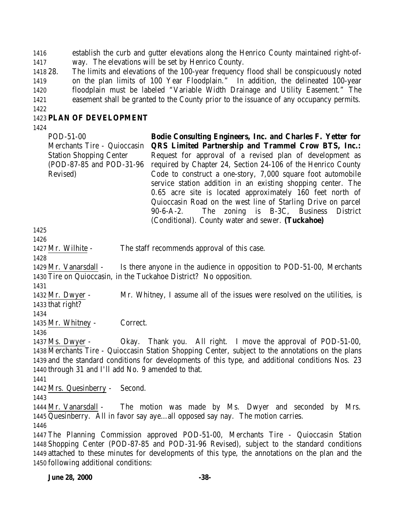establish the curb and gutter elevations along the Henrico County maintained right-of-way. The elevations will be set by Henrico County.

 28. The limits and elevations of the 100-year frequency flood shall be conspicuously noted 1419 on the plan limits of 100 Year Floodplain." In addition, the delineated 100-year floodplain must be labeled "Variable Width Drainage and Utility Easement." The easement shall be granted to the County prior to the issuance of any occupancy permits. 

## **PLAN OF DEVELOPMENT**

POD-51-00 Merchants Tire - Quioccasin Station Shopping Center (POD-87-85 and POD-31-96 Revised) **Bodie Consulting Engineers, Inc. and Charles F. Yetter for QRS Limited Partnership and Trammel Crow BTS, Inc.:** Request for approval of a revised plan of development as required by Chapter 24, Section 24-106 of the Henrico County Code to construct a one-story, 7,000 square foot automobile service station addition in an existing shopping center. The 0.65 acre site is located approximately 160 feet north of Quioccasin Road on the west line of Starling Drive on parcel 90-6-A-2. The zoning is B-3C, Business District (Conditional). County water and sewer. **(Tuckahoe)**

Mr. Wilhite - The staff recommends approval of this case.

 Mr. Vanarsdall - Is there anyone in the audience in opposition to POD-51-00, Merchants Tire on Quioccasin, in the Tuckahoe District? No opposition.

 Mr. Dwyer - Mr. Whitney, I assume all of the issues were resolved on the utilities, is that right?

Mr. Whitney - Correct.

 Ms. Dwyer - Okay. Thank you. All right. I move the approval of POD-51-00, Merchants Tire - Quioccasin Station Shopping Center, subject to the annotations on the plans and the standard conditions for developments of this type, and additional conditions Nos. 23 through 31 and I'll add No. 9 amended to that.

Mrs. Quesinberry - Second.

 Mr. Vanarsdall - The motion was made by Ms. Dwyer and seconded by Mrs. Quesinberry. All in favor say aye…all opposed say nay. The motion carries.

 The Planning Commission approved POD-51-00, Merchants Tire - Quioccasin Station Shopping Center (POD-87-85 and POD-31-96 Revised), subject to the standard conditions attached to these minutes for developments of this type, the annotations on the plan and the following additional conditions: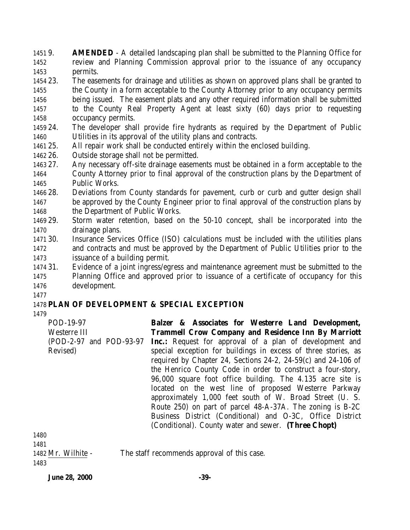9. **AMENDED** - A detailed landscaping plan shall be submitted to the Planning Office for review and Planning Commission approval prior to the issuance of any occupancy permits.

- 23. The easements for drainage and utilities as shown on approved plans shall be granted to the County in a form acceptable to the County Attorney prior to any occupancy permits being issued. The easement plats and any other required information shall be submitted to the County Real Property Agent at least sixty (60) days prior to requesting
- occupancy permits.
- 24. The developer shall provide fire hydrants as required by the Department of Public Utilities in its approval of the utility plans and contracts.
- 25. All repair work shall be conducted entirely within the enclosed building.
- 26. Outside storage shall not be permitted.
- 27. Any necessary off-site drainage easements must be obtained in a form acceptable to the County Attorney prior to final approval of the construction plans by the Department of Public Works.
- 28. Deviations from County standards for pavement, curb or curb and gutter design shall be approved by the County Engineer prior to final approval of the construction plans by 1468 the Department of Public Works.
- 29. Storm water retention, based on the 50-10 concept, shall be incorporated into the drainage plans.
- 30. Insurance Services Office (ISO) calculations must be included with the utilities plans and contracts and must be approved by the Department of Public Utilities prior to the issuance of a building permit.
- 31. Evidence of a joint ingress/egress and maintenance agreement must be submitted to the Planning Office and approved prior to issuance of a certificate of occupancy for this development.
- 

## **PLAN OF DEVELOPMENT & SPECIAL EXCEPTION**

| POD-19-97                                                   | Balzer & Associates for Westerre Land Development,               |
|-------------------------------------------------------------|------------------------------------------------------------------|
| Westerre III                                                | <b>Trammell Crow Company and Residence Inn By Marriott</b>       |
| (POD-2-97 and POD-93-97                                     | <b>Inc.:</b> Request for approval of a plan of development and   |
| Revised)                                                    | special exception for buildings in excess of three stories, as   |
|                                                             | required by Chapter 24, Sections 24-2, 24-59 $(c)$ and 24-106 of |
|                                                             | the Henrico County Code in order to construct a four-story,      |
|                                                             | 96,000 square foot office building. The 4.135 acre site is       |
|                                                             | located on the west line of proposed Westerre Parkway            |
|                                                             | approximately 1,000 feet south of W. Broad Street (U. S.         |
|                                                             | Route 250) on part of parcel 48-A-37A. The zoning is B-2C        |
|                                                             | Business District (Conditional) and O-3C, Office District        |
|                                                             | (Conditional). County water and sewer. (Three Chopt)             |
| 1480                                                        |                                                                  |
| $\overline{1}$ $\overline{1}$ $\overline{0}$ $\overline{1}$ |                                                                  |

| 1481          |  |
|---------------|--|
| 1482 Mr. Wilh |  |

hite - The staff recommends approval of this case.

**June 28, 2000 -39-**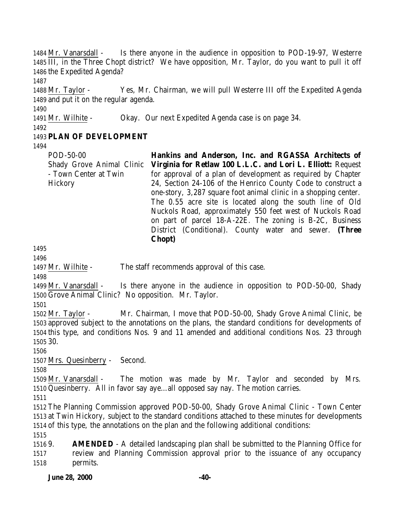Mr. Vanarsdall - Is there anyone in the audience in opposition to POD-19-97, Westerre III, in the Three Chopt district? We have opposition, Mr. Taylor, do you want to pull it off the Expedited Agenda?

 Mr. Taylor - Yes, Mr. Chairman, we will pull Westerre III off the Expedited Agenda and put it on the regular agenda.

 Mr. Wilhite - Okay. Our next Expedited Agenda case is on page 34.

## **PLAN OF DEVELOPMENT**

POD-50-00 Shady Grove Animal Clinic - Town Center at Twin **Hickory Hankins and Anderson, Inc. and RGASSA Architects of Virginia for Retlaw 100 L.L.C. and Lori L. Elliott:** Request for approval of a plan of development as required by Chapter 24, Section 24-106 of the Henrico County Code to construct a one-story, 3,287 square foot animal clinic in a shopping center. The 0.55 acre site is located along the south line of Old Nuckols Road, approximately 550 feet west of Nuckols Road on part of parcel 18-A-22E. The zoning is B-2C, Business

District (Conditional). County water and sewer. **(Three**

1497 Mr. Wilhite - The staff recommends approval of this case.

**Chopt)**

 Mr. Vanarsdall - Is there anyone in the audience in opposition to POD-50-00, Shady Grove Animal Clinic? No opposition. Mr. Taylor.

 Mr. Taylor - Mr. Chairman, I move that POD-50-00, Shady Grove Animal Clinic, be approved subject to the annotations on the plans, the standard conditions for developments of this type, and conditions Nos. 9 and 11 amended and additional conditions Nos. 23 through 30.

Mrs. Quesinberry - Second.

 Mr. Vanarsdall - The motion was made by Mr. Taylor and seconded by Mrs. Quesinberry. All in favor say aye…all opposed say nay. The motion carries.

 The Planning Commission approved POD-50-00, Shady Grove Animal Clinic - Town Center at Twin Hickory, subject to the standard conditions attached to these minutes for developments of this type, the annotations on the plan and the following additional conditions:

 9. **AMENDED** - A detailed landscaping plan shall be submitted to the Planning Office for review and Planning Commission approval prior to the issuance of any occupancy permits.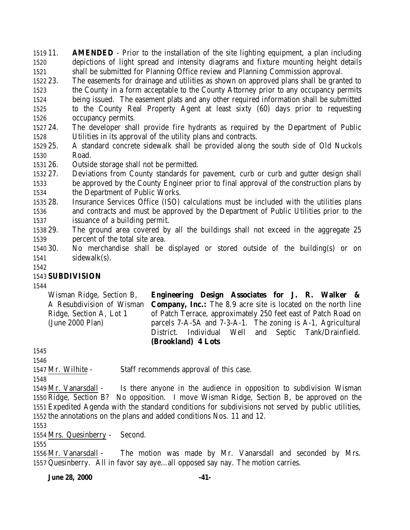11. **AMENDED** - Prior to the installation of the site lighting equipment, a plan including depictions of light spread and intensity diagrams and fixture mounting height details shall be submitted for Planning Office review and Planning Commission approval.

- 23. The easements for drainage and utilities as shown on approved plans shall be granted to the County in a form acceptable to the County Attorney prior to any occupancy permits being issued. The easement plats and any other required information shall be submitted to the County Real Property Agent at least sixty (60) days prior to requesting occupancy permits.
- 24. The developer shall provide fire hydrants as required by the Department of Public Utilities in its approval of the utility plans and contracts.
- 25. A standard concrete sidewalk shall be provided along the south side of Old Nuckols Road.
- 26. Outside storage shall not be permitted.
- 27. Deviations from County standards for pavement, curb or curb and gutter design shall be approved by the County Engineer prior to final approval of the construction plans by the Department of Public Works.
- 28. Insurance Services Office (ISO) calculations must be included with the utilities plans and contracts and must be approved by the Department of Public Utilities prior to the issuance of a building permit.
- 29. The ground area covered by all the buildings shall not exceed in the aggregate 25 percent of the total site area.
- 30. No merchandise shall be displayed or stored outside of the building(s) or on sidewalk(s).
- 

## **SUBDIVISION**

Wisman Ridge, Section B, A Resubdivision of Wisman Ridge, Section A, Lot 1 (June 2000 Plan) **Engineering Design Associates for J. R. Walker & Company, Inc.:** The 8.9 acre site is located on the north line of Patch Terrace, approximately 250 feet east of Patch Road on parcels 7-A-5A and 7-3-A-1. The zoning is A-1, Agricultural District. Individual Well and Septic Tank/Drainfield. **(Brookland) 4 Lots**

Mr. Wilhite - Staff recommends approval of this case.

 Mr. Vanarsdall - Is there anyone in the audience in opposition to subdivision Wisman Ridge, Section B? No opposition. I move Wisman Ridge, Section B, be approved on the Expedited Agenda with the standard conditions for subdivisions not served by public utilities, the annotations on the plans and added conditions Nos. 11 and 12.

Mrs. Quesinberry - Second.

 Mr. Vanarsdall - The motion was made by Mr. Vanarsdall and seconded by Mrs. Quesinberry. All in favor say aye…all opposed say nay. The motion carries.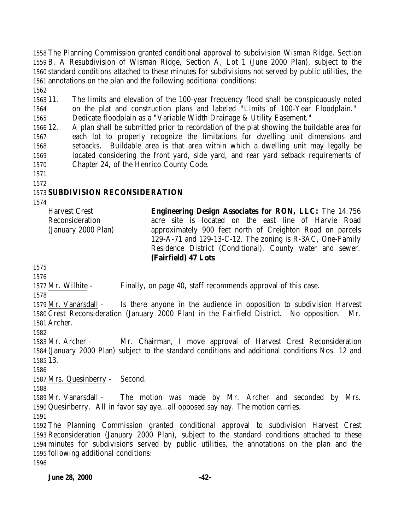The Planning Commission granted conditional approval to subdivision Wisman Ridge, Section B, A Resubdivision of Wisman Ridge, Section A, Lot 1 (June 2000 Plan), subject to the standard conditions attached to these minutes for subdivisions not served by public utilities, the annotations on the plan and the following additional conditions:

 11. The limits and elevation of the 100-year frequency flood shall be conspicuously noted on the plat and construction plans and labeled "Limits of 100-Year Floodplain."

Dedicate floodplain as a "Variable Width Drainage & Utility Easement."

 12. A plan shall be submitted prior to recordation of the plat showing the buildable area for each lot to properly recognize the limitations for dwelling unit dimensions and setbacks. Buildable area is that area within which a dwelling unit may legally be located considering the front yard, side yard, and rear yard setback requirements of Chapter 24, of the Henrico County Code.

## **SUBDIVISION RECONSIDERATION**

Harvest Crest Reconsideration (January 2000 Plan) **Engineering Design Associates for RON, LLC:** The 14.756 acre site is located on the east line of Harvie Road approximately 900 feet north of Creighton Road on parcels 129-A-71 and 129-13-C-12. The zoning is R-3AC, One-Family Residence District (Conditional). County water and sewer. **(Fairfield) 47 Lots** 

Mr. Wilhite - Finally, on page 40, staff recommends approval of this case.

 Mr. Vanarsdall - Is there anyone in the audience in opposition to subdivision Harvest Crest Reconsideration (January 2000 Plan) in the Fairfield District. No opposition. Mr. Archer.

 Mr. Archer - Mr. Chairman, I move approval of Harvest Crest Reconsideration (January 2000 Plan) subject to the standard conditions and additional conditions Nos. 12 and 13.

Mrs. Quesinberry - Second.

 Mr. Vanarsdall - The motion was made by Mr. Archer and seconded by Mrs. Quesinberry. All in favor say aye…all opposed say nay. The motion carries.

 The Planning Commission granted conditional approval to subdivision Harvest Crest Reconsideration (January 2000 Plan), subject to the standard conditions attached to these minutes for subdivisions served by public utilities, the annotations on the plan and the following additional conditions: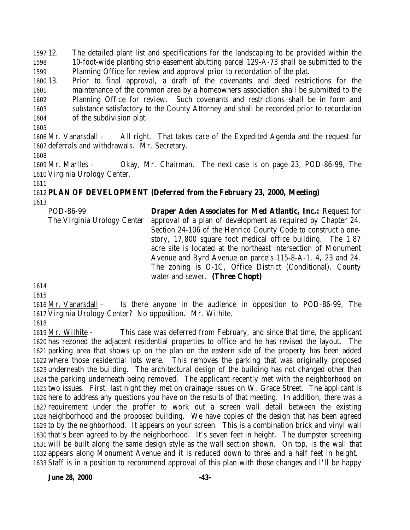12. The detailed plant list and specifications for the landscaping to be provided within the 10-foot-wide planting strip easement abutting parcel 129-A-73 shall be submitted to the Planning Office for review and approval prior to recordation of the plat.

 13. Prior to final approval, a draft of the covenants and deed restrictions for the maintenance of the common area by a homeowners association shall be submitted to the Planning Office for review. Such covenants and restrictions shall be in form and substance satisfactory to the County Attorney and shall be recorded prior to recordation of the subdivision plat.

 Mr. Vanarsdall - All right. That takes care of the Expedited Agenda and the request for deferrals and withdrawals. Mr. Secretary.

 Mr. Marlles - Okay, Mr. Chairman. The next case is on page 23, POD-86-99, The Virginia Urology Center.

# **PLAN OF DEVELOPMENT (Deferred from the February 23, 2000, Meeting)**

POD-86-99 The Virginia Urology Center **Draper Aden Associates for Med Atlantic, Inc.:** Request for approval of a plan of development as required by Chapter 24, Section 24-106 of the Henrico County Code to construct a onestory, 17,800 square foot medical office building. The 1.87 acre site is located at the northeast intersection of Monument Avenue and Byrd Avenue on parcels 115-8-A-1, 4, 23 and 24. The zoning is O-1C, Office District (Conditional). County water and sewer. **(Three Chopt)**

 

 Mr. Vanarsdall - Is there anyone in the audience in opposition to POD-86-99, The Virginia Urology Center? No opposition. Mr. Wilhite.

 Mr. Wilhite - This case was deferred from February, and since that time, the applicant has rezoned the adjacent residential properties to office and he has revised the layout. The parking area that shows up on the plan on the eastern side of the property has been added where those residential lots were. This removes the parking that was originally proposed underneath the building. The architectural design of the building has not changed other than the parking underneath being removed. The applicant recently met with the neighborhood on two issues. First, last night they met on drainage issues on W. Grace Street. The applicant is here to address any questions you have on the results of that meeting. In addition, there was a requirement under the proffer to work out a screen wall detail between the existing neighborhood and the proposed building. We have copies of the design that has been agreed to by the neighborhood. It appears on your screen. This is a combination brick and vinyl wall that's been agreed to by the neighborhood. It's seven feet in height. The dumpster screening will be built along the same design style as the wall section shown. On top, is the wall that appears along Monument Avenue and it is reduced down to three and a half feet in height. Staff is in a position to recommend approval of this plan with those changes and I'll be happy

**June 28, 2000 -43-**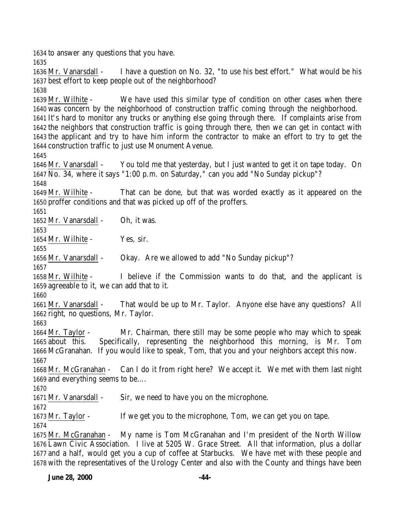to answer any questions that you have. Mr. Vanarsdall - I have a question on No. 32, "to use his best effort." What would be his best effort to keep people out of the neighborhood? Mr. Wilhite - We have used this similar type of condition on other cases when there was concern by the neighborhood of construction traffic coming through the neighborhood. It's hard to monitor any trucks or anything else going through there. If complaints arise from the neighbors that construction traffic is going through there, then we can get in contact with the applicant and try to have him inform the contractor to make an effort to try to get the construction traffic to just use Monument Avenue. Mr. Vanarsdall - You told me that yesterday, but I just wanted to get it on tape today. On No. 34, where it says "1:00 p.m. on Saturday," can you add "No Sunday pickup"? Mr. Wilhite - That can be done, but that was worded exactly as it appeared on the proffer conditions and that was picked up off of the proffers. Mr. Vanarsdall - Oh, it was. 1654 Mr. Wilhite - Yes, sir. Mr. Vanarsdall - Okay. Are we allowed to add "No Sunday pickup"? Mr. Wilhite - I believe if the Commission wants to do that, and the applicant is agreeable to it, we can add that to it. Mr. Vanarsdall - That would be up to Mr. Taylor. Anyone else have any questions? All right, no questions, Mr. Taylor. Mr. Taylor - Mr. Chairman, there still may be some people who may which to speak about this. Specifically, representing the neighborhood this morning, is Mr. Tom McGranahan. If you would like to speak, Tom, that you and your neighbors accept this now. Mr. McGranahan - Can I do it from right here? We accept it. We met with them last night and everything seems to be…. Mr. Vanarsdall - Sir, we need to have you on the microphone. Mr. Taylor - If we get you to the microphone, Tom, we can get you on tape. Mr. McGranahan - My name is Tom McGranahan and I'm president of the North Willow Lawn Civic Association. I live at 5205 W. Grace Street. All that information, plus a dollar and a half, would get you a cup of coffee at Starbucks. We have met with these people and with the representatives of the Urology Center and also with the County and things have been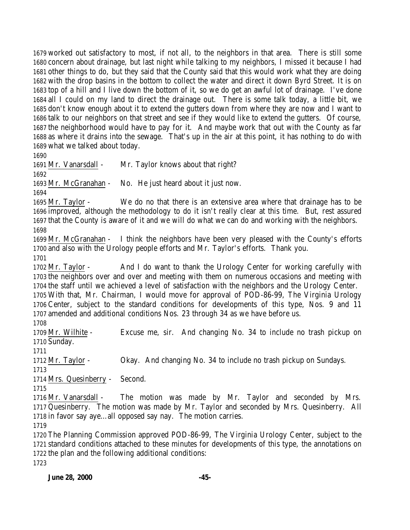worked out satisfactory to most, if not all, to the neighbors in that area. There is still some concern about drainage, but last night while talking to my neighbors, I missed it because I had other things to do, but they said that the County said that this would work what they are doing with the drop basins in the bottom to collect the water and direct it down Byrd Street. It is on top of a hill and I live down the bottom of it, so we do get an awful lot of drainage. I've done all I could on my land to direct the drainage out. There is some talk today, a little bit, we don't know enough about it to extend the gutters down from where they are now and I want to talk to our neighbors on that street and see if they would like to extend the gutters. Of course, the neighborhood would have to pay for it. And maybe work that out with the County as far as where it drains into the sewage. That's up in the air at this point, it has nothing to do with what we talked about today.

1691 Mr. Vanarsdall - Mr. Taylor knows about that right?

Mr. McGranahan - No. He just heard about it just now.

 Mr. Taylor - We do no that there is an extensive area where that drainage has to be improved, although the methodology to do it isn't really clear at this time. But, rest assured that the County is aware of it and we will do what we can do and working with the neighbors. 

 Mr. McGranahan - I think the neighbors have been very pleased with the County's efforts and also with the Urology people efforts and Mr. Taylor's efforts. Thank you. 

1702 Mr. Taylor - And I do want to thank the Urology Center for working carefully with the neighbors over and over and meeting with them on numerous occasions and meeting with the staff until we achieved a level of satisfaction with the neighbors and the Urology Center. With that, Mr. Chairman, I would move for approval of POD-86-99, The Virginia Urology Center, subject to the standard conditions for developments of this type, Nos. 9 and 11 amended and additional conditions Nos. 23 through 34 as we have before us.

 Mr. Wilhite - Excuse me, sir. And changing No. 34 to include no trash pickup on Sunday.

 Mr. Taylor - Okay. And changing No. 34 to include no trash pickup on Sundays. 

Mrs. Quesinberry - Second.

 Mr. Vanarsdall - The motion was made by Mr. Taylor and seconded by Mrs. Quesinberry. The motion was made by Mr. Taylor and seconded by Mrs. Quesinberry. All in favor say aye…all opposed say nay. The motion carries.

 The Planning Commission approved POD-86-99, The Virginia Urology Center, subject to the standard conditions attached to these minutes for developments of this type, the annotations on the plan and the following additional conditions: 

**June 28, 2000 -45-**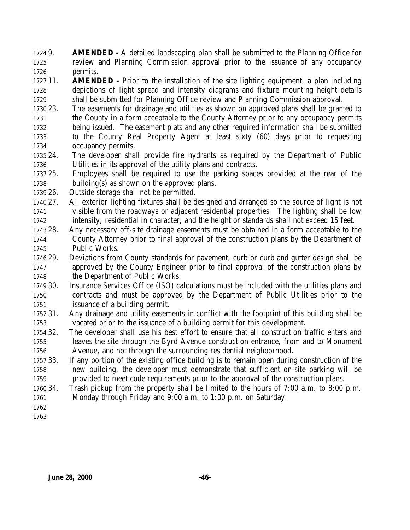9. **AMENDED -** A detailed landscaping plan shall be submitted to the Planning Office for review and Planning Commission approval prior to the issuance of any occupancy permits.

 11. **AMENDED -** Prior to the installation of the site lighting equipment, a plan including depictions of light spread and intensity diagrams and fixture mounting height details shall be submitted for Planning Office review and Planning Commission approval.

- 23. The easements for drainage and utilities as shown on approved plans shall be granted to the County in a form acceptable to the County Attorney prior to any occupancy permits being issued. The easement plats and any other required information shall be submitted to the County Real Property Agent at least sixty (60) days prior to requesting occupancy permits.
- 24. The developer shall provide fire hydrants as required by the Department of Public Utilities in its approval of the utility plans and contracts.
- 25. Employees shall be required to use the parking spaces provided at the rear of the building(s) as shown on the approved plans.
- 26. Outside storage shall not be permitted.
- 27. All exterior lighting fixtures shall be designed and arranged so the source of light is not visible from the roadways or adjacent residential properties. The lighting shall be low intensity, residential in character, and the height or standards shall not exceed 15 feet.
- 28. Any necessary off-site drainage easements must be obtained in a form acceptable to the County Attorney prior to final approval of the construction plans by the Department of Public Works.
- 29. Deviations from County standards for pavement, curb or curb and gutter design shall be approved by the County Engineer prior to final approval of the construction plans by the Department of Public Works.
- 30. Insurance Services Office (ISO) calculations must be included with the utilities plans and contracts and must be approved by the Department of Public Utilities prior to the issuance of a building permit.
- 31. Any drainage and utility easements in conflict with the footprint of this building shall be vacated prior to the issuance of a building permit for this development.
- 32. The developer shall use his best effort to ensure that all construction traffic enters and leaves the site through the Byrd Avenue construction entrance, from and to Monument Avenue, and not through the surrounding residential neighborhood.
- 33. If any portion of the existing office building is to remain open during construction of the new building, the developer must demonstrate that sufficient on-site parking will be provided to meet code requirements prior to the approval of the construction plans.
- 34. Trash pickup from the property shall be limited to the hours of 7:00 a.m. to 8:00 p.m. Monday through Friday and 9:00 a.m. to 1:00 p.m. on Saturday.
- 
-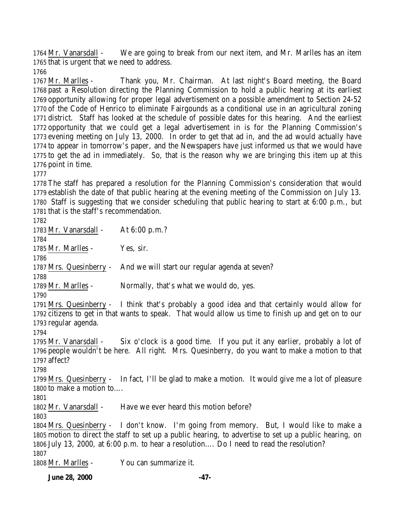Mr. Vanarsdall - We are going to break from our next item, and Mr. Marlles has an item that is urgent that we need to address.

 Mr. Marlles - Thank you, Mr. Chairman. At last night's Board meeting, the Board past a Resolution directing the Planning Commission to hold a public hearing at its earliest opportunity allowing for proper legal advertisement on a possible amendment to Section 24-52 of the Code of Henrico to eliminate Fairgounds as a conditional use in an agricultural zoning district. Staff has looked at the schedule of possible dates for this hearing. And the earliest opportunity that we could get a legal advertisement in is for the Planning Commission's evening meeting on July 13, 2000. In order to get that ad in, and the ad would actually have to appear in tomorrow's paper, and the Newspapers have just informed us that we would have to get the ad in immediately. So, that is the reason why we are bringing this item up at this point in time.

 The staff has prepared a resolution for the Planning Commission's consideration that would establish the date of that public hearing at the evening meeting of the Commission on July 13. Staff is suggesting that we consider scheduling that public hearing to start at 6:00 p.m., but that is the staff's recommendation. 

 Mr. Vanarsdall - At 6:00 p.m.? 1785 Mr. Marlles - Yes, sir. Mrs. Quesinberry - And we will start our regular agenda at seven? Mr. Marlles - Normally, that's what we would do, yes. Mrs. Quesinberry - I think that's probably a good idea and that certainly would allow for citizens to get in that wants to speak. That would allow us time to finish up and get on to our regular agenda. Mr. Vanarsdall - Six o'clock is a good time. If you put it any earlier, probably a lot of people wouldn't be here. All right. Mrs. Quesinberry, do you want to make a motion to that affect? Mrs. Quesinberry - In fact, I'll be glad to make a motion. It would give me a lot of pleasure to make a motion to…. 1802 Mr. Vanarsdall - Have we ever heard this motion before? Mrs. Quesinberry - I don't know. I'm going from memory. But, I would like to make a motion to direct the staff to set up a public hearing, to advertise to set up a public hearing, on July 13, 2000, at 6:00 p.m. to hear a resolution…. Do I need to read the resolution? Mr. Marlles - You can summarize it.

**June 28, 2000 -47-**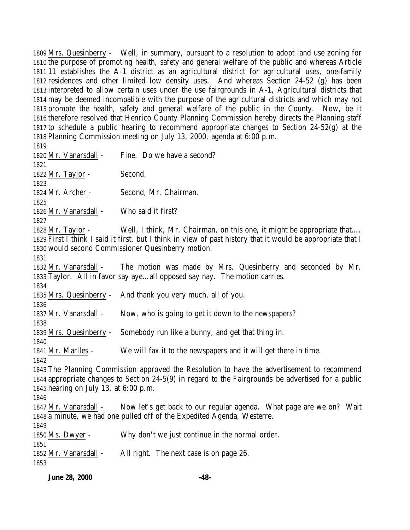Mrs. Quesinberry - Well, in summary, pursuant to a resolution to adopt land use zoning for the purpose of promoting health, safety and general welfare of the public and whereas Article 11 establishes the A-1 district as an agricultural district for agricultural uses, one-family residences and other limited low density uses. And whereas Section 24-52 (g) has been interpreted to allow certain uses under the use fairgrounds in A-1, Agricultural districts that may be deemed incompatible with the purpose of the agricultural districts and which may not promote the health, safety and general welfare of the public in the County. Now, be it therefore resolved that Henrico County Planning Commission hereby directs the Planning staff to schedule a public hearing to recommend appropriate changes to Section 24-52(g) at the Planning Commission meeting on July 13, 2000, agenda at 6:00 p.m. 1820 Mr. Vanarsdall - Fine. Do we have a second? 1822 Mr. Taylor - Second. Mr. Archer - Second, Mr. Chairman. Mr. Vanarsdall - Who said it first? 1828 Mr. Taylor - Well, I think, Mr. Chairman, on this one, it might be appropriate that... First I think I said it first, but I think in view of past history that it would be appropriate that I would second Commissioner Quesinberry motion. Mr. Vanarsdall - The motion was made by Mrs. Quesinberry and seconded by Mr. Taylor. All in favor say aye…all opposed say nay. The motion carries. Mrs. Quesinberry - And thank you very much, all of you. Mr. Vanarsdall - Now, who is going to get it down to the newspapers? Mrs. Quesinberry - Somebody run like a bunny, and get that thing in. Mr. Marlles - We will fax it to the newspapers and it will get there in time. The Planning Commission approved the Resolution to have the advertisement to recommend appropriate changes to Section 24-5(9) in regard to the Fairgrounds be advertised for a public hearing on July 13, at 6:00 p.m. Mr. Vanarsdall - Now let's get back to our regular agenda. What page are we on? Wait a minute, we had one pulled off of the Expedited Agenda, Westerre. Ms. Dwyer - Why don't we just continue in the normal order. 

Mr. Vanarsdall - All right. The next case is on page 26.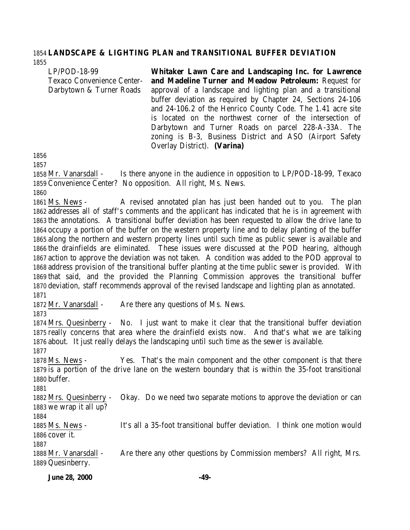#### **LANDSCAPE & LIGHTING PLAN and TRANSITIONAL BUFFER DEVIATION**

LP/POD-18-99 Texaco Convenience Center-Darbytown & Turner Roads **Whitaker Lawn Care and Landscaping Inc. for Lawrence and Madeline Turner and Meadow Petroleum:** Request for approval of a landscape and lighting plan and a transitional buffer deviation as required by Chapter 24, Sections 24-106 and 24-106.2 of the Henrico County Code. The 1.41 acre site is located on the northwest corner of the intersection of Darbytown and Turner Roads on parcel 228-A-33A. The zoning is B-3, Business District and ASO (Airport Safety

 Mr. Vanarsdall - Is there anyone in the audience in opposition to LP/POD-18-99, Texaco Convenience Center? No opposition. All right, Ms. News.

Overlay District). **(Varina)** 

 Ms. News - A revised annotated plan has just been handed out to you. The plan addresses all of staff's comments and the applicant has indicated that he is in agreement with the annotations. A transitional buffer deviation has been requested to allow the drive lane to occupy a portion of the buffer on the western property line and to delay planting of the buffer along the northern and western property lines until such time as public sewer is available and the drainfields are eliminated. These issues were discussed at the POD hearing, although action to approve the deviation was not taken. A condition was added to the POD approval to address provision of the transitional buffer planting at the time public sewer is provided. With that said, and the provided the Planning Commission approves the transitional buffer deviation, staff recommends approval of the revised landscape and lighting plan as annotated. 

Mr. Vanarsdall - Are there any questions of Ms. News.

 Mrs. Quesinberry - No. I just want to make it clear that the transitional buffer deviation really concerns that area where the drainfield exists now. And that's what we are talking about. It just really delays the landscaping until such time as the sewer is available. 

 Ms. News - Yes. That's the main component and the other component is that there is a portion of the drive lane on the western boundary that is within the 35-foot transitional buffer.

 Mrs. Quesinberry - Okay. Do we need two separate motions to approve the deviation or can we wrap it all up?

 Ms. News - It's all a 35-foot transitional buffer deviation. I think one motion would cover it.

 Mr. Vanarsdall - Are there any other questions by Commission members? All right, Mrs. Quesinberry.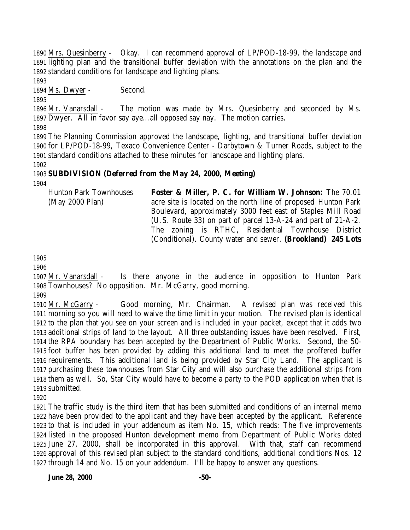Mrs. Quesinberry - Okay. I can recommend approval of LP/POD-18-99, the landscape and lighting plan and the transitional buffer deviation with the annotations on the plan and the standard conditions for landscape and lighting plans.

Ms. Dwyer - Second.

 Mr. Vanarsdall - The motion was made by Mrs. Quesinberry and seconded by Ms. Dwyer. All in favor say aye…all opposed say nay. The motion carries.

 The Planning Commission approved the landscape, lighting, and transitional buffer deviation for LP/POD-18-99, Texaco Convenience Center - Darbytown & Turner Roads, subject to the standard conditions attached to these minutes for landscape and lighting plans.

## **SUBDIVISION (Deferred from the May 24, 2000, Meeting)**

Hunton Park Townhouses (May 2000 Plan) **Foster & Miller, P. C. for William W. Johnson:** The 70.01 acre site is located on the north line of proposed Hunton Park Boulevard, approximately 3000 feet east of Staples Mill Road (U.S. Route 33) on part of parcel 13-A-24 and part of 21-A-2. The zoning is RTHC, Residential Townhouse District (Conditional). County water and sewer. **(Brookland) 245 Lots**

 Mr. Vanarsdall - Is there anyone in the audience in opposition to Hunton Park Townhouses? No opposition. Mr. McGarry, good morning.

 Mr. McGarry - Good morning, Mr. Chairman. A revised plan was received this morning so you will need to waive the time limit in your motion. The revised plan is identical to the plan that you see on your screen and is included in your packet, except that it adds two additional strips of land to the layout. All three outstanding issues have been resolved. First, the RPA boundary has been accepted by the Department of Public Works. Second, the 50- foot buffer has been provided by adding this additional land to meet the proffered buffer requirements. This additional land is being provided by Star City Land. The applicant is purchasing these townhouses from Star City and will also purchase the additional strips from them as well. So, Star City would have to become a party to the POD application when that is submitted.

 The traffic study is the third item that has been submitted and conditions of an internal memo have been provided to the applicant and they have been accepted by the applicant. Reference to that is included in your addendum as item No. 15, which reads: The five improvements listed in the proposed Hunton development memo from Department of Public Works dated June 27, 2000, shall be incorporated in this approval. With that, staff can recommend approval of this revised plan subject to the standard conditions, additional conditions Nos. 12 through 14 and No. 15 on your addendum. I'll be happy to answer any questions.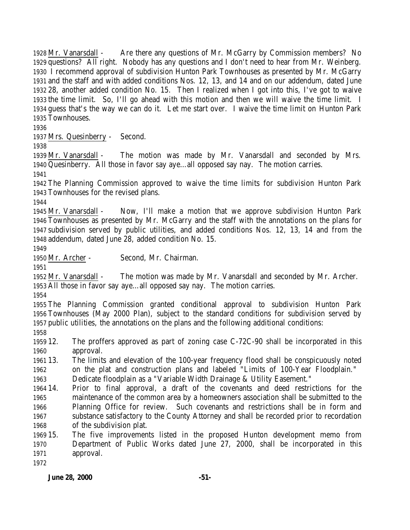Mr. Vanarsdall - Are there any questions of Mr. McGarry by Commission members? No questions? All right. Nobody has any questions and I don't need to hear from Mr. Weinberg. I recommend approval of subdivision Hunton Park Townhouses as presented by Mr. McGarry and the staff and with added conditions Nos. 12, 13, and 14 and on our addendum, dated June 28, another added condition No. 15. Then I realized when I got into this, I've got to waive the time limit. So, I'll go ahead with this motion and then we will waive the time limit. I guess that's the way we can do it. Let me start over. I waive the time limit on Hunton Park Townhouses.

Mrs. Quesinberry - Second.

 Mr. Vanarsdall - The motion was made by Mr. Vanarsdall and seconded by Mrs. Quesinberry. All those in favor say aye…all opposed say nay. The motion carries.

 The Planning Commission approved to waive the time limits for subdivision Hunton Park Townhouses for the revised plans.

 Mr. Vanarsdall - Now, I'll make a motion that we approve subdivision Hunton Park Townhouses as presented by Mr. McGarry and the staff with the annotations on the plans for subdivision served by public utilities, and added conditions Nos. 12, 13, 14 and from the addendum, dated June 28, added condition No. 15.

Mr. Archer - Second, Mr. Chairman.

 Mr. Vanarsdall - The motion was made by Mr. Vanarsdall and seconded by Mr. Archer. All those in favor say aye…all opposed say nay. The motion carries.

 The Planning Commission granted conditional approval to subdivision Hunton Park Townhouses (May 2000 Plan), subject to the standard conditions for subdivision served by public utilities, the annotations on the plans and the following additional conditions:

 12. The proffers approved as part of zoning case C-72C-90 shall be incorporated in this approval.

 13. The limits and elevation of the 100-year frequency flood shall be conspicuously noted on the plat and construction plans and labeled "Limits of 100-Year Floodplain."

Dedicate floodplain as a "Variable Width Drainage & Utility Easement."

 14. Prior to final approval, a draft of the covenants and deed restrictions for the maintenance of the common area by a homeowners association shall be submitted to the Planning Office for review. Such covenants and restrictions shall be in form and substance satisfactory to the County Attorney and shall be recorded prior to recordation of the subdivision plat.

 15. The five improvements listed in the proposed Hunton development memo from Department of Public Works dated June 27, 2000, shall be incorporated in this approval.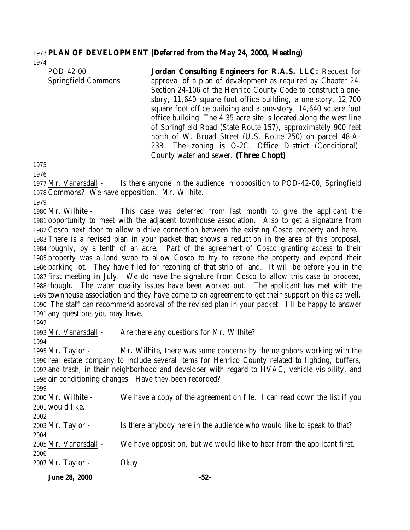#### **PLAN OF DEVELOPMENT (Deferred from the May 24, 2000, Meeting)**

| POD-42-00           | Jordan Consulting Engineers for R.A.S. LLC: Request for            |
|---------------------|--------------------------------------------------------------------|
| Springfield Commons | approval of a plan of development as required by Chapter 24,       |
|                     | Section 24-106 of the Henrico County Code to construct a one-      |
|                     | story, 11,640 square foot office building, a one-story, 12,700     |
|                     | square foot office building and a one-story, 14,640 square foot    |
|                     | office building. The 4.35 acre site is located along the west line |
|                     | of Springfield Road (State Route 157), approximately 900 feet      |
|                     | north of W. Broad Street (U.S. Route 250) on parcel 48-A-          |
|                     | 23B. The zoning is O-2C, Office District (Conditional).            |
|                     | County water and sewer. (Three Chopt)                              |
|                     |                                                                    |

 Mr. Vanarsdall - Is there anyone in the audience in opposition to POD-42-00, Springfield Commons? We have opposition. Mr. Wilhite.

 Mr. Wilhite - This case was deferred from last month to give the applicant the opportunity to meet with the adjacent townhouse association. Also to get a signature from Cosco next door to allow a drive connection between the existing Cosco property and here. There is a revised plan in your packet that shows a reduction in the area of this proposal, roughly, by a tenth of an acre. Part of the agreement of Cosco granting access to their property was a land swap to allow Cosco to try to rezone the property and expand their parking lot. They have filed for rezoning of that strip of land. It will be before you in the first meeting in July. We do have the signature from Cosco to allow this case to proceed, though. The water quality issues have been worked out. The applicant has met with the townhouse association and they have come to an agreement to get their support on this as well. The staff can recommend approval of the revised plan in your packet. I'll be happy to answer any questions you may have.

1993 Mr. Vanarsdall - Are there any questions for Mr. Wilhite?

 Mr. Taylor - Mr. Wilhite, there was some concerns by the neighbors working with the real estate company to include several items for Henrico County related to lighting, buffers, and trash, in their neighborhood and developer with regard to HVAC, vehicle visibility, and air conditioning changes. Have they been recorded?

| 2000 Mr. Wilhite -    | We have a copy of the agreement on file. I can read down the list if you |
|-----------------------|--------------------------------------------------------------------------|
| 2001 would like.      |                                                                          |
| 2002                  |                                                                          |
| 2003 Mr. Taylor -     | Is there anybody here in the audience who would like to speak to that?   |
| 2004                  |                                                                          |
| 2005 Mr. Vanarsdall - | We have opposition, but we would like to hear from the applicant first.  |
| 2006                  |                                                                          |
| 2007 Mr. Taylor -     | Okay.                                                                    |

**June 28, 2000 -52-**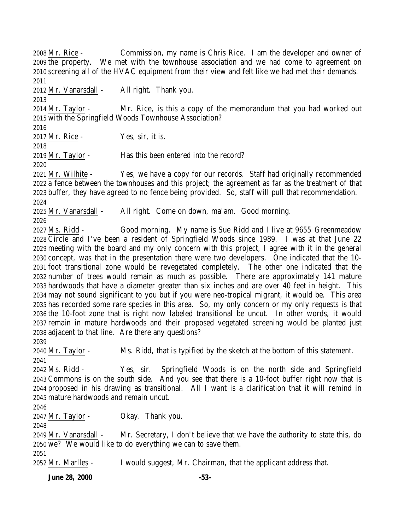**June 28, 2000 -53-** Mr. Rice - Commission, my name is Chris Rice. I am the developer and owner of the property. We met with the townhouse association and we had come to agreement on screening all of the HVAC equipment from their view and felt like we had met their demands. Mr. Vanarsdall - All right. Thank you. Mr. Taylor - Mr. Rice, is this a copy of the memorandum that you had worked out with the Springfield Woods Townhouse Association? Mr. Rice - Yes, sir, it is. Mr. Taylor - Has this been entered into the record? Mr. Wilhite - Yes, we have a copy for our records. Staff had originally recommended a fence between the townhouses and this project; the agreement as far as the treatment of that buffer, they have agreed to no fence being provided. So, staff will pull that recommendation. Mr. Vanarsdall - All right. Come on down, ma'am. Good morning. Ms. Ridd - Good morning. My name is Sue Ridd and I live at 9655 Greenmeadow Circle and I've been a resident of Springfield Woods since 1989. I was at that June 22 meeting with the board and my only concern with this project, I agree with it in the general concept, was that in the presentation there were two developers. One indicated that the 10- foot transitional zone would be revegetated completely. The other one indicated that the number of trees would remain as much as possible. There are approximately 141 mature hardwoods that have a diameter greater than six inches and are over 40 feet in height. This may not sound significant to you but if you were neo-tropical migrant, it would be. This area has recorded some rare species in this area. So, my only concern or my only requests is that the 10-foot zone that is right now labeled transitional be uncut. In other words, it would remain in mature hardwoods and their proposed vegetated screening would be planted just adjacent to that line. Are there any questions? 2040 Mr. Taylor - Ms. Ridd, that is typified by the sketch at the bottom of this statement. Ms. Ridd - Yes, sir. Springfield Woods is on the north side and Springfield Commons is on the south side. And you see that there is a 10-foot buffer right now that is proposed in his drawing as transitional. All I want is a clarification that it will remind in mature hardwoods and remain uncut. Mr. Taylor - Okay. Thank you. Mr. Vanarsdall - Mr. Secretary, I don't believe that we have the authority to state this, do we? We would like to do everything we can to save them. Mr. Marlles - I would suggest, Mr. Chairman, that the applicant address that.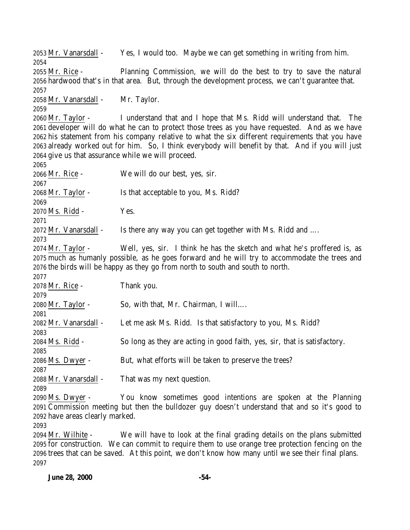Mr. Vanarsdall - Yes, I would too. Maybe we can get something in writing from him. Mr. Rice - Planning Commission, we will do the best to try to save the natural hardwood that's in that area. But, through the development process, we can't guarantee that. Mr. Vanarsdall - Mr. Taylor. Mr. Taylor - I understand that and I hope that Ms. Ridd will understand that. The developer will do what he can to protect those trees as you have requested. And as we have his statement from his company relative to what the six different requirements that you have already worked out for him. So, I think everybody will benefit by that. And if you will just give us that assurance while we will proceed. Mr. Rice - We will do our best, yes, sir. Mr. Taylor - Is that acceptable to you, Ms. Ridd? Ms. Ridd - Yes. Mr. Vanarsdall - Is there any way you can get together with Ms. Ridd and …. Mr. Taylor - Well, yes, sir. I think he has the sketch and what he's proffered is, as much as humanly possible, as he goes forward and he will try to accommodate the trees and the birds will be happy as they go from north to south and south to north. Mr. Rice - Thank you. Mr. Taylor - So, with that, Mr. Chairman, I will…. 2082 Mr. Vanarsdall - Let me ask Ms. Ridd. Is that satisfactory to you, Ms. Ridd? Ms. Ridd - So long as they are acting in good faith, yes, sir, that is satisfactory. Ms. Dwyer - But, what efforts will be taken to preserve the trees? Mr. Vanarsdall - That was my next question. Ms. Dwyer - You know sometimes good intentions are spoken at the Planning Commission meeting but then the bulldozer guy doesn't understand that and so it's good to have areas clearly marked. Mr. Wilhite - We will have to look at the final grading details on the plans submitted

 for construction. We can commit to require them to use orange tree protection fencing on the trees that can be saved. At this point, we don't know how many until we see their final plans.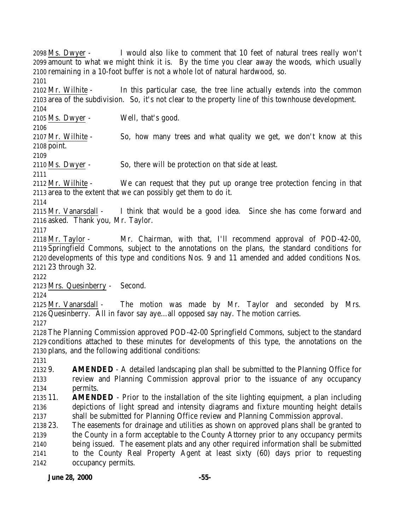Ms. Dwyer - I would also like to comment that 10 feet of natural trees really won't amount to what we might think it is. By the time you clear away the woods, which usually remaining in a 10-foot buffer is not a whole lot of natural hardwood, so.

 Mr. Wilhite - In this particular case, the tree line actually extends into the common area of the subdivision. So, it's not clear to the property line of this townhouse development. 

Ms. Dwyer - Well, that's good.

 Mr. Wilhite - So, how many trees and what quality we get, we don't know at this point.

Ms. Dwyer - So, there will be protection on that side at least.

 Mr. Wilhite - We can request that they put up orange tree protection fencing in that area to the extent that we can possibly get them to do it.

 Mr. Vanarsdall - I think that would be a good idea. Since she has come forward and asked. Thank you, Mr. Taylor.

 Mr. Taylor - Mr. Chairman, with that, I'll recommend approval of POD-42-00, Springfield Commons, subject to the annotations on the plans, the standard conditions for developments of this type and conditions Nos. 9 and 11 amended and added conditions Nos. 23 through 32.

Mrs. Quesinberry - Second.

 Mr. Vanarsdall - The motion was made by Mr. Taylor and seconded by Mrs. Quesinberry. All in favor say aye…all opposed say nay. The motion carries.

 The Planning Commission approved POD-42-00 Springfield Commons, subject to the standard conditions attached to these minutes for developments of this type, the annotations on the plans, and the following additional conditions:

 9. **AMENDED** - A detailed landscaping plan shall be submitted to the Planning Office for review and Planning Commission approval prior to the issuance of any occupancy permits.

 11. **AMENDED** - Prior to the installation of the site lighting equipment, a plan including depictions of light spread and intensity diagrams and fixture mounting height details shall be submitted for Planning Office review and Planning Commission approval.

 23. The easements for drainage and utilities as shown on approved plans shall be granted to the County in a form acceptable to the County Attorney prior to any occupancy permits being issued. The easement plats and any other required information shall be submitted to the County Real Property Agent at least sixty (60) days prior to requesting occupancy permits.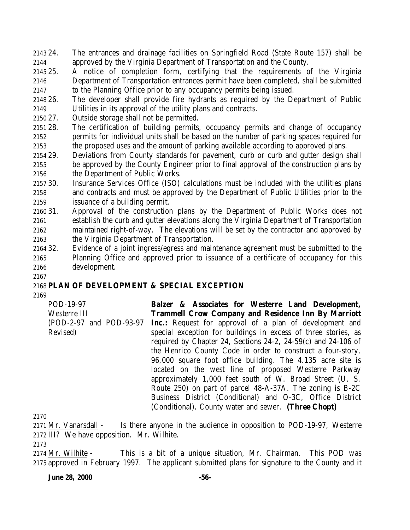- 24. The entrances and drainage facilities on Springfield Road (State Route 157) shall be approved by the Virginia Department of Transportation and the County.
- 25. A notice of completion form, certifying that the requirements of the Virginia Department of Transportation entrances permit have been completed, shall be submitted to the Planning Office prior to any occupancy permits being issued.
- 26. The developer shall provide fire hydrants as required by the Department of Public Utilities in its approval of the utility plans and contracts.
- 27. Outside storage shall not be permitted.
- 28. The certification of building permits, occupancy permits and change of occupancy permits for individual units shall be based on the number of parking spaces required for the proposed uses and the amount of parking available according to approved plans.
- 29. Deviations from County standards for pavement, curb or curb and gutter design shall be approved by the County Engineer prior to final approval of the construction plans by the Department of Public Works.
- 30. Insurance Services Office (ISO) calculations must be included with the utilities plans and contracts and must be approved by the Department of Public Utilities prior to the issuance of a building permit.
- 31. Approval of the construction plans by the Department of Public Works does not establish the curb and gutter elevations along the Virginia Department of Transportation maintained right-of-way. The elevations will be set by the contractor and approved by the Virginia Department of Transportation.
- 32. Evidence of a joint ingress/egress and maintenance agreement must be submitted to the Planning Office and approved prior to issuance of a certificate of occupancy for this development.
- 

## **PLAN OF DEVELOPMENT & SPECIAL EXCEPTION**

POD-19-97 Westerre III (POD-2-97 and POD-93-97 Revised) **Balzer & Associates for Westerre Land Development, Trammell Crow Company and Residence Inn By Marriott Inc.:** Request for approval of a plan of development and special exception for buildings in excess of three stories, as required by Chapter 24, Sections 24-2, 24-59(c) and 24-106 of the Henrico County Code in order to construct a four-story, 96,000 square foot office building. The 4.135 acre site is located on the west line of proposed Westerre Parkway approximately 1,000 feet south of W. Broad Street (U. S. Route 250) on part of parcel 48-A-37A. The zoning is B-2C Business District (Conditional) and O-3C, Office District (Conditional). County water and sewer. **(Three Chopt)**

 Mr. Vanarsdall - Is there anyone in the audience in opposition to POD-19-97, Westerre III? We have opposition. Mr. Wilhite.

 Mr. Wilhite - This is a bit of a unique situation, Mr. Chairman. This POD was approved in February 1997. The applicant submitted plans for signature to the County and it

**June 28, 2000 -56-**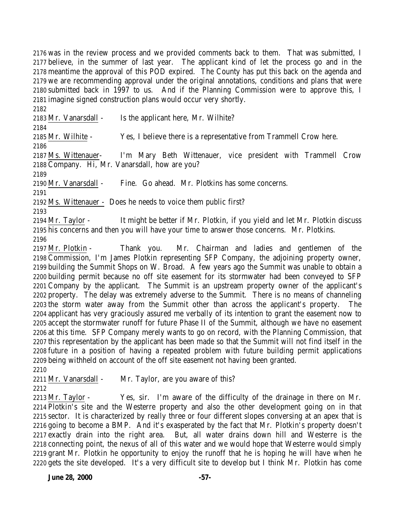was in the review process and we provided comments back to them. That was submitted, I believe, in the summer of last year. The applicant kind of let the process go and in the meantime the approval of this POD expired. The County has put this back on the agenda and we are recommending approval under the original annotations, conditions and plans that were submitted back in 1997 to us. And if the Planning Commission were to approve this, I imagine signed construction plans would occur very shortly.

Mr. Vanarsdall - Is the applicant here, Mr. Wilhite?

Mr. Wilhite - Yes, I believe there is a representative from Trammell Crow here.

 Ms. Wittenauer- I'm Mary Beth Wittenauer, vice president with Trammell Crow Company. Hi, Mr. Vanarsdall, how are you?

Mr. Vanarsdall - Fine. Go ahead. Mr. Plotkins has some concerns.

Ms. Wittenauer - Does he needs to voice them public first?

 Mr. Taylor - It might be better if Mr. Plotkin, if you yield and let Mr. Plotkin discuss his concerns and then you will have your time to answer those concerns. Mr. Plotkins. 

 Mr. Plotkin - Thank you. Mr. Chairman and ladies and gentlemen of the Commission, I'm James Plotkin representing SFP Company, the adjoining property owner, building the Summit Shops on W. Broad. A few years ago the Summit was unable to obtain a building permit because no off site easement for its stormwater had been conveyed to SFP Company by the applicant. The Summit is an upstream property owner of the applicant's property. The delay was extremely adverse to the Summit. There is no means of channeling the storm water away from the Summit other than across the applicant's property. The applicant has very graciously assured me verbally of its intention to grant the easement now to accept the stormwater runoff for future Phase II of the Summit, although we have no easement at this time. SFP Company merely wants to go on record, with the Planning Commission, that this representation by the applicant has been made so that the Summit will not find itself in the future in a position of having a repeated problem with future building permit applications being withheld on account of the off site easement not having been granted. 

2211 Mr. Vanarsdall - Mr. Taylor, are you aware of this?

 Mr. Taylor - Yes, sir. I'm aware of the difficulty of the drainage in there on Mr. Plotkin's site and the Westerre property and also the other development going on in that sector. It is characterized by really three or four different slopes conversing at an apex that is going to become a BMP. And it's exasperated by the fact that Mr. Plotkin's property doesn't exactly drain into the right area. But, all water drains down hill and Westerre is the connecting point, the nexus of all of this water and we would hope that Westerre would simply grant Mr. Plotkin he opportunity to enjoy the runoff that he is hoping he will have when he gets the site developed. It's a very difficult site to develop but I think Mr. Plotkin has come

**June 28, 2000 -57-**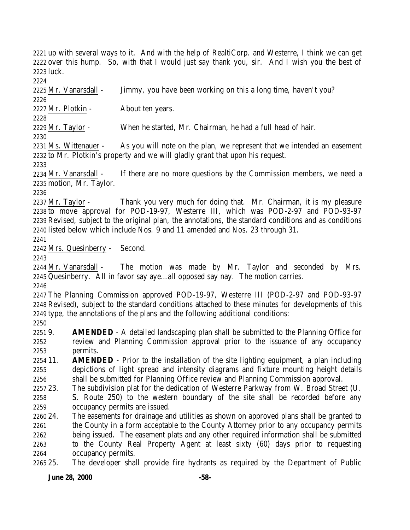up with several ways to it. And with the help of RealtiCorp. and Westerre, I think we can get over this hump. So, with that I would just say thank you, sir. And I wish you the best of luck.

 Mr. Vanarsdall - Jimmy, you have been working on this a long time, haven't you? 

 Mr. Plotkin - About ten years. 

Mr. Taylor - When he started, Mr. Chairman, he had a full head of hair.

 Ms. Wittenauer - As you will note on the plan, we represent that we intended an easement to Mr. Plotkin's property and we will gladly grant that upon his request.

 Mr. Vanarsdall - If there are no more questions by the Commission members, we need a motion, Mr. Taylor.

2237 Mr. Taylor - Thank you very much for doing that. Mr. Chairman, it is my pleasure to move approval for POD-19-97, Westerre III, which was POD-2-97 and POD-93-97 Revised, subject to the original plan, the annotations, the standard conditions and as conditions listed below which include Nos. 9 and 11 amended and Nos. 23 through 31.

Mrs. Quesinberry - Second.

 Mr. Vanarsdall - The motion was made by Mr. Taylor and seconded by Mrs. Quesinberry. All in favor say aye…all opposed say nay. The motion carries. 

 The Planning Commission approved POD-19-97, Westerre III (POD-2-97 and POD-93-97 Revised), subject to the standard conditions attached to these minutes for developments of this type, the annotations of the plans and the following additional conditions:

 9. **AMENDED** - A detailed landscaping plan shall be submitted to the Planning Office for review and Planning Commission approval prior to the issuance of any occupancy permits.

 11. **AMENDED** - Prior to the installation of the site lighting equipment, a plan including depictions of light spread and intensity diagrams and fixture mounting height details shall be submitted for Planning Office review and Planning Commission approval.

23. The subdivision plat for the dedication of Westerre Parkway from W. Broad Street (U.

 S. Route 250) to the western boundary of the site shall be recorded before any occupancy permits are issued.

 24. The easements for drainage and utilities as shown on approved plans shall be granted to 2261 the County in a form acceptable to the County Attorney prior to any occupancy permits being issued. The easement plats and any other required information shall be submitted to the County Real Property Agent at least sixty (60) days prior to requesting occupancy permits.

25. The developer shall provide fire hydrants as required by the Department of Public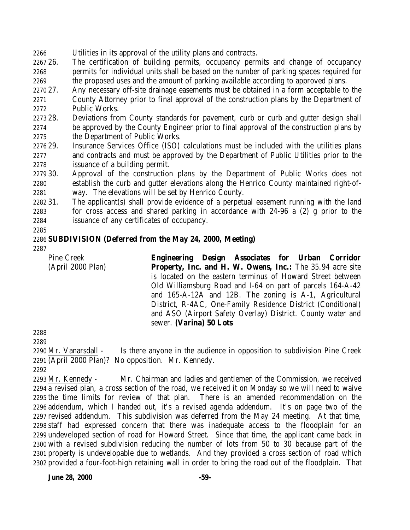- Utilities in its approval of the utility plans and contracts.
- 26. The certification of building permits, occupancy permits and change of occupancy permits for individual units shall be based on the number of parking spaces required for the proposed uses and the amount of parking available according to approved plans.
- 27. Any necessary off-site drainage easements must be obtained in a form acceptable to the County Attorney prior to final approval of the construction plans by the Department of Public Works.
- 28. Deviations from County standards for pavement, curb or curb and gutter design shall be approved by the County Engineer prior to final approval of the construction plans by 2275 the Department of Public Works.
- 29. Insurance Services Office (ISO) calculations must be included with the utilities plans and contracts and must be approved by the Department of Public Utilities prior to the issuance of a building permit.
- 30. Approval of the construction plans by the Department of Public Works does not establish the curb and gutter elevations along the Henrico County maintained right-of-way. The elevations will be set by Henrico County.

 31. The applicant(s) shall provide evidence of a perpetual easement running with the land for cross access and shared parking in accordance with 24-96 a (2) g prior to the issuance of any certificates of occupancy.

## **SUBDIVISION (Deferred from the May 24, 2000, Meeting)**

Pine Creek

(April 2000 Plan)

**Engineering Design Associates for Urban Corridor Property, Inc. and H. W. Owens, Inc.:** The 35.94 acre site is located on the eastern terminus of Howard Street between Old Williamsburg Road and I-64 on part of parcels 164-A-42 and 165-A-12A and 12B. The zoning is A-1, Agricultural District, R-4AC, One-Family Residence District (Conditional) and ASO (Airport Safety Overlay) District. County water and sewer. **(Varina) 50 Lots** 

 Mr. Vanarsdall - Is there anyone in the audience in opposition to subdivision Pine Creek (April 2000 Plan)? No opposition. Mr. Kennedy.

 Mr. Kennedy - Mr. Chairman and ladies and gentlemen of the Commission, we received a revised plan, a cross section of the road, we received it on Monday so we will need to waive the time limits for review of that plan. There is an amended recommendation on the addendum, which I handed out, it's a revised agenda addendum. It's on page two of the revised addendum. This subdivision was deferred from the May 24 meeting. At that time, staff had expressed concern that there was inadequate access to the floodplain for an undeveloped section of road for Howard Street. Since that time, the applicant came back in with a revised subdivision reducing the number of lots from 50 to 30 because part of the property is undevelopable due to wetlands. And they provided a cross section of road which provided a four-foot-high retaining wall in order to bring the road out of the floodplain. That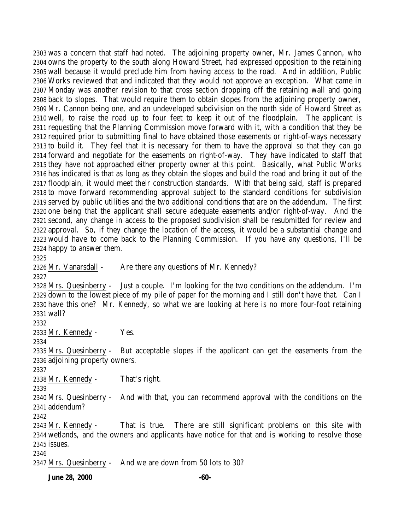was a concern that staff had noted. The adjoining property owner, Mr. James Cannon, who owns the property to the south along Howard Street, had expressed opposition to the retaining wall because it would preclude him from having access to the road. And in addition, Public Works reviewed that and indicated that they would not approve an exception. What came in Monday was another revision to that cross section dropping off the retaining wall and going back to slopes. That would require them to obtain slopes from the adjoining property owner, Mr. Cannon being one, and an undeveloped subdivision on the north side of Howard Street as well, to raise the road up to four feet to keep it out of the floodplain. The applicant is requesting that the Planning Commission move forward with it, with a condition that they be required prior to submitting final to have obtained those easements or right-of-ways necessary to build it. They feel that it is necessary for them to have the approval so that they can go forward and negotiate for the easements on right-of-way. They have indicated to staff that they have not approached either property owner at this point. Basically, what Public Works has indicated is that as long as they obtain the slopes and build the road and bring it out of the floodplain, it would meet their construction standards. With that being said, staff is prepared to move forward recommending approval subject to the standard conditions for subdivision served by public utilities and the two additional conditions that are on the addendum. The first one being that the applicant shall secure adequate easements and/or right-of-way. And the second, any change in access to the proposed subdivision shall be resubmitted for review and approval. So, if they change the location of the access, it would be a substantial change and would have to come back to the Planning Commission. If you have any questions, I'll be happy to answer them.

2326 Mr. Vanarsdall - Are there any questions of Mr. Kennedy?

 Mrs. Quesinberry - Just a couple. I'm looking for the two conditions on the addendum. I'm down to the lowest piece of my pile of paper for the morning and I still don't have that. Can I have this one? Mr. Kennedy, so what we are looking at here is no more four-foot retaining wall?

Mr. Kennedy - Yes.

 Mrs. Quesinberry - But acceptable slopes if the applicant can get the easements from the adjoining property owners.

Mr. Kennedy - That's right.

 Mrs. Quesinberry - And with that, you can recommend approval with the conditions on the addendum?

 Mr. Kennedy - That is true. There are still significant problems on this site with wetlands, and the owners and applicants have notice for that and is working to resolve those issues.

Mrs. Quesinberry - And we are down from 50 lots to 30?

**June 28, 2000 -60-**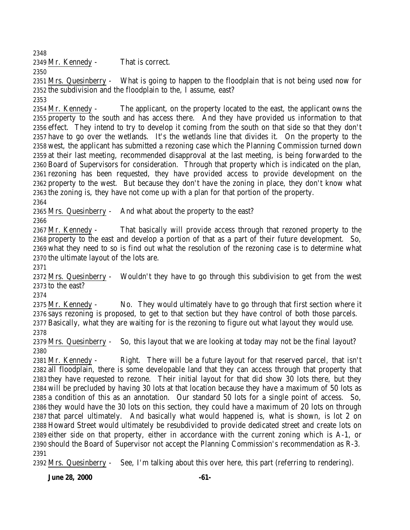Mr. Kennedy - That is correct.

 Mrs. Quesinberry - What is going to happen to the floodplain that is not being used now for the subdivision and the floodplain to the, I assume, east?

 Mr. Kennedy - The applicant, on the property located to the east, the applicant owns the property to the south and has access there. And they have provided us information to that effect. They intend to try to develop it coming from the south on that side so that they don't have to go over the wetlands. It's the wetlands line that divides it. On the property to the west, the applicant has submitted a rezoning case which the Planning Commission turned down at their last meeting, recommended disapproval at the last meeting, is being forwarded to the Board of Supervisors for consideration. Through that property which is indicated on the plan, rezoning has been requested, they have provided access to provide development on the property to the west. But because they don't have the zoning in place, they don't know what the zoning is, they have not come up with a plan for that portion of the property. 

Mrs. Quesinberry - And what about the property to the east?

 Mr. Kennedy - That basically will provide access through that rezoned property to the property to the east and develop a portion of that as a part of their future development. So, what they need to so is find out what the resolution of the rezoning case is to determine what the ultimate layout of the lots are.

 Mrs. Quesinberry - Wouldn't they have to go through this subdivision to get from the west to the east?

 Mr. Kennedy - No. They would ultimately have to go through that first section where it says rezoning is proposed, to get to that section but they have control of both those parcels. Basically, what they are waiting for is the rezoning to figure out what layout they would use. 

 Mrs. Quesinberry - So, this layout that we are looking at today may not be the final layout? 

 Mr. Kennedy - Right. There will be a future layout for that reserved parcel, that isn't all floodplain, there is some developable land that they can access through that property that they have requested to rezone. Their initial layout for that did show 30 lots there, but they will be precluded by having 30 lots at that location because they have a maximum of 50 lots as a condition of this as an annotation. Our standard 50 lots for a single point of access. So, they would have the 30 lots on this section, they could have a maximum of 20 lots on through that parcel ultimately. And basically what would happened is, what is shown, is lot 2 on Howard Street would ultimately be resubdivided to provide dedicated street and create lots on either side on that property, either in accordance with the current zoning which is A-1, or should the Board of Supervisor not accept the Planning Commission's recommendation as R-3. 

Mrs. Quesinberry - See, I'm talking about this over here, this part (referring to rendering).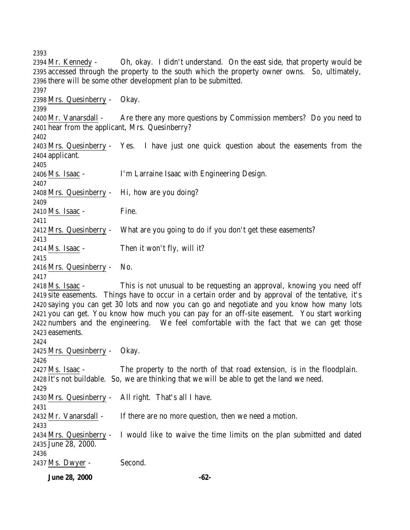**June 28, 2000 -62-** Mr. Kennedy - Oh, okay. I didn't understand. On the east side, that property would be accessed through the property to the south which the property owner owns. So, ultimately, there will be some other development plan to be submitted. Mrs. Quesinberry - Okay. Mr. Vanarsdall - Are there any more questions by Commission members? Do you need to hear from the applicant, Mrs. Quesinberry? Mrs. Quesinberry - Yes. I have just one quick question about the easements from the applicant. Ms. Isaac - I'm Larraine Isaac with Engineering Design. Mrs. Quesinberry - Hi, how are you doing? Ms. Isaac - Fine. Mrs. Quesinberry - What are you going to do if you don't get these easements? Ms. Isaac - Then it won't fly, will it? Mrs. Quesinberry - No. Ms. Isaac - This is not unusual to be requesting an approval, knowing you need off site easements. Things have to occur in a certain order and by approval of the tentative, it's saying you can get 30 lots and now you can go and negotiate and you know how many lots you can get. You know how much you can pay for an off-site easement. You start working numbers and the engineering. We feel comfortable with the fact that we can get those easements. Mrs. Quesinberry - Okay. Ms. Isaac - The property to the north of that road extension, is in the floodplain. It's not buildable. So, we are thinking that we will be able to get the land we need. Mrs. Quesinberry - All right. That's all I have. 2432 Mr. Vanarsdall - If there are no more question, then we need a motion. Mrs. Quesinberry - I would like to waive the time limits on the plan submitted and dated June 28, 2000. Ms. Dwyer - Second.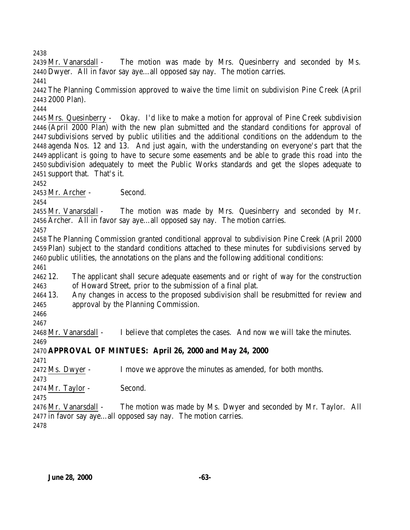Mr. Vanarsdall - The motion was made by Mrs. Quesinberry and seconded by Ms. Dwyer. All in favor say aye…all opposed say nay. The motion carries. 

 The Planning Commission approved to waive the time limit on subdivision Pine Creek (April 2000 Plan).

 Mrs. Quesinberry - Okay. I'd like to make a motion for approval of Pine Creek subdivision (April 2000 Plan) with the new plan submitted and the standard conditions for approval of subdivisions served by public utilities and the additional conditions on the addendum to the agenda Nos. 12 and 13. And just again, with the understanding on everyone's part that the applicant is going to have to secure some easements and be able to grade this road into the subdivision adequately to meet the Public Works standards and get the slopes adequate to support that. That's it.

Mr. Archer - Second.

 Mr. Vanarsdall - The motion was made by Mrs. Quesinberry and seconded by Mr. Archer. All in favor say aye…all opposed say nay. The motion carries.

 The Planning Commission granted conditional approval to subdivision Pine Creek (April 2000 Plan) subject to the standard conditions attached to these minutes for subdivisions served by public utilities, the annotations on the plans and the following additional conditions:

 12. The applicant shall secure adequate easements and or right of way for the construction of Howard Street, prior to the submission of a final plat.

 13. Any changes in access to the proposed subdivision shall be resubmitted for review and approval by the Planning Commission.

 

Mr. Vanarsdall - I believe that completes the cases. And now we will take the minutes.

## **APPROVAL OF MINTUES: April 26, 2000 and May 24, 2000**

Ms. Dwyer - I move we approve the minutes as amended, for both months.

Mr. Taylor - Second.

 Mr. Vanarsdall - The motion was made by Ms. Dwyer and seconded by Mr. Taylor. All in favor say aye…all opposed say nay. The motion carries.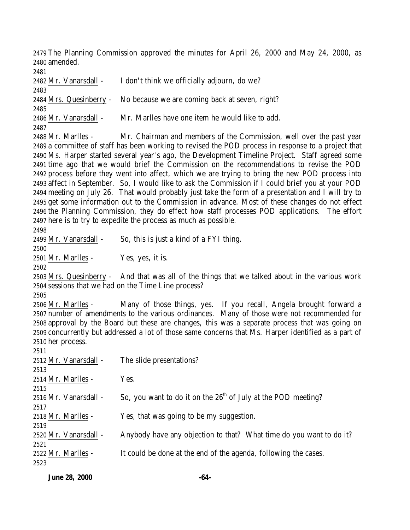The Planning Commission approved the minutes for April 26, 2000 and May 24, 2000, as amended.

 Mr. Vanarsdall - I don't think we officially adjourn, do we? Mrs. Quesinberry - No because we are coming back at seven, right? Mr. Vanarsdall - Mr. Marlles have one item he would like to add. Mr. Marlles - Mr. Chairman and members of the Commission, well over the past year a committee of staff has been working to revised the POD process in response to a project that Ms. Harper started several year's ago, the Development Timeline Project. Staff agreed some time ago that we would brief the Commission on the recommendations to revise the POD process before they went into affect, which we are trying to bring the new POD process into affect in September. So, I would like to ask the Commission if I could brief you at your POD meeting on July 26. That would probably just take the form of a presentation and I will try to get some information out to the Commission in advance. Most of these changes do not effect the Planning Commission, they do effect how staff processes POD applications. The effort here is to try to expedite the process as much as possible. Mr. Vanarsdall - So, this is just a kind of a FYI thing. Mr. Marlles - Yes, yes, it is. Mrs. Quesinberry - And that was all of the things that we talked about in the various work sessions that we had on the Time Line process? Mr. Marlles - Many of those things, yes. If you recall, Angela brought forward a number of amendments to the various ordinances. Many of those were not recommended for approval by the Board but these are changes, this was a separate process that was going on concurrently but addressed a lot of those same concerns that Ms. Harper identified as a part of her process. Mr. Vanarsdall - The slide presentations? Mr. Marlles - Yes. 2516 Mr. Vanarsdall - So, you want to do it on the  $26<sup>th</sup>$  of July at the POD meeting? Mr. Marlles - Yes, that was going to be my suggestion. Mr. Vanarsdall - Anybody have any objection to that? What time do you want to do it? Mr. Marlles - It could be done at the end of the agenda, following the cases. 

**June 28, 2000 -64-**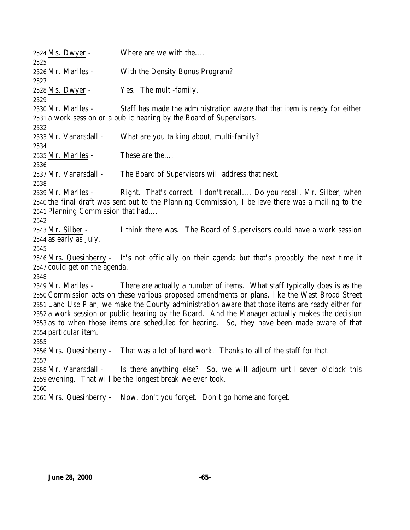| 2524 Ms. Dwyer -                                                                                                                                                                                                                                                                                                                                                                                                                                                                                                                           | Where are we with the                                                                                                                              |  |  |
|--------------------------------------------------------------------------------------------------------------------------------------------------------------------------------------------------------------------------------------------------------------------------------------------------------------------------------------------------------------------------------------------------------------------------------------------------------------------------------------------------------------------------------------------|----------------------------------------------------------------------------------------------------------------------------------------------------|--|--|
| 2525<br>2526 <u>Mr. Marlles</u> -<br>2527                                                                                                                                                                                                                                                                                                                                                                                                                                                                                                  | With the Density Bonus Program?                                                                                                                    |  |  |
| 2528 Ms. Dwyer -<br>2529                                                                                                                                                                                                                                                                                                                                                                                                                                                                                                                   | Yes. The multi-family.                                                                                                                             |  |  |
| 2530 Mr. Marlles -                                                                                                                                                                                                                                                                                                                                                                                                                                                                                                                         | Staff has made the administration aware that that item is ready for either<br>2531 a work session or a public hearing by the Board of Supervisors. |  |  |
| 2532<br>2533 Mr. Vanarsdall -<br>2534                                                                                                                                                                                                                                                                                                                                                                                                                                                                                                      | What are you talking about, multi-family?                                                                                                          |  |  |
| 2535 Mr. Marlles -<br>2536                                                                                                                                                                                                                                                                                                                                                                                                                                                                                                                 | These are the                                                                                                                                      |  |  |
| 2537 Mr. Vanarsdall -<br>2538                                                                                                                                                                                                                                                                                                                                                                                                                                                                                                              | The Board of Supervisors will address that next.                                                                                                   |  |  |
| Right. That's correct. I don't recall Do you recall, Mr. Silber, when<br>2539 Mr. Marlles -<br>2540 the final draft was sent out to the Planning Commission, I believe there was a mailing to the<br>2541 Planning Commission that had                                                                                                                                                                                                                                                                                                     |                                                                                                                                                    |  |  |
| 2542<br>2543 Mr. Silber -<br>2544 as early as July.<br>2545                                                                                                                                                                                                                                                                                                                                                                                                                                                                                | I think there was. The Board of Supervisors could have a work session                                                                              |  |  |
| 2547 could get on the agenda.                                                                                                                                                                                                                                                                                                                                                                                                                                                                                                              | 2546 Mrs. Quesinberry - It's not officially on their agenda but that's probably the next time it                                                   |  |  |
| 2548<br>There are actually a number of items. What staff typically does is as the<br>2549 Mr. Marlles -<br>2550 Commission acts on these various proposed amendments or plans, like the West Broad Street<br>2551 Land Use Plan, we make the County administration aware that those items are ready either for<br>2552 a work session or public hearing by the Board. And the Manager actually makes the decision<br>2553 as to when those items are scheduled for hearing. So, they have been made aware of that<br>2554 particular item. |                                                                                                                                                    |  |  |
| 2555<br>2557                                                                                                                                                                                                                                                                                                                                                                                                                                                                                                                               | 2556 Mrs. Quesinberry - That was a lot of hard work. Thanks to all of the staff for that.                                                          |  |  |
| 2558 Mr. Vanarsdall -<br>2560                                                                                                                                                                                                                                                                                                                                                                                                                                                                                                              | Is there anything else? So, we will adjourn until seven o'clock this<br>2559 evening. That will be the longest break we ever took.                 |  |  |
|                                                                                                                                                                                                                                                                                                                                                                                                                                                                                                                                            | 2561 Mrs. Quesinberry - Now, don't you forget. Don't go home and forget.                                                                           |  |  |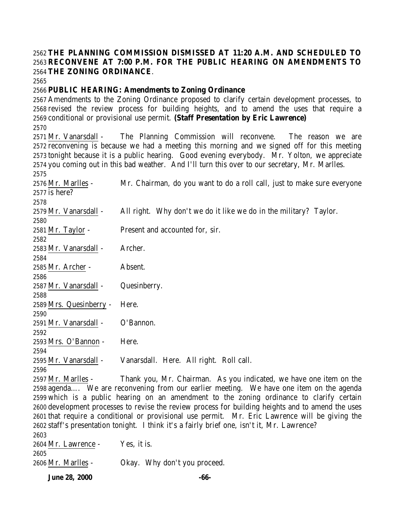## **THE PLANNING COMMISSION DISMISSED AT 11:20 A.M. AND SCHEDULED TO RECONVENE AT 7:00 P.M. FOR THE PUBLIC HEARING ON AMENDMENTS TO THE ZONING ORDINANCE**.

## **PUBLIC HEARING: Amendments to Zoning Ordinance**

 Amendments to the Zoning Ordinance proposed to clarify certain development processes, to revised the review process for building heights, and to amend the uses that require a conditional or provisional use permit. **(Staff Presentation by Eric Lawrence)** Mr. Vanarsdall - The Planning Commission will reconvene. The reason we are reconvening is because we had a meeting this morning and we signed off for this meeting tonight because it is a public hearing. Good evening everybody. Mr. Yolton, we appreciate you coming out in this bad weather. And I'll turn this over to our secretary, Mr. Marlles. Mr. Marlles - Mr. Chairman, do you want to do a roll call, just to make sure everyone is here? Mr. Vanarsdall - All right. Why don't we do it like we do in the military? Taylor. Mr. Taylor - Present and accounted for, sir. Mr. Vanarsdall - Archer. Mr. Archer - Absent. Mr. Vanarsdall - Quesinberry. Mrs. Quesinberry - Here. Mr. Vanarsdall - O'Bannon. Mrs. O'Bannon - Here. Mr. Vanarsdall - Vanarsdall. Here. All right. Roll call. Mr. Marlles - Thank you, Mr. Chairman. As you indicated, we have one item on the agenda…. We are reconvening from our earlier meeting. We have one item on the agenda which is a public hearing on an amendment to the zoning ordinance to clarify certain development processes to revise the review process for building heights and to amend the uses that require a conditional or provisional use permit. Mr. Eric Lawrence will be giving the staff's presentation tonight. I think it's a fairly brief one, isn't it, Mr. Lawrence? Mr. Lawrence - Yes, it is. 

Mr. Marlles - Okay. Why don't you proceed.

**June 28, 2000 -66-**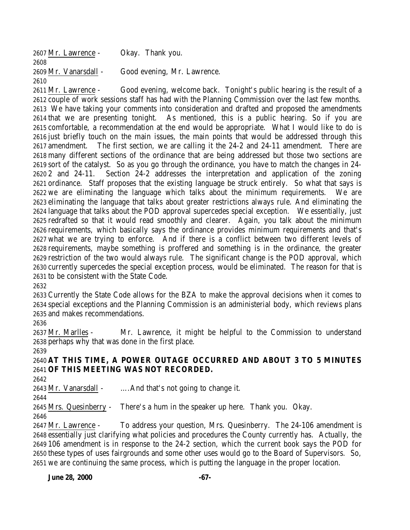| 2607 Mr. Lawrence -   | Okay. Thank you.            |
|-----------------------|-----------------------------|
| 2608                  |                             |
| 2609 Mr. Vanarsdall - | Good evening, Mr. Lawrence. |
| 2610                  |                             |
| .                     |                             |

 Mr. Lawrence - Good evening, welcome back. Tonight's public hearing is the result of a couple of work sessions staff has had with the Planning Commission over the last few months. We have taking your comments into consideration and drafted and proposed the amendments that we are presenting tonight. As mentioned, this is a public hearing. So if you are comfortable, a recommendation at the end would be appropriate. What I would like to do is just briefly touch on the main issues, the main points that would be addressed through this amendment. The first section, we are calling it the 24-2 and 24-11 amendment. There are many different sections of the ordinance that are being addressed but those two sections are sort of the catalyst. So as you go through the ordinance, you have to match the changes in 24- 2 and 24-11. Section 24-2 addresses the interpretation and application of the zoning ordinance. Staff proposes that the existing language be struck entirely. So what that says is we are eliminating the language which talks about the minimum requirements. We are eliminating the language that talks about greater restrictions always rule. And eliminating the language that talks about the POD approval supercedes special exception. We essentially, just redrafted so that it would read smoothly and clearer. Again, you talk about the minimum requirements, which basically says the ordinance provides minimum requirements and that's what we are trying to enforce. And if there is a conflict between two different levels of requirements, maybe something is proffered and something is in the ordinance, the greater restriction of the two would always rule. The significant change is the POD approval, which currently supercedes the special exception process, would be eliminated. The reason for that is to be consistent with the State Code.

 Currently the State Code allows for the BZA to make the approval decisions when it comes to special exceptions and the Planning Commission is an administerial body, which reviews plans and makes recommendations.

 Mr. Marlles - Mr. Lawrence, it might be helpful to the Commission to understand perhaps why that was done in the first place.

 **AT THIS TIME, A POWER OUTAGE OCCURRED AND ABOUT 3 TO 5 MINUTES OF THIS MEETING WAS NOT RECORDED.**

Mr. Vanarsdall - ….And that's not going to change it.

 Mrs. Quesinberry - There's a hum in the speaker up here. Thank you. Okay. 

 Mr. Lawrence - To address your question, Mrs. Quesinberry. The 24-106 amendment is essentially just clarifying what policies and procedures the County currently has. Actually, the 106 amendment is in response to the 24-2 section, which the current book says the POD for these types of uses fairgrounds and some other uses would go to the Board of Supervisors. So, we are continuing the same process, which is putting the language in the proper location.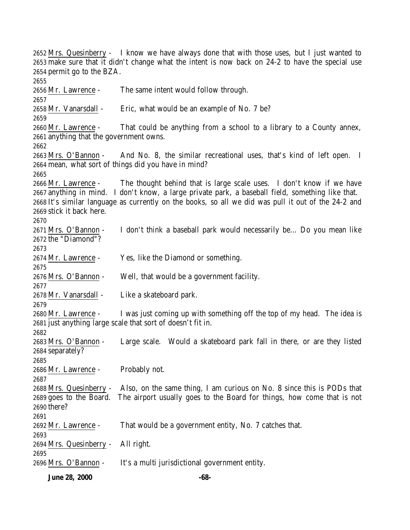Mrs. Quesinberry - I know we have always done that with those uses, but I just wanted to make sure that it didn't change what the intent is now back on 24-2 to have the special use permit go to the BZA. Mr. Lawrence - The same intent would follow through. Mr. Vanarsdall - Eric, what would be an example of No. 7 be? Mr. Lawrence - That could be anything from a school to a library to a County annex, anything that the government owns. Mrs. O'Bannon - And No. 8, the similar recreational uses, that's kind of left open. I mean, what sort of things did you have in mind? Mr. Lawrence - The thought behind that is large scale uses. I don't know if we have anything in mind. I don't know, a large private park, a baseball field, something like that. It's similar language as currently on the books, so all we did was pull it out of the 24-2 and stick it back here. Mrs. O'Bannon - I don't think a baseball park would necessarily be… Do you mean like the "Diamond"? Mr. Lawrence - Yes, like the Diamond or something. Mrs. O'Bannon - Well, that would be a government facility. Mr. Vanarsdall - Like a skateboard park. Mr. Lawrence - I was just coming up with something off the top of my head. The idea is just anything large scale that sort of doesn't fit in. Mrs. O'Bannon - Large scale. Would a skateboard park fall in there, or are they listed separately? Mr. Lawrence - Probably not. Mrs. Quesinberry - Also, on the same thing, I am curious on No. 8 since this is PODs that goes to the Board. The airport usually goes to the Board for things, how come that is not there? Mr. Lawrence - That would be a government entity, No. 7 catches that. Mrs. Quesinberry - All right. Mrs. O'Bannon - It's a multi jurisdictional government entity.

**June 28, 2000 -68-**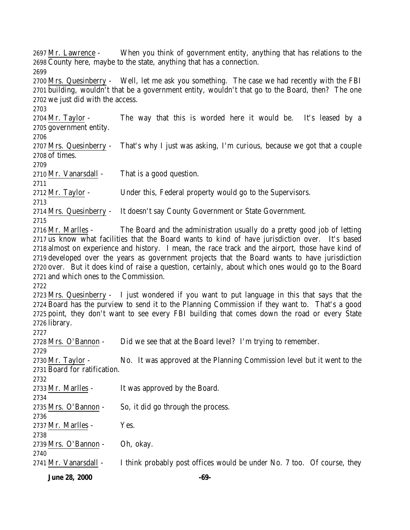**June 28, 2000 -69-** Mr. Lawrence - When you think of government entity, anything that has relations to the County here, maybe to the state, anything that has a connection. Mrs. Quesinberry - Well, let me ask you something. The case we had recently with the FBI building, wouldn't that be a government entity, wouldn't that go to the Board, then? The one we just did with the access. Mr. Taylor - The way that this is worded here it would be. It's leased by a government entity. Mrs. Quesinberry - That's why I just was asking, I'm curious, because we got that a couple of times. Mr. Vanarsdall - That is a good question. 2712 Mr. Taylor - Under this, Federal property would go to the Supervisors. Mrs. Quesinberry - It doesn't say County Government or State Government. Mr. Marlles - The Board and the administration usually do a pretty good job of letting us know what facilities that the Board wants to kind of have jurisdiction over. It's based almost on experience and history. I mean, the race track and the airport, those have kind of developed over the years as government projects that the Board wants to have jurisdiction over. But it does kind of raise a question, certainly, about which ones would go to the Board and which ones to the Commission. Mrs. Quesinberry - I just wondered if you want to put language in this that says that the Board has the purview to send it to the Planning Commission if they want to. That's a good point, they don't want to see every FBI building that comes down the road or every State library. Mrs. O'Bannon - Did we see that at the Board level? I'm trying to remember. 2730 Mr. Taylor - No. It was approved at the Planning Commission level but it went to the Board for ratification. Mr. Marlles - It was approved by the Board. Mrs. O'Bannon - So, it did go through the process. Mr. Marlles - Yes. Mrs. O'Bannon - Oh, okay. 2741 Mr. Vanarsdall - I think probably post offices would be under No. 7 too. Of course, they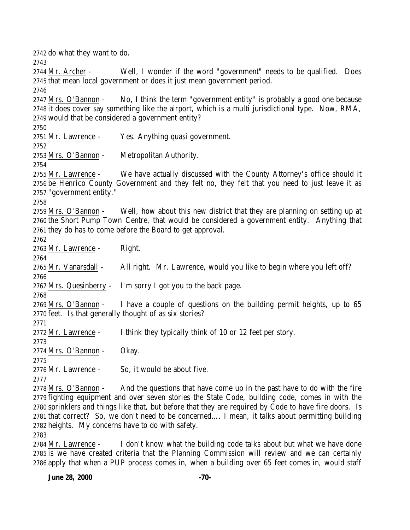do what they want to do. Mr. Archer - Well, I wonder if the word "government" needs to be qualified. Does that mean local government or does it just mean government period. Mrs. O'Bannon - No, I think the term "government entity" is probably a good one because it does cover say something like the airport, which is a multi jurisdictional type. Now, RMA, would that be considered a government entity? Mr. Lawrence - Yes. Anything quasi government. Mrs. O'Bannon - Metropolitan Authority. Mr. Lawrence - We have actually discussed with the County Attorney's office should it be Henrico County Government and they felt no, they felt that you need to just leave it as "government entity." Mrs. O'Bannon - Well, how about this new district that they are planning on setting up at the Short Pump Town Centre, that would be considered a government entity. Anything that they do has to come before the Board to get approval. Mr. Lawrence - Right. Mr. Vanarsdall - All right. Mr. Lawrence, would you like to begin where you left off? Mrs. Quesinberry - I'm sorry I got you to the back page. Mrs. O'Bannon - I have a couple of questions on the building permit heights, up to 65 feet. Is that generally thought of as six stories? Mr. Lawrence - I think they typically think of 10 or 12 feet per story. Mrs. O'Bannon - Okay. Mr. Lawrence - So, it would be about five. Mrs. O'Bannon - And the questions that have come up in the past have to do with the fire fighting equipment and over seven stories the State Code, building code, comes in with the sprinklers and things like that, but before that they are required by Code to have fire doors. Is that correct? So, we don't need to be concerned…. I mean, it talks about permitting building heights. My concerns have to do with safety.

 Mr. Lawrence - I don't know what the building code talks about but what we have done is we have created criteria that the Planning Commission will review and we can certainly apply that when a PUP process comes in, when a building over 65 feet comes in, would staff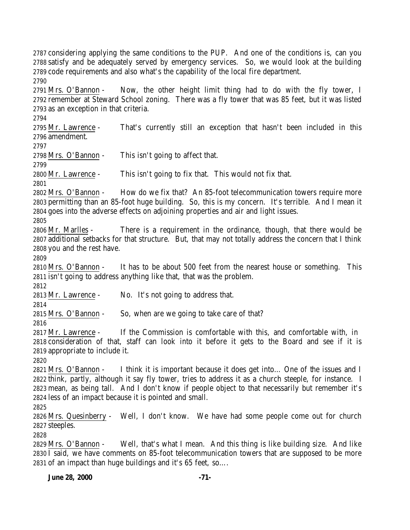considering applying the same conditions to the PUP. And one of the conditions is, can you satisfy and be adequately served by emergency services. So, we would look at the building code requirements and also what's the capability of the local fire department. 

 Mrs. O'Bannon - Now, the other height limit thing had to do with the fly tower, I remember at Steward School zoning. There was a fly tower that was 85 feet, but it was listed as an exception in that criteria.

 Mr. Lawrence - That's currently still an exception that hasn't been included in this amendment.

Mrs. O'Bannon - This isn't going to affect that.

Mr. Lawrence - This isn't going to fix that. This would not fix that.

 Mrs. O'Bannon - How do we fix that? An 85-foot telecommunication towers require more permitting than an 85-foot huge building. So, this is my concern. It's terrible. And I mean it goes into the adverse effects on adjoining properties and air and light issues.

 Mr. Marlles - There is a requirement in the ordinance, though, that there would be additional setbacks for that structure. But, that may not totally address the concern that I think you and the rest have.

 Mrs. O'Bannon - It has to be about 500 feet from the nearest house or something. This isn't going to address anything like that, that was the problem.

Mr. Lawrence - No. It's not going to address that.

Mrs. O'Bannon - So, when are we going to take care of that?

 Mr. Lawrence - If the Commission is comfortable with this, and comfortable with, in consideration of that, staff can look into it before it gets to the Board and see if it is appropriate to include it.

 Mrs. O'Bannon - I think it is important because it does get into… One of the issues and I think, partly, although it say fly tower, tries to address it as a church steeple, for instance. I mean, as being tall. And I don't know if people object to that necessarily but remember it's less of an impact because it is pointed and small.

 Mrs. Quesinberry - Well, I don't know. We have had some people come out for church steeples.

 Mrs. O'Bannon - Well, that's what I mean. And this thing is like building size. And like  $2830 \overline{1}$  said, we have comments on 85-foot telecommunication towers that are supposed to be more of an impact than huge buildings and it's 65 feet, so….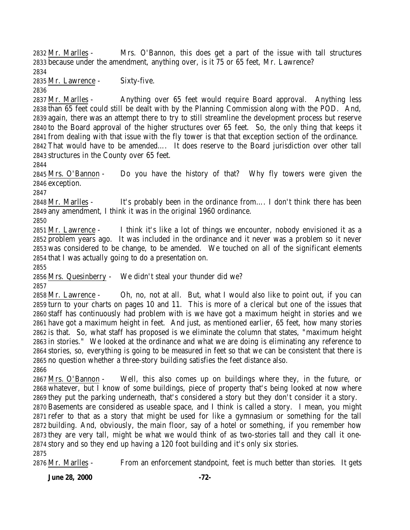Mr. Marlles - Mrs. O'Bannon, this does get a part of the issue with tall structures because under the amendment, anything over, is it 75 or 65 feet, Mr. Lawrence?

Mr. Lawrence - Sixty-five.

 Mr. Marlles - Anything over 65 feet would require Board approval. Anything less than 65 feet could still be dealt with by the Planning Commission along with the POD. And, again, there was an attempt there to try to still streamline the development process but reserve to the Board approval of the higher structures over 65 feet. So, the only thing that keeps it from dealing with that issue with the fly tower is that that exception section of the ordinance. That would have to be amended…. It does reserve to the Board jurisdiction over other tall structures in the County over 65 feet.

 Mrs. O'Bannon - Do you have the history of that? Why fly towers were given the exception.

 Mr. Marlles - It's probably been in the ordinance from…. I don't think there has been any amendment, I think it was in the original 1960 ordinance.

 Mr. Lawrence - I think it's like a lot of things we encounter, nobody envisioned it as a problem years ago. It was included in the ordinance and it never was a problem so it never was considered to be change, to be amended. We touched on all of the significant elements that I was actually going to do a presentation on.

 Mrs. Quesinberry - We didn't steal your thunder did we? 

 Mr. Lawrence - Oh, no, not at all. But, what I would also like to point out, if you can turn to your charts on pages 10 and 11. This is more of a clerical but one of the issues that staff has continuously had problem with is we have got a maximum height in stories and we have got a maximum height in feet. And just, as mentioned earlier, 65 feet, how many stories is that. So, what staff has proposed is we eliminate the column that states, "maximum height in stories." We looked at the ordinance and what we are doing is eliminating any reference to stories, so, everything is going to be measured in feet so that we can be consistent that there is no question whether a three-story building satisfies the feet distance also. 

 Mrs. O'Bannon - Well, this also comes up on buildings where they, in the future, or whatever, but I know of some buildings, piece of property that's being looked at now where they put the parking underneath, that's considered a story but they don't consider it a story.

 Basements are considered as useable space, and I think is called a story. I mean, you might refer to that as a story that might be used for like a gymnasium or something for the tall building. And, obviously, the main floor, say of a hotel or something, if you remember how they are very tall, might be what we would think of as two-stories tall and they call it one- story and so they end up having a 120 foot building and it's only six stories. 

Mr. Marlles - From an enforcement standpoint, feet is much better than stories. It gets

**June 28, 2000 -72-**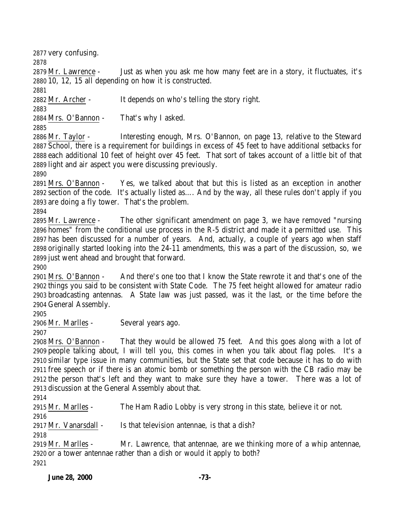very confusing.

 Mr. Lawrence - Just as when you ask me how many feet are in a story, it fluctuates, it's 10, 12, 15 all depending on how it is constructed.

Mr. Archer - It depends on who's telling the story right.

 Mrs. O'Bannon - That's why I asked.

 Mr. Taylor - Interesting enough, Mrs. O'Bannon, on page 13, relative to the Steward School, there is a requirement for buildings in excess of 45 feet to have additional setbacks for each additional 10 feet of height over 45 feet. That sort of takes account of a little bit of that light and air aspect you were discussing previously.

 Mrs. O'Bannon - Yes, we talked about that but this is listed as an exception in another section of the code. It's actually listed as…. And by the way, all these rules don't apply if you are doing a fly tower. That's the problem.

 Mr. Lawrence - The other significant amendment on page 3, we have removed "nursing homes" from the conditional use process in the R-5 district and made it a permitted use. This has been discussed for a number of years. And, actually, a couple of years ago when staff originally started looking into the 24-11 amendments, this was a part of the discussion, so, we just went ahead and brought that forward.

 Mrs. O'Bannon - And there's one too that I know the State rewrote it and that's one of the things you said to be consistent with State Code. The 75 feet height allowed for amateur radio broadcasting antennas. A State law was just passed, was it the last, or the time before the General Assembly.

Mr. Marlles - Several years ago.

 Mrs. O'Bannon - That they would be allowed 75 feet. And this goes along with a lot of people talking about, I will tell you, this comes in when you talk about flag poles. It's a similar type issue in many communities, but the State set that code because it has to do with free speech or if there is an atomic bomb or something the person with the CB radio may be the person that's left and they want to make sure they have a tower. There was a lot of discussion at the General Assembly about that.

Mr. Marlles - The Ham Radio Lobby is very strong in this state, believe it or not.

Mr. Vanarsdall - Is that television antennae, is that a dish?

 Mr. Marlles - Mr. Lawrence, that antennae, are we thinking more of a whip antennae, or a tower antennae rather than a dish or would it apply to both?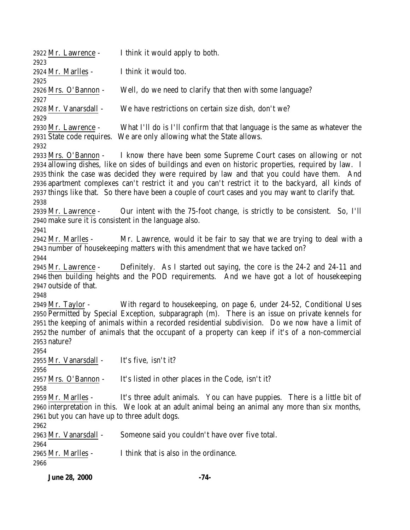| 2922 Mr. Lawrence -<br>2923                                                          | I think it would apply to both.                                                                                                                                                                                                                                                                                                                                                                                                                                                                             |
|--------------------------------------------------------------------------------------|-------------------------------------------------------------------------------------------------------------------------------------------------------------------------------------------------------------------------------------------------------------------------------------------------------------------------------------------------------------------------------------------------------------------------------------------------------------------------------------------------------------|
| 2924 Mr. Marlles -<br>2925                                                           | I think it would too.                                                                                                                                                                                                                                                                                                                                                                                                                                                                                       |
| 2926 Mrs. O'Bannon -<br>2927                                                         | Well, do we need to clarify that then with some language?                                                                                                                                                                                                                                                                                                                                                                                                                                                   |
| 2928 Mr. Vanarsdall -<br>2929                                                        | We have restrictions on certain size dish, don't we?                                                                                                                                                                                                                                                                                                                                                                                                                                                        |
| 2930 Mr. Lawrence -<br>2932                                                          | What I'll do is I'll confirm that that language is the same as whatever the<br>2931 State code requires. We are only allowing what the State allows.                                                                                                                                                                                                                                                                                                                                                        |
| 2938                                                                                 | 2933 Mrs. O'Bannon - I know there have been some Supreme Court cases on allowing or not<br>2934 allowing dishes, like on sides of buildings and even on historic properties, required by law. I<br>2935 think the case was decided they were required by law and that you could have them. And<br>2936 apartment complexes can't restrict it and you can't restrict it to the backyard, all kinds of<br>2937 things like that. So there have been a couple of court cases and you may want to clarify that. |
| 2939 Mr. Lawrence -<br>2940 make sure it is consistent in the language also.<br>2941 | Our intent with the 75-foot change, is strictly to be consistent. So, I'll                                                                                                                                                                                                                                                                                                                                                                                                                                  |
| 2942 Mr. Marlles -<br>2944                                                           | Mr. Lawrence, would it be fair to say that we are trying to deal with a<br>2943 number of housekeeping matters with this amendment that we have tacked on?                                                                                                                                                                                                                                                                                                                                                  |
| 2945 Mr. Lawrence -<br>2947 outside of that.<br>2948                                 | Definitely. As I started out saying, the core is the 24-2 and 24-11 and<br>2946 then building heights and the POD requirements. And we have got a lot of housekeeping                                                                                                                                                                                                                                                                                                                                       |
| 2949 Mr. Taylor -<br>2953 nature?                                                    | With regard to housekeeping, on page 6, under 24-52, Conditional Uses<br>2950 Permitted by Special Exception, subparagraph (m). There is an issue on private kennels for<br>2951 the keeping of animals within a recorded residential subdivision. Do we now have a limit of<br>2952 the number of animals that the occupant of a property can keep if it's of a non-commercial                                                                                                                             |
| 2954<br>2955 Mr. Vanarsdall -<br>2956                                                | It's five, isn't it?                                                                                                                                                                                                                                                                                                                                                                                                                                                                                        |
| 2957 Mrs. O'Bannon -<br>2958                                                         | It's listed in other places in the Code, isn't it?                                                                                                                                                                                                                                                                                                                                                                                                                                                          |
| 2959 Mr. Marlles -<br>2961 but you can have up to three adult dogs.<br>2962          | It's three adult animals. You can have puppies. There is a little bit of<br>2960 interpretation in this. We look at an adult animal being an animal any more than six months,                                                                                                                                                                                                                                                                                                                               |
| 2963 Mr. Vanarsdall -<br>2964                                                        | Someone said you couldn't have over five total.                                                                                                                                                                                                                                                                                                                                                                                                                                                             |
| 2965 Mr. Marlles -<br>2966                                                           | I think that is also in the ordinance.                                                                                                                                                                                                                                                                                                                                                                                                                                                                      |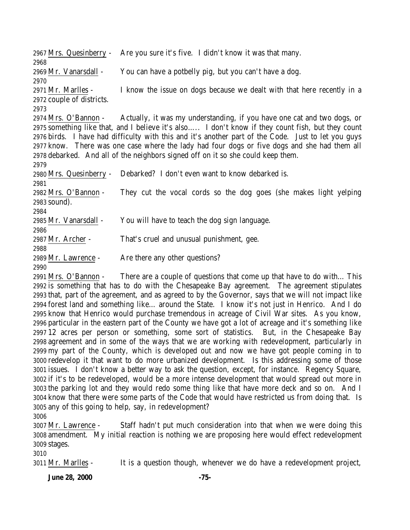|                           | 2967 Mrs. Quesinberry - Are you sure it's five. I didn't know it was that many.                     |
|---------------------------|-----------------------------------------------------------------------------------------------------|
| 2968                      |                                                                                                     |
| 2969 Mr. Vanarsdall -     | You can have a potbelly pig, but you can't have a dog.                                              |
| 2970                      |                                                                                                     |
| 2971 Mr. Marlles -        | I know the issue on dogs because we dealt with that here recently in a                              |
| 2972 couple of districts. |                                                                                                     |
| 2973                      |                                                                                                     |
|                           | 2974 Mrs. O'Bannon - Actually, it was my understanding, if you have one cat and two dogs, or        |
|                           | 2975 something like that, and I believe it's also I don't know if they count fish, but they count   |
|                           | 2976 birds. I have had difficulty with this and it's another part of the Code. Just to let you guys |
|                           | 2977 know. There was one case where the lady had four dogs or five dogs and she had them all        |
|                           | 2978 debarked. And all of the neighbors signed off on it so she could keep them.                    |
| 2979                      |                                                                                                     |
| 2980 Mrs. Quesinberry -   | Debarked? I don't even want to know debarked is.                                                    |
| 2981                      |                                                                                                     |
| 2982 Mrs. O'Bannon -      | They cut the vocal cords so the dog goes (she makes light yelping                                   |
| 2983 sound).              |                                                                                                     |
| 2984                      |                                                                                                     |
| 2985 Mr. Vanarsdall -     | You will have to teach the dog sign language.                                                       |
| 2986                      |                                                                                                     |
| 2987 Mr. Archer -         | That's cruel and unusual punishment, gee.                                                           |
| 2988                      |                                                                                                     |
| 2989 Mr. Lawrence -       | Are there any other questions?                                                                      |
| 2990                      |                                                                                                     |

 Mrs. O'Bannon - There are a couple of questions that come up that have to do with… This is something that has to do with the Chesapeake Bay agreement. The agreement stipulates that, part of the agreement, and as agreed to by the Governor, says that we will not impact like forest land and something like… around the State. I know it's not just in Henrico. And I do know that Henrico would purchase tremendous in acreage of Civil War sites. As you know, particular in the eastern part of the County we have got a lot of acreage and it's something like 12 acres per person or something, some sort of statistics. But, in the Chesapeake Bay agreement and in some of the ways that we are working with redevelopment, particularly in my part of the County, which is developed out and now we have got people coming in to redevelop it that want to do more urbanized development. Is this addressing some of those issues. I don't know a better way to ask the question, except, for instance. Regency Square, if it's to be redeveloped, would be a more intense development that would spread out more in the parking lot and they would redo some thing like that have more deck and so on. And I know that there were some parts of the Code that would have restricted us from doing that. Is any of this going to help, say, in redevelopment?

 Mr. Lawrence - Staff hadn't put much consideration into that when we were doing this amendment. My initial reaction is nothing we are proposing here would effect redevelopment stages.

Mr. Marlles - It is a question though, whenever we do have a redevelopment project,

**June 28, 2000 -75-**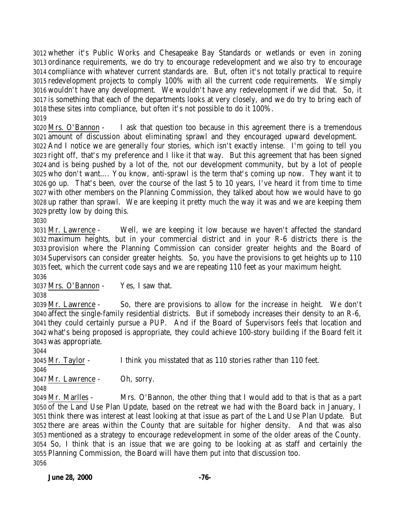whether it's Public Works and Chesapeake Bay Standards or wetlands or even in zoning ordinance requirements, we do try to encourage redevelopment and we also try to encourage compliance with whatever current standards are. But, often it's not totally practical to require redevelopment projects to comply 100% with all the current code requirements. We simply wouldn't have any development. We wouldn't have any redevelopment if we did that. So, it is something that each of the departments looks at very closely, and we do try to bring each of these sites into compliance, but often it's not possible to do it 100%.

 Mrs. O'Bannon - I ask that question too because in this agreement there is a tremendous amount of discussion about eliminating sprawl and they encouraged upward development. And I notice we are generally four stories, which isn't exactly intense. I'm going to tell you right off, that's my preference and I like it that way. But this agreement that has been signed and is being pushed by a lot of the, not our development community, but by a lot of people who don't want…. You know, anti-sprawl is the term that's coming up now. They want it to go up. That's been, over the course of the last 5 to 10 years, I've heard it from time to time with other members on the Planning Commission, they talked about how we would have to go up rather than sprawl. We are keeping it pretty much the way it was and we are keeping them pretty low by doing this.

 Mr. Lawrence - Well, we are keeping it low because we haven't affected the standard maximum heights, but in your commercial district and in your R-6 districts there is the provision where the Planning Commission can consider greater heights and the Board of Supervisors can consider greater heights. So, you have the provisions to get heights up to 110 feet, which the current code says and we are repeating 110 feet as your maximum height. 

Mrs. O'Bannon - Yes, I saw that.

 Mr. Lawrence - So, there are provisions to allow for the increase in height. We don't affect the single-family residential districts. But if somebody increases their density to an R-6, they could certainly pursue a PUP. And if the Board of Supervisors feels that location and what's being proposed is appropriate, they could achieve 100-story building if the Board felt it was appropriate.

Mr. Taylor - I think you misstated that as 110 stories rather than 110 feet.

Mr. Lawrence - Oh, sorry.

 Mr. Marlles - Mrs. O'Bannon, the other thing that I would add to that is that as a part of the Land Use Plan Update, based on the retreat we had with the Board back in January, I think there was interest at least looking at that issue as part of the Land Use Plan Update. But there are areas within the County that are suitable for higher density. And that was also mentioned as a strategy to encourage redevelopment in some of the older areas of the County. So, I think that is an issue that we are going to be looking at as staff and certainly the Planning Commission, the Board will have them put into that discussion too.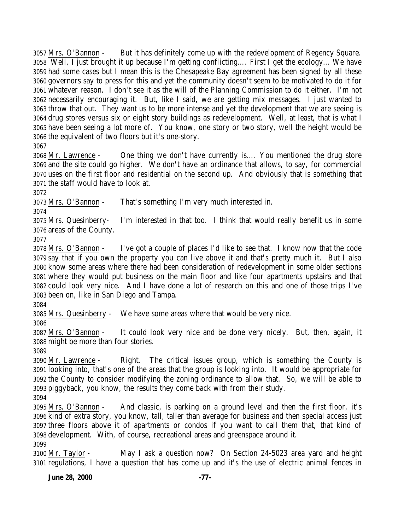Mrs. O'Bannon - But it has definitely come up with the redevelopment of Regency Square. Well, I just brought it up because I'm getting conflicting…. First I get the ecology… We have had some cases but I mean this is the Chesapeake Bay agreement has been signed by all these governors say to press for this and yet the community doesn't seem to be motivated to do it for whatever reason. I don't see it as the will of the Planning Commission to do it either. I'm not necessarily encouraging it. But, like I said, we are getting mix messages. I just wanted to throw that out. They want us to be more intense and yet the development that we are seeing is drug stores versus six or eight story buildings as redevelopment. Well, at least, that is what I have been seeing a lot more of. You know, one story or two story, well the height would be the equivalent of two floors but it's one-story.

 Mr. Lawrence - One thing we don't have currently is…. You mentioned the drug store and the site could go higher. We don't have an ordinance that allows, to say, for commercial uses on the first floor and residential on the second up. And obviously that is something that the staff would have to look at.

Mrs. O'Bannon - That's something I'm very much interested in.

 Mrs. Quesinberry- I'm interested in that too. I think that would really benefit us in some areas of the County.

 Mrs. O'Bannon - I've got a couple of places I'd like to see that. I know now that the code say that if you own the property you can live above it and that's pretty much it. But I also know some areas where there had been consideration of redevelopment in some older sections where they would put business on the main floor and like four apartments upstairs and that could look very nice. And I have done a lot of research on this and one of those trips I've been on, like in San Diego and Tampa.

Mrs. Quesinberry - We have some areas where that would be very nice.

 Mrs. O'Bannon - It could look very nice and be done very nicely. But, then, again, it might be more than four stories.

 Mr. Lawrence - Right. The critical issues group, which is something the County is looking into, that's one of the areas that the group is looking into. It would be appropriate for the County to consider modifying the zoning ordinance to allow that. So, we will be able to piggyback, you know, the results they come back with from their study.

 Mrs. O'Bannon - And classic, is parking on a ground level and then the first floor, it's kind of extra story, you know, tall, taller than average for business and then special access just three floors above it of apartments or condos if you want to call them that, that kind of development. With, of course, recreational areas and greenspace around it. 

 Mr. Taylor - May I ask a question now? On Section 24-5023 area yard and height regulations, I have a question that has come up and it's the use of electric animal fences in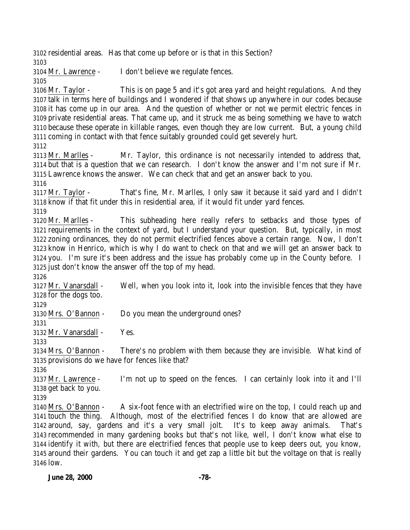residential areas. Has that come up before or is that in this Section? Mr. Lawrence - I don't believe we regulate fences. Mr. Taylor - This is on page 5 and it's got area yard and height regulations. And they talk in terms here of buildings and I wondered if that shows up anywhere in our codes because it has come up in our area. And the question of whether or not we permit electric fences in private residential areas. That came up, and it struck me as being something we have to watch because these operate in killable ranges, even though they are low current. But, a young child coming in contact with that fence suitably grounded could get severely hurt. Mr. Marlles - Mr. Taylor, this ordinance is not necessarily intended to address that, but that is a question that we can research. I don't know the answer and I'm not sure if Mr. Lawrence knows the answer. We can check that and get an answer back to you. Mr. Taylor - That's fine, Mr. Marlles, I only saw it because it said yard and I didn't know if that fit under this in residential area, if it would fit under yard fences. Mr. Marlles - This subheading here really refers to setbacks and those types of requirements in the context of yard, but I understand your question. But, typically, in most zoning ordinances, they do not permit electrified fences above a certain range. Now, I don't know in Henrico, which is why I do want to check on that and we will get an answer back to you. I'm sure it's been address and the issue has probably come up in the County before. I just don't know the answer off the top of my head. Mr. Vanarsdall - Well, when you look into it, look into the invisible fences that they have for the dogs too. Mrs. O'Bannon - Do you mean the underground ones? Mr. Vanarsdall - Yes. Mrs. O'Bannon - There's no problem with them because they are invisible. What kind of provisions do we have for fences like that? Mr. Lawrence - I'm not up to speed on the fences. I can certainly look into it and I'll get back to you. Mrs. O'Bannon - A six-foot fence with an electrified wire on the top, I could reach up and touch the thing. Although, most of the electrified fences I do know that are allowed are around, say, gardens and it's a very small jolt. It's to keep away animals. That's recommended in many gardening books but that's not like, well, I don't know what else to identify it with, but there are electrified fences that people use to keep deers out, you know, around their gardens. You can touch it and get zap a little bit but the voltage on that is really low.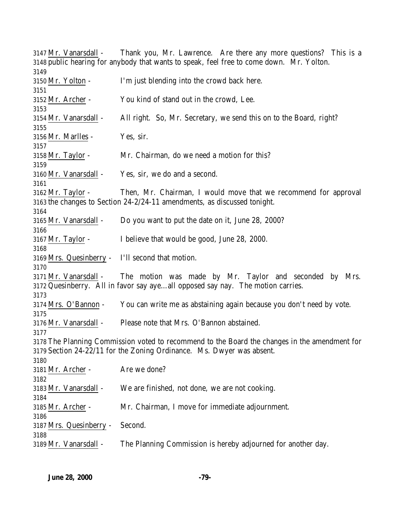Mr. Vanarsdall - Thank you, Mr. Lawrence. Are there any more questions? This is a public hearing for anybody that wants to speak, feel free to come down. Mr. Yolton. Mr. Yolton - I'm just blending into the crowd back here. Mr. Archer - You kind of stand out in the crowd, Lee. Mr. Vanarsdall - All right. So, Mr. Secretary, we send this on to the Board, right? Mr. Marlles - Yes, sir. Mr. Taylor - Mr. Chairman, do we need a motion for this? Mr. Vanarsdall - Yes, sir, we do and a second. Mr. Taylor - Then, Mr. Chairman, I would move that we recommend for approval the changes to Section 24-2/24-11 amendments, as discussed tonight. Mr. Vanarsdall - Do you want to put the date on it, June 28, 2000? Mr. Taylor - I believe that would be good, June 28, 2000. Mrs. Quesinberry - I'll second that motion. Mr. Vanarsdall - The motion was made by Mr. Taylor and seconded by Mrs. Quesinberry. All in favor say aye…all opposed say nay. The motion carries. Mrs. O'Bannon - You can write me as abstaining again because you don't need by vote. Mr. Vanarsdall - Please note that Mrs. O'Bannon abstained. The Planning Commission voted to recommend to the Board the changes in the amendment for Section 24-22/11 for the Zoning Ordinance. Ms. Dwyer was absent. Mr. Archer - Are we done? Mr. Vanarsdall - We are finished, not done, we are not cooking. Mr. Archer - Mr. Chairman, I move for immediate adjournment. Mrs. Quesinberry - Second. Mr. Vanarsdall - The Planning Commission is hereby adjourned for another day.